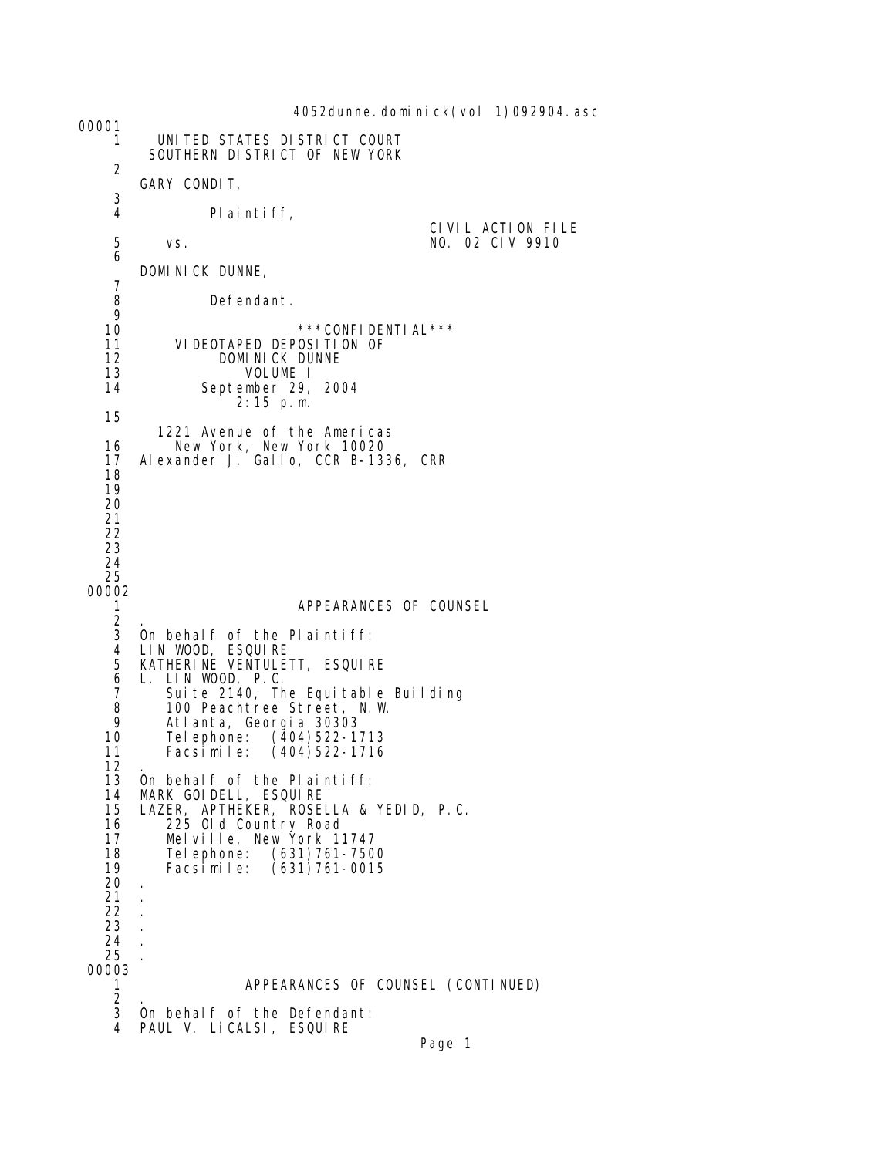4052dunne. domi ni ck(vol 1)092904. asc 00001 1 UNITED STATES DISTRICT COURT SOUTHERN DISTRICT OF NEW YORK 2 GARY CONDIT,  $\frac{3}{4}$ Pl ai nti ff, CIVIL ACTION FILE<br>5 vs. the contract of the MO. 02 CIV 9910 5 vs. NO. 02 CIV 9910 6 DOMINICK DUNNE, 7 Defendant.  $\frac{9}{10}$ 10 \*\*\*CONFIDENTIAL\*\*\*<br>11 VIDEOTAPED DEPOSITION OF 11 VIDEOTAPED DEPOSITION OF<br>12 DOMINICK DUNNE 12 DOMINICK DUNNE<br>13 VOLUME I 13 VOLUME I September 29, 2004 2:15 p.m. 15 1221 Avenue of the Americas 16 New York, New York 10020 17 Alexander J. Gallo, CCR B-1336, CRR 18 19 20 21 22 23 24 25 00002 1 APPEARANCES OF COUNSEL  $\frac{2}{3}$  3 On behalf of the Plaintiff: 4 LIN WOOD, ESQUIRE 5 KATHERINE VENTULETT, ESQUIRE 6 L. LIN WOOD, P.C. 7 Suite 2140, The Equitable Building 8 100 Peachtree Street, N.W. 9 Atlanta, Georgia 30303 10 Telephone: (404)522-1713  $(404)522 - 1716$  $\frac{12}{13}$ 13 On behalf of the Plaintiff:<br>14 MARK GOIDELL, ESQUIRE 14 MARK GOIDELL, ESQUIRE 15 LAZER, APTHEKER, ROSELLA & YEDID, P.C. 16 225 Old Country Road 17 Melville, New York 11747 18 Telephone: (631)761-7500 19 Facsimile: (631)761-0015 20 . 21 . 22 . 23 . 24 . 25 . 00003 APPEARANCES OF COUNSEL (CONTINUED)  $\frac{2}{3}$ On behalf of the Defendant: 4 PAUL V. LiCALSI, ESQUIRE

```
Page 1
```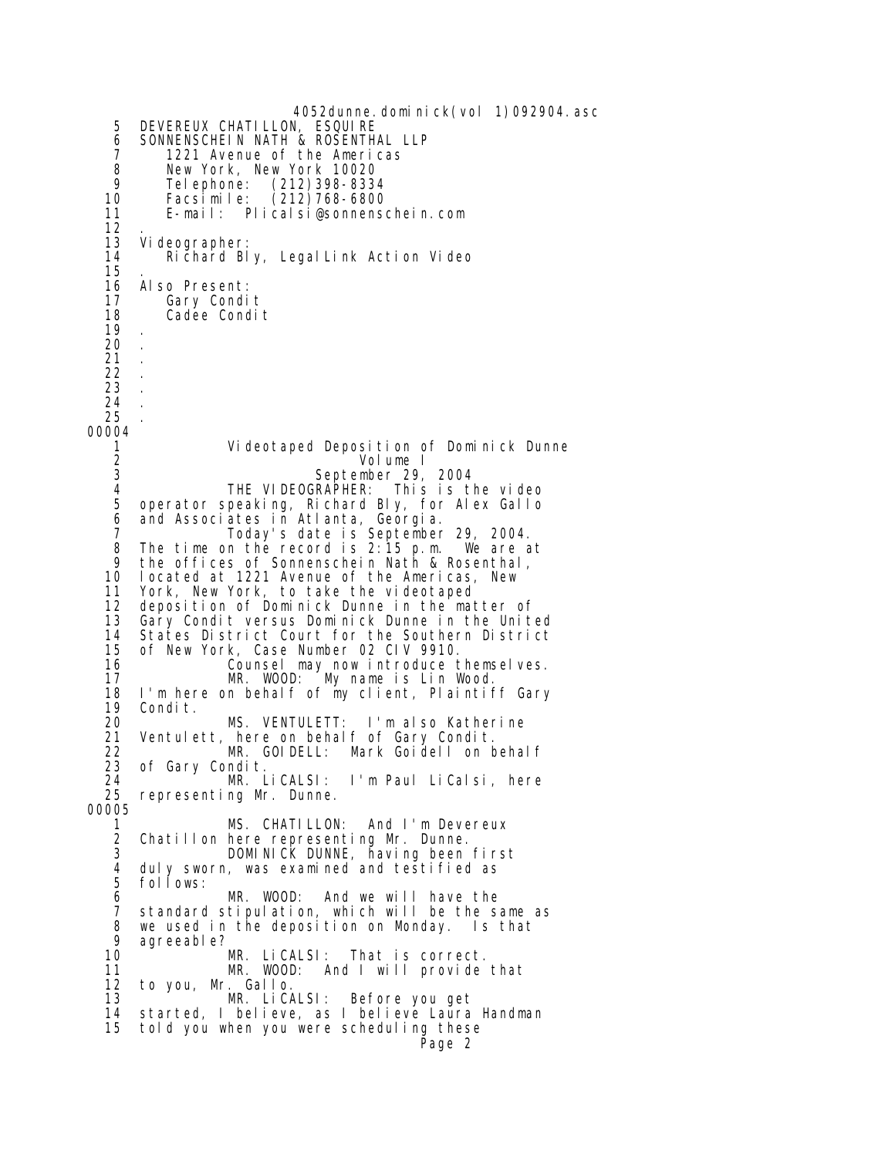4052dunne. domi ni ck(vol 1)092904. asc 5 DEVEREUX CHATILLON, ESQUIRE 6 SONNENSCHEIN NATH & ROSENTHAL LLP<br>7 1221 Avenue of the Americas 7 1221 Avenue of the Americas 8 New York, New York 10020 9 Telephone: (212)398-8334 10 Facsimile: (212)768-6800 11 E-mail: Plicalsi@sonnenschein.com  $\frac{12}{13}$  13 Videographer: Richard Bly, LegalLink Action Video 15<br>16 16 Also Present:<br>17 Gary Condi 17 Gary Condit<br>18 Cadee Condi Cadee Condit 19 . 20 . 21 . 22 . 23 . 24 . 25 . 00004 1 Videotaped Deposition of Dominick Dunne 2 Volume I<br>3 September 29 3 September 29, 2004<br>4 THE VIDEOGRAPHER: This is t 4 THE VIDEOGRAPHER: This is the video operator speaking, Richard Bly, for Alex Gallo 6 and Associates in Atlanta, Georgia. 7 Today's date is September 29, 2004. 8 The time on the record is 2:15 p.m. We are at 9 the offices of Sonnenschein Nath & Rosenthal, 10 located at 1221 Avenue of the Americas, New 11 York, New York, to take the videotaped 12 deposition of Dominick Dunne in the matter of 13 Gary Condit versus Dominick Dunne in the United 14 States District Court for the Southern District 15 of New York, Case Number 02 CIV 9910. 16 Counsel may now introduce themselves. 17 MR. WOOD: My name is Lin Wood. 18 I'm here on behalf of my client, Plaintiff Gary 19 Condit. 20 MS. VENTULETT: I'm also Katherine<br>21 Ventulett, here on behalf of Gary Condit. 21 Ventulett, here on behalf of Gary Condit. 22 MR. GOIDELL: Mark Goidell on behalf 23 of Gary Condit. 24 **MR. LiCALSI: I'm Paul LiCalsi, here**<br>25 representing Mr. Dunne. representing Mr. Dunne. 00005 1 MS. CHATILLON: And I'm Devereux 2 Chatillon here representing Mr. Dunne.<br>3 DOMINICK DUNNE, having been 3 DOMINICK DUNNE, having been first 4 duly sworn, was examined and testified as<br>5 follows: 5 follows:<br>6 MR. WOOD: And we will have the 7 standard stipulation, which will be the same as 8 we used in the deposition on Monday. Is that 9 agreeable? 10 MR. LiCALSI: That is correct. 11 MR. WOOD: And I will provide that 12 to you, Mr. Gallo. Before you get 14 started, I believe, as I believe Laura Handman told you when you were scheduling these Page 2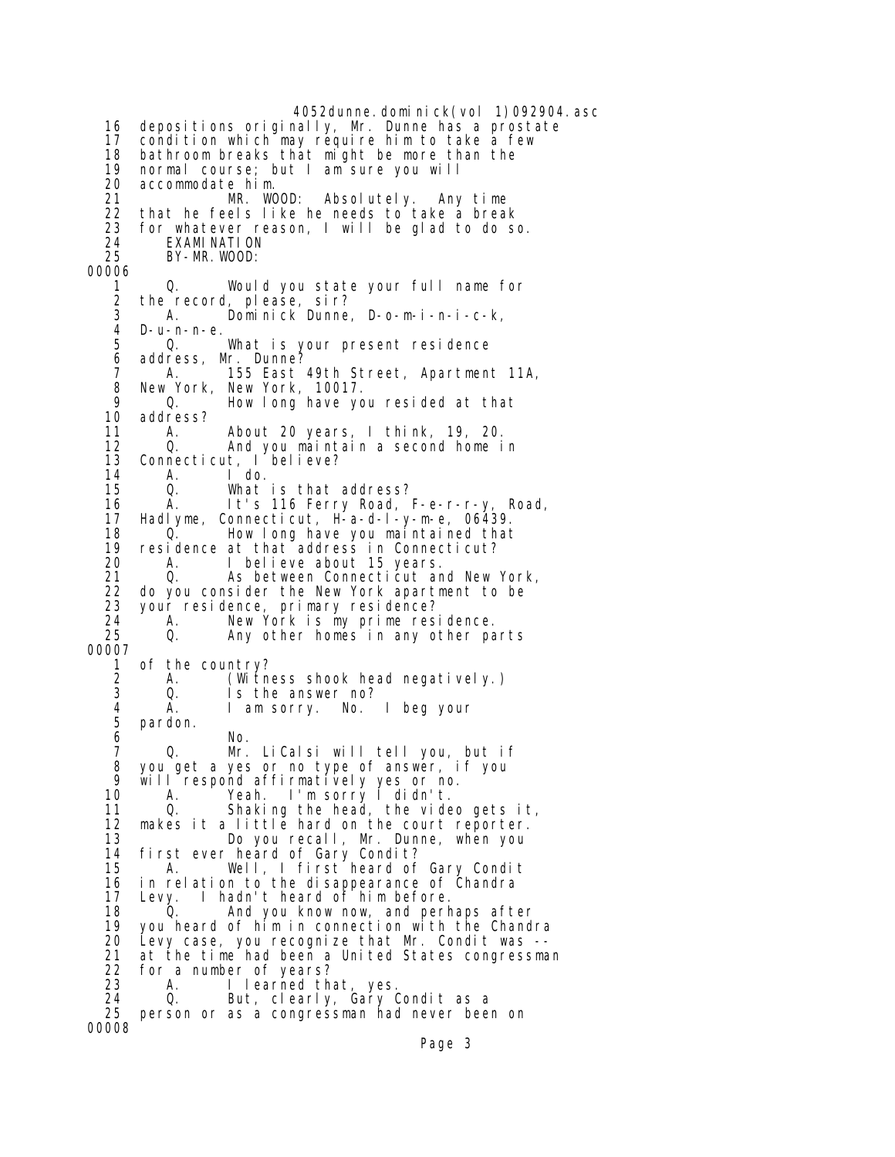4052dunne.dominick(vol 1)092904.asc 16 depositions originally, Mr. Dunne has a prostate 17 condition which may require him to take a few 18 bathroom breaks that might be more than the<br>19 normal course; but I am sure you will 19 normal course; but I am sure you will 20 accommodate him. 21 MR. WOOD: Absolutely. Any time 22 that he feels like he needs to take a break<br>23 for whatever reason. I will be glad to do s for whatever reason, I will be glad to do so. 24 EXAMINATION<br>25 BY-MR.WOOD: BY-MR. WOOD: 00006 1 Q. Would you state your full name for 2 the record, please, sir? 3 A. Dominick Dunne, D-o-m-i-n-i-c-k, 4 D-u-n-n-e. 5 Q. What is your present residence<br>6 address. Mr. Dunne? 6 address, Mr. Dunne? A. 155 East 49th Street, Apartment 11A, 8 New York, New York, 10017. 9 Q. How long have you resided at that 10 address?<br>11 A. About 20 years, I think, 19, 20. 12 Q. And you maintain a second home in 13 Connecticut, I believe? 14 A. I do. 15 Q. What is that address?<br>16 A. It's 116 Ferry Road, It's 116 Ferry Road, F-e-r-r-y, Road, 17 Hadlyme, Connecticut, H-a-d-l-y-m-e, 06439. 18 Q. How long have you maintained that 19 residence at that address in Connecticut? 20 A. I believe about 15 years.<br>21 Q. As between Connecticut ar 21 Q. As between Connecticut and New York,<br>22 do you consider the New York apartment to be 22 do you consider the New York apartment to be 23 your residence, primary residence? 24 A. New York is my prime residence.<br>25 Q. Any other homes in any other pa Any other homes in any other parts 00007 1 of the country?<br>2 A. (Witn 2 A. (Witness shook head negatively.) Is the answer no? 4 A. I am sorry. No. I beg your 5 pardon. No. 7 Q. Mr. LiCalsi will tell you, but if 8 you get a yes or no type of answer, if you<br>9 will respond affirmatively yes or no 9 will respond affirmatively yes or no. 10 A. Yeah. I'm sorry I didn't. 11 Q. Shaking the head, the video gets it, 12 makes it a little hard on the court reporter. 13 Do you recall, Mr. Dunne, when you 14 first ever heard of Gary Condit? 15 A. Well, I first heard of Gary Condit 16 in relation to the disappearance of Chandra<br>17 Levy. I hadn't heard of him before. Levy. I hadn't heard of him before. 18 Q. And you know now, and perhaps after 19 you heard of him in connection with the Chandra 20 Levy case, you recognize that Mr. Condit was -- 21 at the time had been a United States congressman 22 for a number of years? 23 A. I learned that, yes. 24 Q. But, clearly, Gary Condit as a 25 person or as a congressman had never been on 00008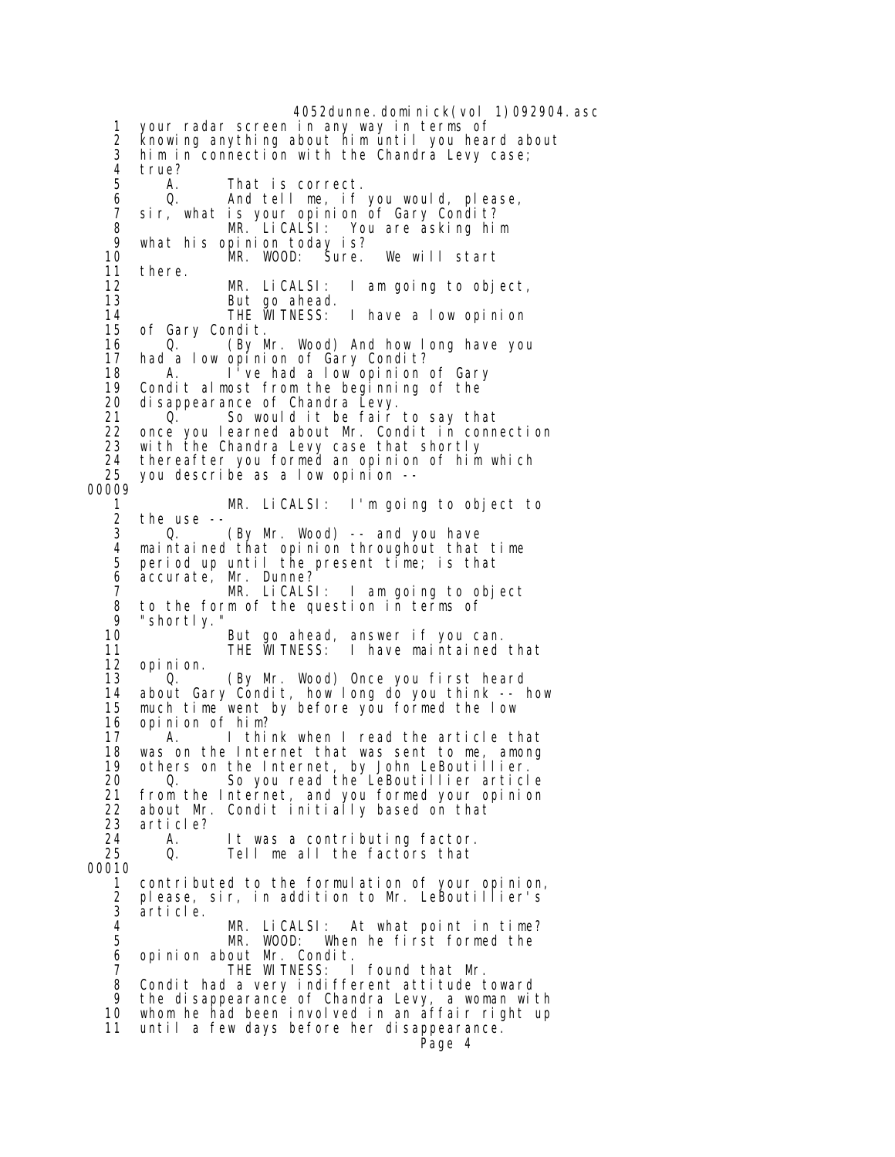4052dunne. domi ni ck(vol 1)092904. asc 1 your radar screen in any way in terms of 2 knowing anything about him until you heard about 3 him in connection with the Chandra Levy case; 4 true?<br>5 A. 5 A. That is correct. 6 Q. And tell me, if you would, please, 7 sir, what is your opinion of Gary Condit? 8 MR. LiCALSI: You are asking him 9 what his opinion today is? 10 MR. WOOD: Sure. We will start<br>11 there. 11 there. 12 MR. LiCALSI: I am going to object, But go ahead.<br>THE WITNESS: 14 THE WITNESS: I have a low opinion<br>15 of Gary Condit. 15 of Gary Condit.<br>16 0. (By M 16 Q. (By Mr. Wood) And how long have you<br>17 had a low opinion of Gary Condit? had a low opinion of Gary Condit? 18 A. I've had a low opinion of Gary 19 Condit almost from the beginning of the<br>20 disappearance of Chandra Levy. 20 disappearance of Chandra Levy. 21 Q. So would it be fair to say that 22 once you learned about Mr. Condit in connection<br>23 with the Chandra Levy case that shortly 23 with the Chandra Levy case that shortly 24 thereafter you formed an opinion of him which 25 you describe as a low opinion -- 00009 MR. LiCALSI: I'm going to object to 2 the use --<br>3 0. 3 Q. (By Mr. Wood) -- and you have 4 maintained that opinion throughout that time 5 period up until the present time; is that 6 accurate, Mr. Dunne? MR. LiCALSI: I am going to object 8 to the form of the question in terms of 9 "shortly.<br>10 But go ahead, answer if you can.<br>THE WITNESS: I have maintained 11 THE WITNESS: I have maintained that opi ni on. 13 Q. (By Mr. Wood) Once you first heard 14 about Gary Condit, how long do you think -- how 15 much time went by before you formed the low 16 opinion of him?<br>17 A I thi A. I think when I read the article that 18 was on the Internet that was sent to me, among 19 others on the Internet, by John LeBoutillier. 20 Q. So you read the LeBoutillier article 21 from the Internet, and you formed your opinion<br>22 about Mr. Condit initially based on that 22 about Mr. Condit initially based on that 23 article?<br>24 A. 24 A. It was a contributing factor. Tell me all the factors that 00010 1 contributed to the formulation of your opinion, 2 please, sir, in addition to Mr. LeBoutillier's 3 article. 4 MR. LiCALSI: At what point in time? When he first formed the 6 opinion about Mr. Condit. 7 THE WITNESS: I found that Mr. 8 Condit had a very indifferent attitude toward<br>9 the disappearance of Chandra Levy a woman wij the disappearance of Chandra Levy, a woman with 10 whom he had been involved in an affair right up 11 until a few days before her disappearance. Page 4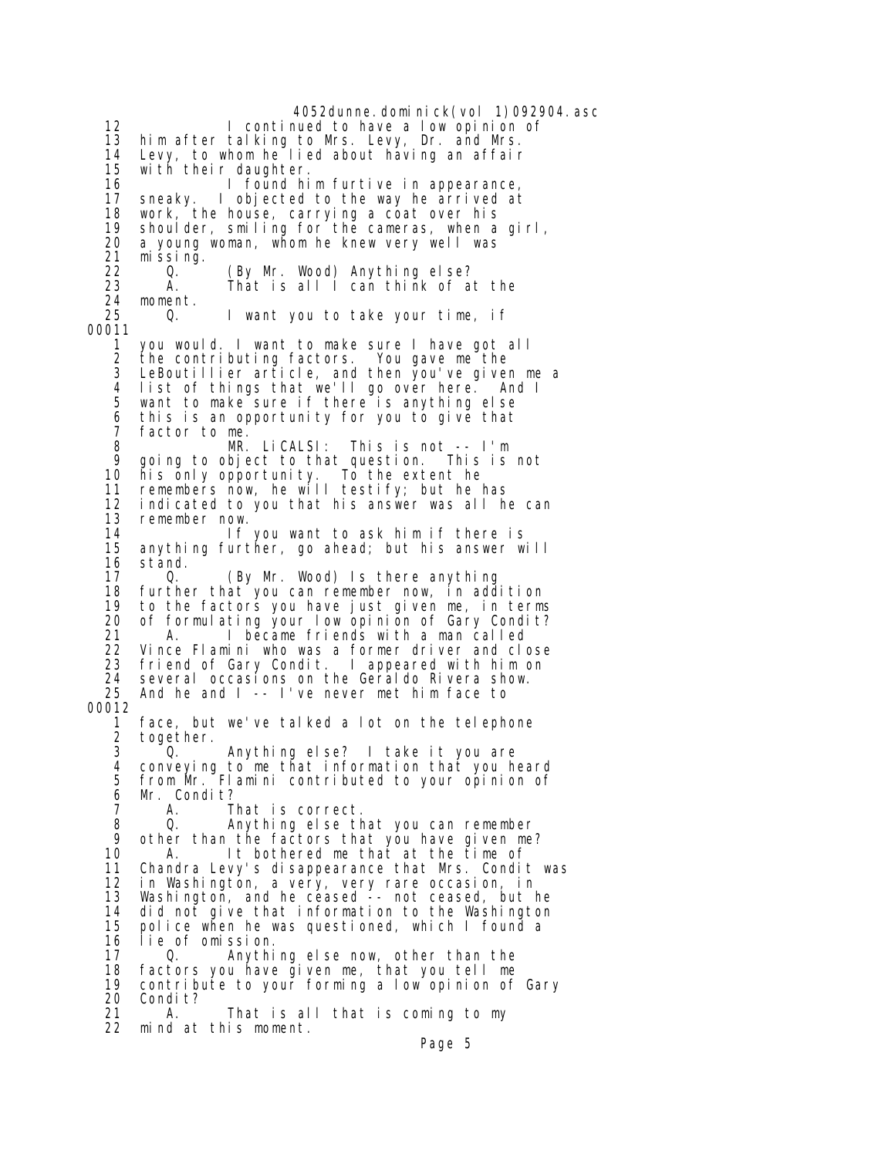4052dunne.dominick(vol 1)092904.asc 12 I continued to have a low opinion of 13 him after talking to Mrs. Levy, Dr. and Mrs. 14 Levy, to whom he lied about having an affair with their daughter. 16 I found him furtive in appearance,<br>17 sneaky. I objected to the way he arrived at sneaky. I objected to the way he arrived at 18 work, the house, carrying a coat over his 19 shoulder, smiling for the cameras, when a girl, 20 a young woman, whom he knew very well was 21 missing. 22 Q. (By Mr. Wood) Anything else? That is all  $\overline{a}$  can think of at the 24 moment.<br>25 0. 25 Q. I want you to take your time, if 00011 1 you would. I want to make sure I have got all the contributing factors. 3 LeBoutillier article, and then you've given me a 4 list of things that we'll go over here. And I 5 want to make sure if there is anything else 6 this is an opportunity for you to give that<br>7 factor to me. factor to me. 8 MR. LiCALSI: This is not -- I'm 9 going to object to that question. This is not<br>10 his only opportunity. To the extent he 10 his only opportunity. To the extent he 11 remembers now, he will testify; but he has<br>12 indicated to you that his answer was all h indicated to you that his answer was all he can 13 remember now. 14 If you want to ask him if there is anything further, go ahead; but his answer will 16 stand.<br>17 0. 17 Q. (By Mr. Wood) Is there anything<br>18 further that you can remember now, in add 18 further that you can remember now, in addition 19 to the factors you have just given me, in terms 20 of formulating your low opinion of Gary Condit? 21 A. I became friends with a man called 22 Vince Flamini who was a former driver and close friend of Gary Condit. I appeared with him on 24 several occasions on the Geraldo Rivera show. 25 And he and I -- I've never met him face to 00012 1 face, but we've talked a lot on the telephone 2 together. 3 Q. Anything else? I take it you are 4 conveying to me that information that you heard 5 from Mr. Flamini contributed to your opinion of 6 Mr. Condit?<br>7 A. That is correct. 8 Q. Anything else that you can remember 9 other than the factors that you have given me? 10 A. It bothered me that at the time of<br>11 Chandra Levy's disappearance that Mrs. Condi Chandra Levy's disappearance that Mrs. Condit was 12 in Washington, a very, very rare occasion, in<br>13 Washington, and he ceased -- not ceased, but I Washington, and he ceased -- not ceased, but he 14 did not give that information to the Washington police when he was questioned, which I found a 16 lie of omission. 17 Q. Anything else now, other than the 18 factors you have given me, that you tell me 19 contribute to your forming a low opinion of Gary 20 Condit? 21 A. That is all that is coming to my 22 mind at this moment.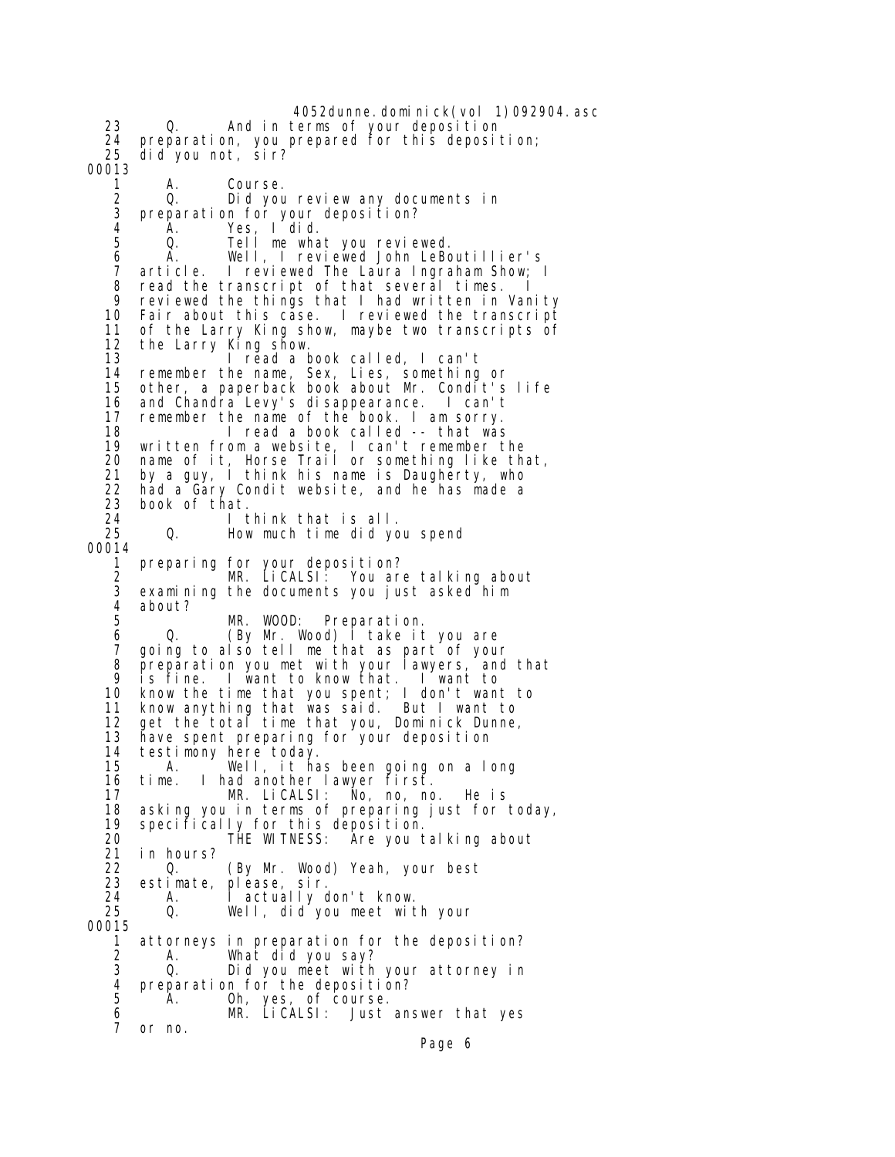4052dunne.dominick(vol 1)092904.asc 23 Q. And in terms of your deposition 24 preparation, you prepared for this deposition; 25 did you not, sir? 00013 1 A. Course. 2 Q. Did you review any documents in<br>3 preparation for your deposition? 3 preparation for your deposition? 4 A. Yes, I did. 5 Q. Tell me what you reviewed. 6 A. Well, I reviewed John LeBoutillier's 7 article. I reviewed The Laura Ingraham Show; I 8 read the transcript of that several times. I<br>9 reviewed the things that I had written in Var 9 reviewed the things that I had written in Vanity Fair about this case. I reviewed the transcript 11 of the Larry King show, maybe two transcripts of 12 the Larry King show. 13 I read a book called, I can't 14 remember the name, Sex, Lies, something or 15 other, a paperback book about Mr. Condit's life 16 and Chandra Levy's disappearance. I can't 17 remember the name of the book. I am sorry.<br>18 10 1 read a book called -- that was I read a book called -- that was 19 written from a website, I can't remember the 20 name of it, Horse Trail or something like that, 21 by a guy, I think his name is Daugherty, who<br>22 had a Gary Condit website, and he has made a 22 had a Gary Condit website, and he has made a<br>23 book of that. book of that. 24 I think that is all. 25 Q. How much time did you spend 00014 1 preparing for your deposition? 2 MR. LiCALSI: You are talking about 3 examining the documents you just asked him 4 about? MR. WOOD: Preparation. 6 Q. (By Mr. Wood) I take it you are 7 going to also tell me that as part of your<br>8 preparation you met with your lawyers, and 8 preparation you met with your lawyers, and that<br>9 is fine I want to know that I want to 9 is fine. I want to know that. I want to 10 know the time that you spent; I don't want to 11 know anything that was said. But I want to 12 get the total time that you, Dominick Dunne, 13 have spent preparing for your deposition 14 testimony here today. 15 A. Well, it has been going on a long 16 time. I had another lawyer first. 17 MR. LiCALSI: No, no, no. He is asking you in terms of preparing just for today, 19 specifically for this deposition. 20 THE WITNESS: Are you talking about 21 in hours? 22 Q. (By Mr. Wood) Yeah, your best<br>23 estimate, please, sir. 23 estimate, please, sir. 24 A. I actually don't know. Well, did you meet with your 00015 1 attorneys in preparation for the deposition? 2 A. What did you say? Did you meet with your attorney in 4 preparation for the deposition?<br>5 A. Oh, yes, of course. A. Oh, yes, of course. 6 MR. LiCALSI: Just answer that yes 7 or no.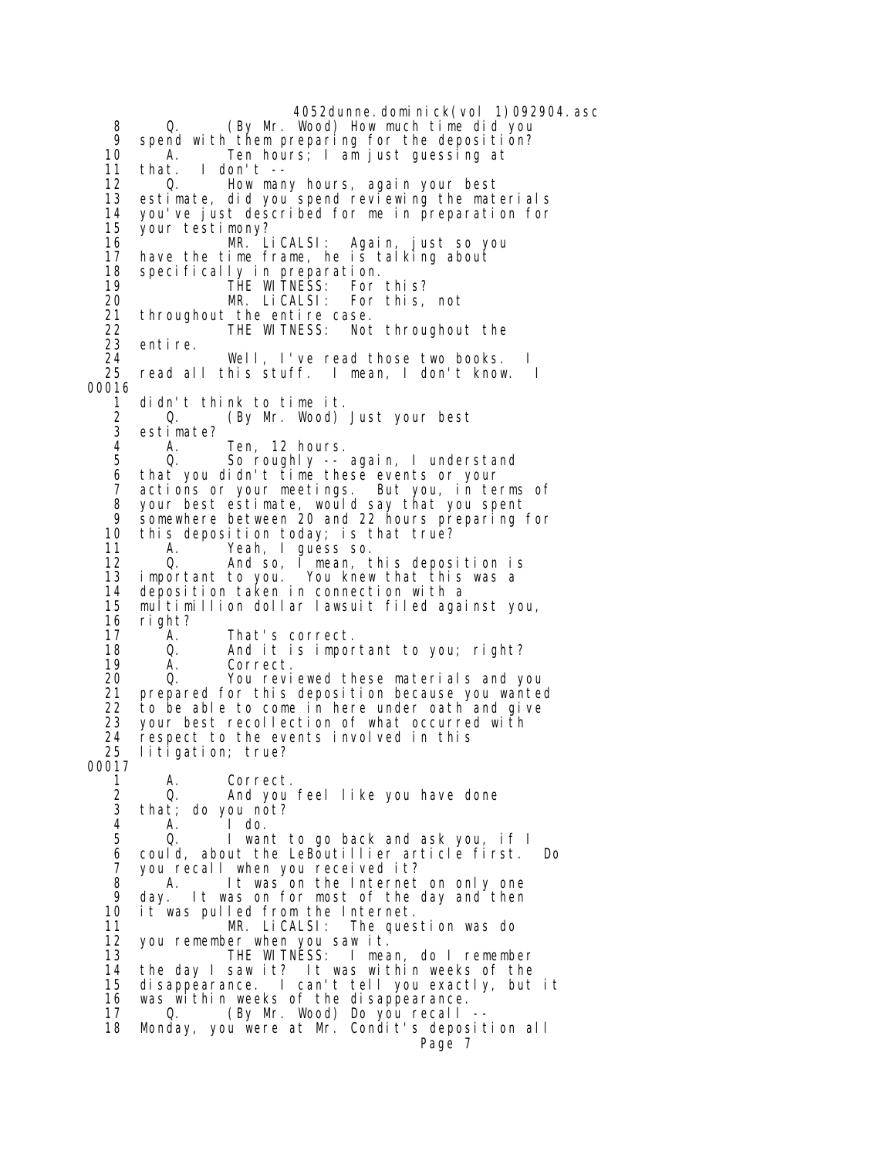4052dunne.dominick(vol 1)092904.asc 8 Q. (By Mr. Wood) How much time did you 9 spend with them preparing for the deposition?<br>10 A. Ten hours: I am iust quessing at 10 A. Ten hours; I am just guessing at 11 that. I don't -- 12 Q. How many hours, again your best<br>13 estimate, did you spend reviewing the mat estimate, did you spend reviewing the materials 14 you've just described for me in preparation for<br>15 your testimony? your testimony? 16 MR. Li CALSI: Again, just so you 17 have the time frame, he is talking about<br>18 specifically in preparation. 18 specifically in preparation. 19 THE WITNESS: For this? 20 MR. LiCALSI: For this, not 21 throughout the entire case. 22 THE WITNESS: Not throughout the 23 entire.<br>24 24 Well, I've read those two books.<br>25 read all this stuff. I mean, I don't know 25 read all this stuff. I mean, I don't know. I 00016 1 didn't think to time it. 2 Q. (By Mr. Wood) Just your best estimate? 4 A. Ten, 12 hours. 0. So roughly -- again, I understand 6 that you didn't time these events or your 7 actions or your meetings. But you, in terms of 8 your best estimate, would say that you spent<br>9 somewhere between 20 and 22 bours preparing 9 somewhere between 20 and 22 hours preparing for 10 this deposition today; is that true? 11 A. Yeah, I guess so.<br>12 Q. And so, I mean, t 12 Q. And so, I mean, this deposition is 13 important to you. You knew that this was a 14 deposition taken in connection with a multimillion dollar lawsuit filed against you, 16 right?<br>17 A. A. That's correct. 18 Q. And it is important to you; right? 19 A. Correct. 20 Q. You reviewed these materials and you 21 prepared for this deposition because you wanted 22 to be able to come in here under oath and give<br>23 your best recollection of what occurred with 23 your best recollection of what occurred with<br>24 respect to the events involved in this respect to the events involved in this 25 litigation; true? 00017 1 A. Correct. 2 Q. And you feel like you have done<br>3 that: do you not? that; do you not? 4 A. I do. Q. I want to go back and ask you, if I 6 could, about the LeBoutillier article first. Do 7 you recall when you received it?<br>8 A. It was on the Internet 8 A. It was on the Internet on only one<br>9 day. It was on for most of the day and then 9 day. It was on for most of the day and then<br>10 it was pulled from the Internet. 10 it was pulled from the Internet. 11 MR. LiCALSI: The question was do 12 you remember when you saw it. 13 THE WITNESS: I mean, do I remember<br>14 the day I saw it? It was within weeks of the the day I saw it? It was within weeks of the 15 disappearance. I can't tell you exactly, but it 16 was within weeks of the disappearance. 17 Q. (By Mr. Wood) Do you recall -- 18 Monday, you were at Mr. Condit's deposition all Page 7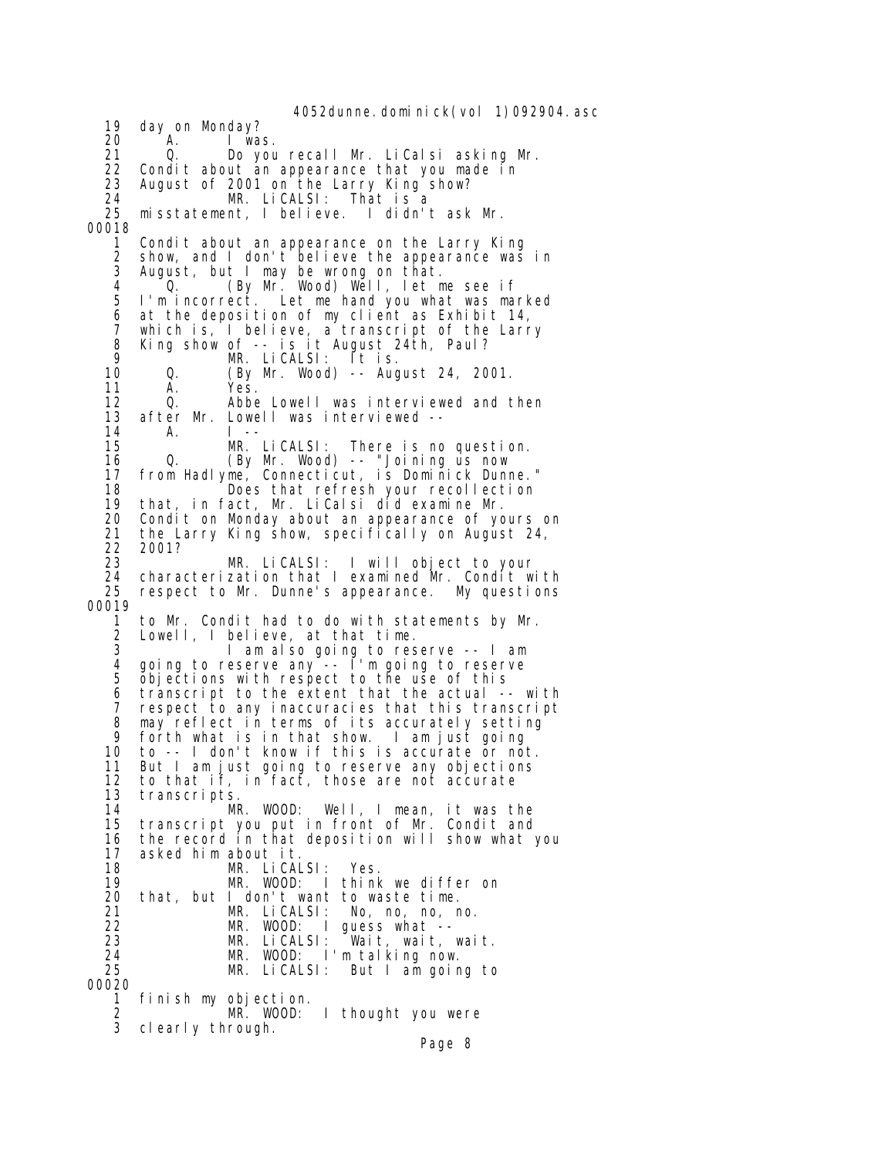4052dunne. dominick(vol 1)092904. asc 19 day on Monday? 20 A. I was. 21 Q. Do you recall Mr. LiCalsi asking Mr.<br>22 Condit about an appearance that you made in 22 Condit about an appearance that you made in<br>23 August of 2001 on the Larry King show? 23 August of 2001 on the Larry King show? 24 MR. LiCALSI: That is a 25 misstatement, I believe. I didn't ask Mr. 00018 1 Condit about an appearance on the Larry King 2 show, and I don't believe the appearance was in 3 August, but I may be wrong on that. 4 Q. (By Mr. Wood) Well, let me see if 5 I'm incorrect. Let me hand you what was marked 6 at the deposition of my client as Exhibit 14, 7 which is, I believe, a transcript of the Larry 8 King show of -- is it August 24th, Paul? 9 <sup>o</sup> MR. LiCALSI: Ĭt is.<br>10 0. (By Mr. Wood)-- Aug 10 Q. (By Mr. Wood) -- August 24, 2001. 11 A. Yes.<br>12 Q. Abbe 12 Q. Abbe Lowell was interviewed and then<br>13 after Mr. Lowell was interviewed -- 13 after Mr. Lowell was interviewed -- 14 A. I -- 15 MR. LiCALSI: There is no question. 16 Q. (By Mr. Wood) -- "Joining us now 17 from Hadlyme, Connecticut, is Dominick Dunne." 18 **Does that refresh your recollection**<br>19 that, in fact, Mr. LiCalsi did examine Mr. 19 that, in fact, Mr. LiCalsi did examine Mr. 20 Condit on Monday about an appearance of yours on 21 the Larry King show, specifically on August 24, 22 2001? 23 MR. LiCALSI: I will object to your 24 characterization that I examined Mr. Condit with 25 respect to Mr. Dunne's appearance. My questions 00019 1 to Mr. Condit had to do with statements by Mr. Lowell, I believe, at that time. 3 I am also going to reserve -- I am 4 going to reserve any -- I'm going to reserve 5 objections with respect to the use of this 6 transcript to the extent that the actual -- with 7 respect to any inaccuracies that this transcript 8 may reflect in terms of its accurately setting<br>9 forth what is in that show. I am just going forth what is in that show. 10 to -- I don't know if this is accurate or not. 11 But I am just going to reserve any objections 12 to that if, in fact, those are not accurate 13 transcripts. Well, I mean, it was the 15 transcript you put in front of Mr. Condit and 16 the record in that deposition will show what you 17 asked him about it. 18 MR. LiCALSI: Yes.<br>19 MR. WOOD: Ithink 19 MR. WOOD: I think we differ on that, but I don't want to waste time. 21 MR. LiCALSI: No, no, no, no. 22 MR. WOOD: I guess what -- 23 MR. LiCALSI: Wait, wait, wait. 24 MR. WOOD: I'm talking now.<br>25 MR. LiCALSI: But I am goir But I am going to 00020 1 finish my objection. 2 MR. WOOD: I thought you were 3 clearly through. Page 8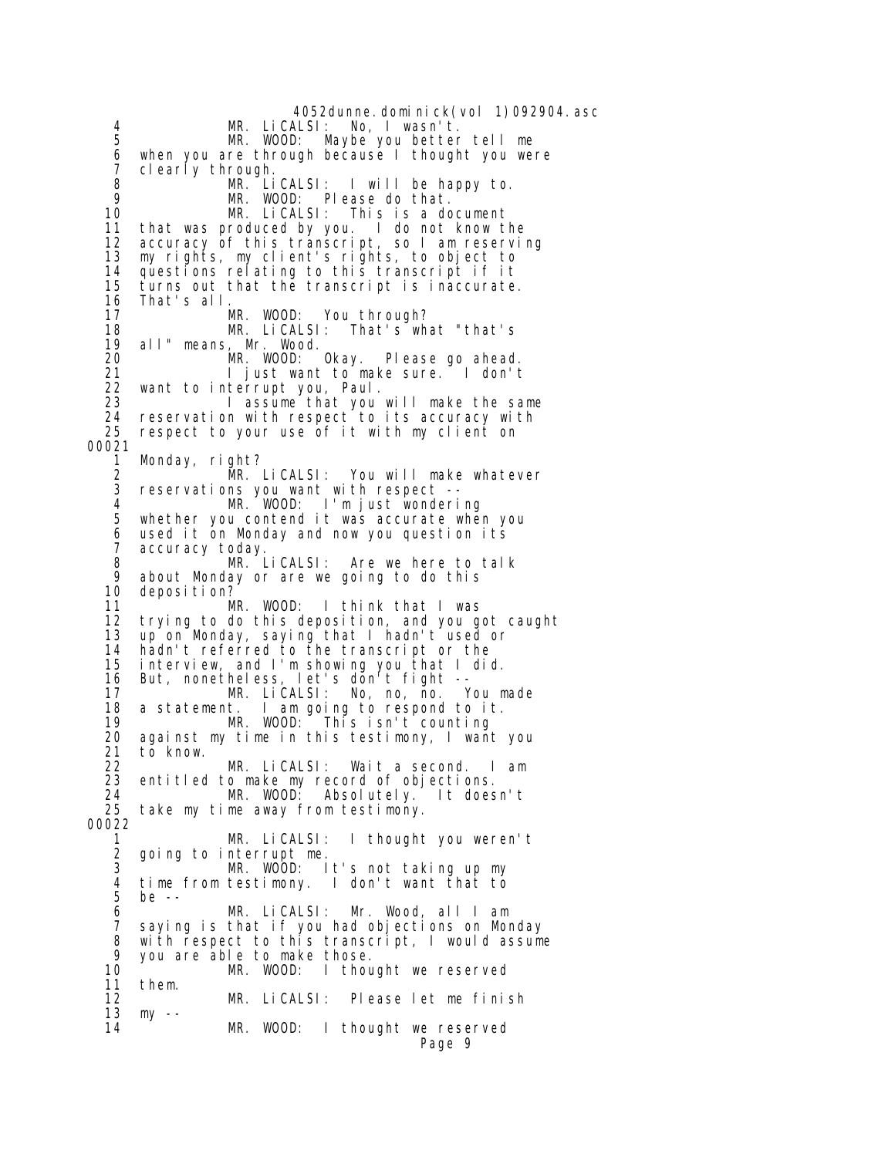4052dunne.dominick(vol 1)092904.asc 4 MR. LiCALSI: No, I wasn't. MR. WOOD: Maybe you better tell me 6 when you are through because I thought you were<br>7 clearly through. 7 clearly through. 8 MR. LiCALSI: I will be happy to. 9 MR. WOOD: Please do that. 10 MR. LiCALSI: This is a document<br>11 that was produced by you. I do not know t that was produced by you. I do not know the 12 accuracy of this transcript, so I am reserving 13 my rights, my client's rights, to object to 14 questions relating to this transcript if it turns out that the transcript is inaccurate. 16 That's all. MR. WOOD: You through? 18 MR. LiCALSI: That's what "that's 19 all" means, Mr. Wood. Please go ahead. 21 I just want to make sure. I don't<br>22 want to interrupt you, Paul. 22 want to interrupt you, Paul. 23 I assume that you will make the same 24 reservation with respect to its accuracy with<br>25 respect to your use of it with my client on respect to your use of it with my client on 00021 1 Monday, right?<br>2 MR. 2 MR. LiCALSI: You will make whatever<br>3 reservations you want with respect -- 3 reservations you want with respect -- 4 MR. WOOD: I'm just wondering whether you contend it was accurate when you 6 used it on Monday and now you question its accuracy today. 8 **MR. LiCALSI:** Are we here to talk<br>9 about Monday or are we going to do this 9 about Monday or are we going to do this 10 deposition?<br>11 M MR. WOOD: I think that I was 12 trying to do this deposition, and you got caught 13 up on Monday, saying that I hadn't used or 14 hadn't referred to the transcript or the interview, and I'm showing you that I did. 16 But, nonetheless, let's don't fight -- 17 MR. LiCALSI: No, no, no. You made<br>18 a statement. I am going to respond to it. 18 a statement. I am going to respond to it. 19 This isn't counting<br>20 against my time in this testimony, I wan against my time in this testimony, I want you 21 to know. 22 MR. LiCALSI: Wait a second. I am 23 entitled to make my record of objections. 24 MR. WOOD: Absolutely.<br>25 take my time away from testimony. take my time away from testimony. 00022 1 MR. LiCALSI: I thought you weren't 2 going to interrupt me. 3 MR. WOOD: It's not taking up my<br>4 time from testimony. I don't want that to 4 time from testimony. I don't want that to be -- 6 MR. LiCALSI: Mr. Wood, all I am 7 saying is that if you had objections on Monday 8 with respect to this transcript, I would assume 9 you are able to make those. 10 MR. WOOD: I thought we reserved 11 them. MR. LiCALSI: Please let me finish 13 my -- 14 MR. WOOD: I thought we reserved Page 9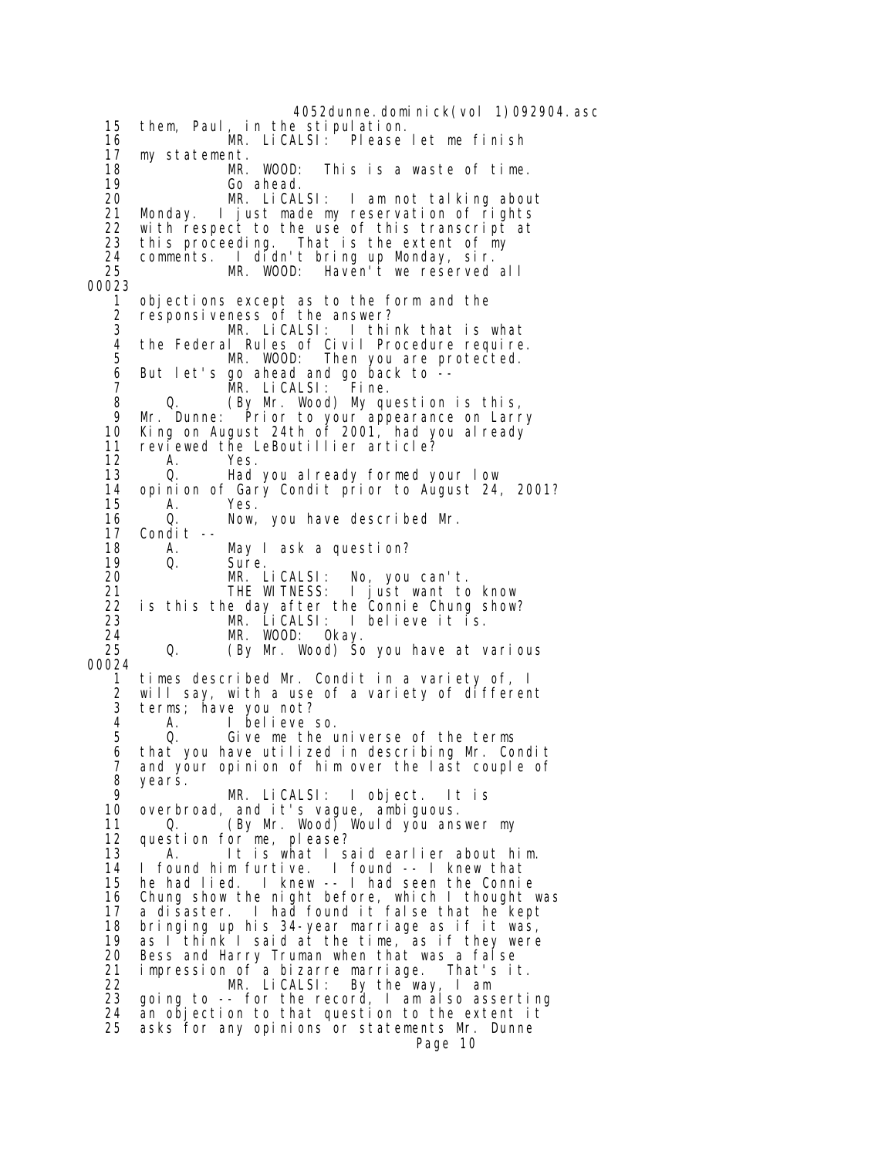4052dunne. domi ni ck(vol 1)092904. asc 15 them, Paul, in the stipulation. 16 MR. LiCALSI: Please let me finish 17 my statement. 18 MR. WOOD: This is a waste of time.<br>19 Go ahead. 19 Go ahead. 20 MR. LiCALSI: I am not talking about 21 Monday. I just made my reservation of rights<br>22 with respect to the use of this transcript at with respect to the use of this transcript at 23 this proceeding. That is the extent of my 24 comments. I didn't bring up Monday, sir.<br>25 MR. WOOD: Haven't we reserved MR. WOOD: Haven't we reserved all 00023 1 objections except as to the form and the 2 responsiveness of the answer? 3 MR. LiCALSI: I think that is what 4 the Federal Rules of Civil Procedure require.<br>5 MR. WOOD: Then you are protected. Then you are protected. 6 But let's go ahead and go back to -- 7 MR. LiCALSI: Fine. 8 Q. (By Mr. Wood) My question is this,<br>9 Mr. Dunne: Prior to your appearance on Larr 9 Mr. Dunne: Prior to your appearance on Larry<br>10 King on August 24th of 2001, had you already King on August 24th of 2001, had you already 11 reviewed the LeBoutillier article?<br>12 A. Yes. 12 A. Yes.<br>13 O. Had 13 Q. Had you already formed your low<br>14 opinion of Gary Condit prior to August 24 14 opinion of Gary Condit prior to August 24, 2001? A. Yes. 16 Q. Now, you have described Mr.<br>17 Condit -- 17 Condit -- 18 A. May I ask a question? 19 Q. Sure. 20 MR. LiCALSI: No, you can't. 21 THE WITNESS: I just want to know<br>22 is this the day after the Connie Chung show? 22 is this the day after the Connie Chung show?<br>23 MR. LiCALSI: I believe it is. 23 MR. LiCALSI: I believe it is. 24 MR. WOOD:<br>25 Q. (By Mr. W (By Mr. Wood) So you have at various 00024 1 times described Mr. Condit in a variety of, I will say, with a use of a variety of different 3 terms; have you not?<br>4 A I believe 4 A. I believe so. Give me the universe of the terms 6 that you have utilized in describing Mr. Condit 7 and your opinion of him over the last couple of 8 years.<br>9 9 MR. LiCALSI: I object. It is 10 overbroad, and it's vague, ambiguous. 11 Q. (By Mr. Wood) Would you answer my 12 question for me, please?<br>13 A. lt is what I s 13 A. It is what I said earlier about him.<br>14 I found him furtive. I found -- I knew that 14 I found him furtive. I found -- I knew that 15 he had lied. I knew -- I had seen the Connie 16 Chung show the night before, which I thought was 17 a disaster. I had found it false that he kept 18 bringing up his 34-year marriage as if it was, 19 as I think I said at the time, as if they were<br>20 Bess and Harry Truman when that was a false 20 Bess and Harry Truman when that was a false 21 impression of a bizarre marriage. That's it. 22 MR. LiCALSI: By the way, I am 23 going to -- for the record, I am also asserting 24 an objection to that question to the extent it 25 asks for any opinions or statements Mr. Dunne Page 10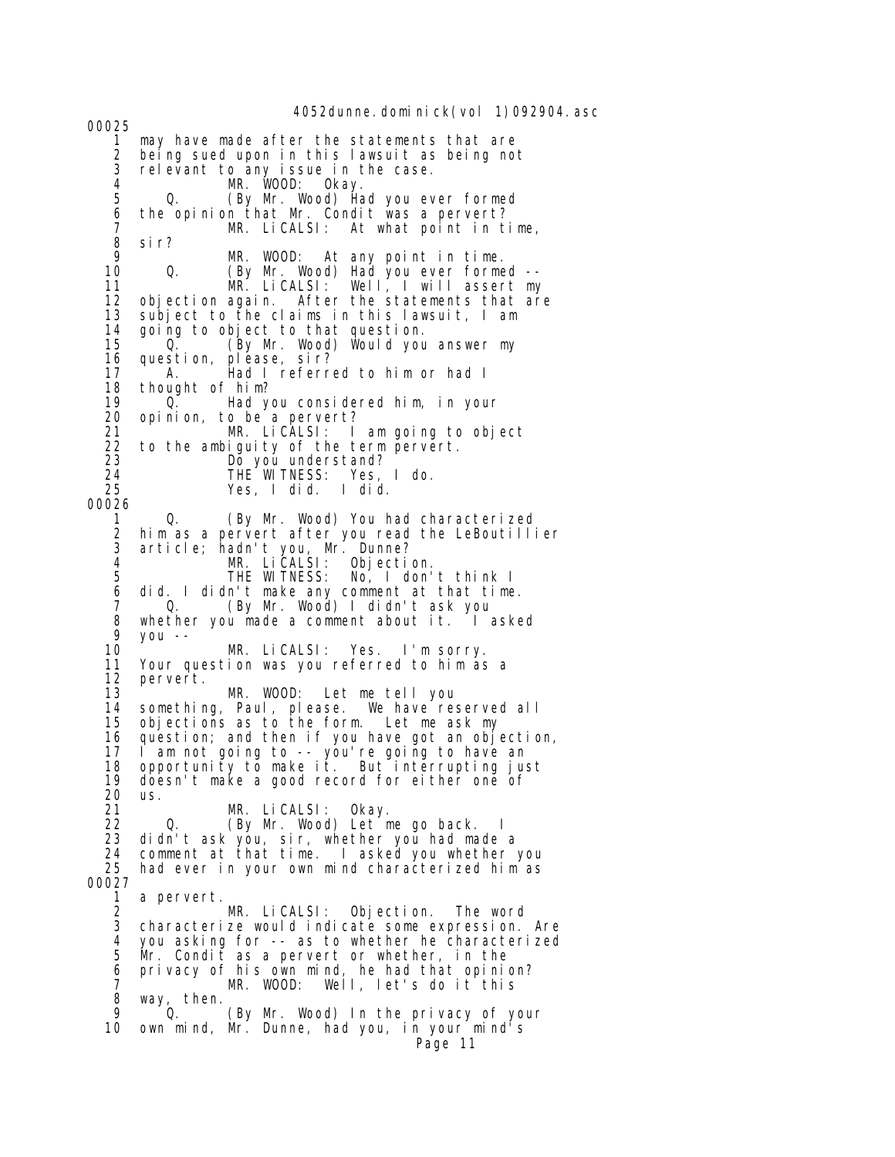4052dunne. domi ni ck(vol 1)092904. asc 00025 1 may have made after the statements that are being sued upon in this lawsuit as being not 3 relevant to any issue in the case. 4 MR. WOOD: Okay. 5 Q. (By Mr. Wood) Had you ever formed 6 the opinion that Mr. Condit was a pervert? 7 MR. LiCALSI: At what point in time, 8 sir? 9 MR. WOOD: At any point in time. 10 Q. (By Mr. Wood) Had you ever formed -- MR. LiCALSI: Well, I will assert my 12 objection again. After the statements that are 13 subject to the claims in this lawsuit, I am 14 going to object to that question. 15 <sup>o.</sup> Q. (By Mr. Wood) Would you answer my<br>16 question, please, sir? 16 question, pléase, sir?<br>17 A. Had I referr A. Had I referred to him or had I 18 thought of him?<br>19 0. Had you 19 Q. Had you considered him, in your 20 opinion, to be a pervert? 21 MR. LiCALSI: I am going to object<br>22 to the ambiquity of the term pervert. 22 to the ambiguity of the term pervert.<br>23  $20$  Do you understand? 23 Do you understand? 24 THE WITNESS: Yes, I do. 25 Yes, I did. I did. 00026 1 Q. (By Mr. Wood) You had characterized 2 him as a pervert after you read the LeBoutillier 3 article; hadn't you, Mr. Dunne? 4 MR. LiCALSI: Objection. 5 THE WITNESS: No, I don't think I 6 did. I didn't make any comment at that time. 7 O. (By Mr. Wood) I didn't ask you<br>8 whether you made a comment about it. I a 8 whether you made a comment about it. I asked<br>9 you -- 9 you -- 10 MR. LiCALSI: Yes. I'm sorry. Your question was you referred to him as a 12 pervert. MR. WOOD: Let me tell you 14 something, Paul, please. We have reserved all<br>15 objections as to the form. Let me ask my 15 objections as to the form. Let me ask my<br>16 question; and then if you have got an obj question; and then if you have got an objection, 17 I am not going to -- you're going to have an 18 opportunity to make it. But`interrupting just<br>19 doesn't make a good record for either one of 19 doesn't make a good record for either one of 20 us.<br>21 21 MR. LiCALSI: Okay. 22 Q. (By Mr. Wood) Let me go back. I 23 didn't ask you, sir, whether you had made a 24 comment at that time. I asked you whether you 25 had ever in your own mind characterized him as 00027 a pervert. 2 MR. LiCALSI: Objection. The word characterize would indicate some expression. Are 4 you asking for -- as to whether he characterized 5 Mr. Condit as a pervert or whether, in the 6 privacy of his own mind, he had that opinion? 7 MR. WOOD: Well, let's do it this<br>8 way, then. , then.<br>Q. 9 Q. (By Mr. Wood) In the privacy of your 10 own mind, Mr. Dunne, had you, in your mind's Page 11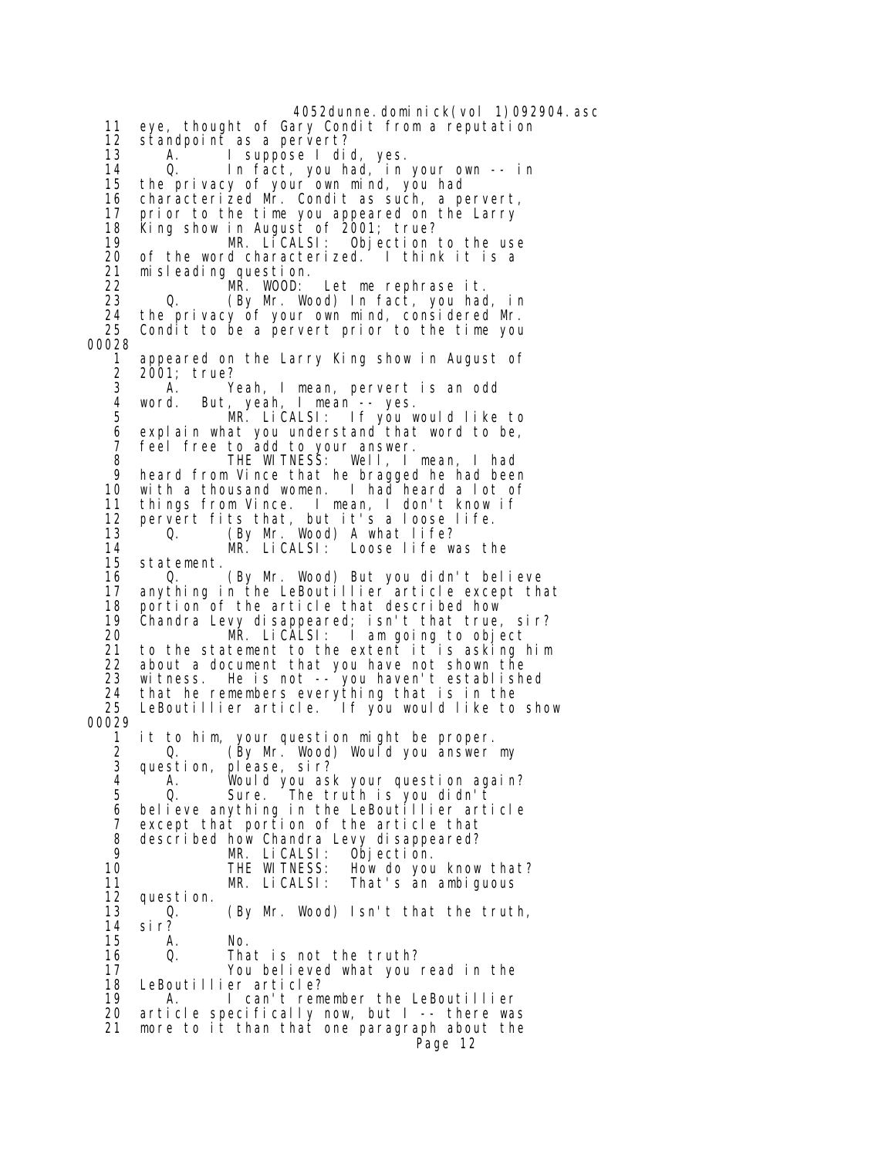4052dunne.dominick(vol 1)092904.asc 11 eye, thought of Gary Condit from a reputation 12 standpoint as a pervert? 13 A. I suppose I did, yes. 14 Q. In fact, you had, in your own -- in 15 the privacy of your own mind, you had 16 characterized Mr. Condit as such, a pervert, 17 prior to the time you appeared on the Larry 18 King show in August of 2001; true? MR. LiCALSI: Objection to the use 20 of the word characterized. I think it is a 21 misleading question.<br>22 MR. WOOD: 22 MR. WOOD: Let me rephrase it. 23 Q. (By Mr. Wood) In fact, you had, in 24 the privacy of your own mind, considered Mr. Condit to be a pervert prior to the time you 00028 appeared on the Larry King show in August of 2 2001; true? 3 A. Yeah, I mean, pervert is an odd 4 word. But, yeah, I mean -- yes. 5 MR. LiCALSI: If you would like to<br>6 explain what you understand that word to be, explain what you understand that word to be, 7 feel free to add to your answer. 8 THE WITNESS: Well, I mean, I had 9 heard from Vince that he bragged he had been<br>10 with a thousand women. I had heard a lot of with a thousand women. I had heard a lot of 11 things from Vince. I mean, I don't know if 12 pervert fits that, but it's a loose life.<br>13 0. (By Mr. Wood) A what life? 13 Q. (By Mr. Wood) A what life? 14 MR. LiCALSI: Loose life was the statement. 16 Q. (By Mr. Wood) But you didn't believe 17 anything in the LeBoutillier article except that portion of the article that described how 19 Chandra Levy disappeared; isn't that true, sir? MR. LiCALSI: I am going to object 21 to the statement to the extent it is asking him about a document that you have not shown the 23 witness. He is not -- you haven't established 24 that he remembers everything that is in the LeBoutillier article. If you would like to show 00029 it to him, your question might be proper. 2 Q. (By Mr. Wood) Would you answer my 3 question, please, sir? 4 A. Would you ask your question again? 5 Q. Sure. The truth is you didn't believe anything in the LeBoutillier article 7 except that portion of the article that 8 described how Chandra Levy disappeared?<br>9 MR. LiCALSI: Objection. 9 MR. LiCALSI:<br>10 THE WITNESS: 10 THE WITNESS: How do you know that? 11 MR. LiCALSI: That's an ambiguous<br>12 question. question. 13 Q. (By Mr. Wood) Isn't that the truth, 14 sir? 15 A. No. 16 Q. That is not the truth? You believed what you read in the 18 LeBoutillier article?<br>19 A. I can't rem A. I can't remember the LeBoutillier 20 article specifically now, but I -- there was 21 more to it than that one paragraph about the Page 12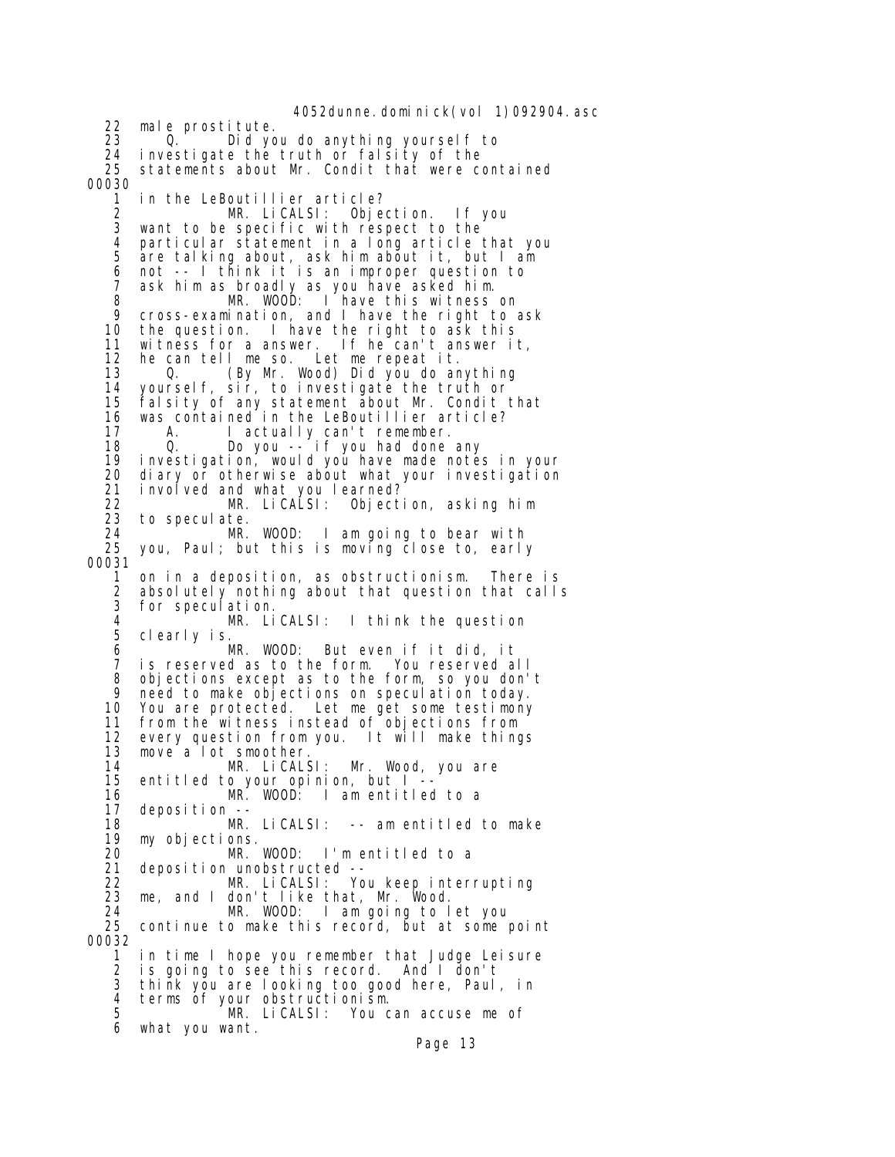4052dunne. domi ni ck(vol 1)092904. asc 22 male prostitute. 23 Q. Did you do anything yourself to 24 investigate the truth or falsity of the<br>25 statements about Mr. Condit that were co statements about Mr. Condit that were contained 00030 1 in the LeBoutillier article? 2 MR. LiCALSI: Objection. If you want to be specific with respect to the 4 particular statement in a long article that you are talking about, ask him about it, but I am 6 not -- I think it is an improper question to 7 ask him as broadly as you have asked him. 8 MR. WOOD: I have this witness on 9 cross-examination, and I have the right to ask<br>10 the question. I have the right to ask this 10 the question. I have the right to ask this 11 witness for a answer. If he can't answer it,<br>12 he can tell me so. Let me repeat it. he can tell me so. 13 Q. (By Mr. Wood) Did you do anything 14 yourself, sir, to investigate the truth or<br>15 falsity of any statement about Mr. Condit 15 falsity of any statement about Mr. Condit that 16 was contained in the LeBoutillier article?<br>17 A. I actually can't remember. 17 A. I actually can't remember. 18 Q. Do you -- if you had done any 19 investigation, would you have made notes in your 20 diary or otherwise about what your investigation<br>21 involved and what you learned? 21 involved and what you learned?<br>22 MR. LiCALSI: Object 22 MR. LiCALSI: Objection, asking him to speculate.<br>MR. WOOD: 24 MR. WOOD: I am going to bear with you, Paul; but this is moving close to, early 00031 1 on in a deposition, as obstructionism. There is 2 absolutely nothing about that question that calls for speculation. 4 MR. LiCALSI: I think the question 5 clearly is. 6 MR. WOOD: But even if it did, it  $7$  is reserved as to the form.<br>8 objections except as to the 8 objections except as to the form, so you don't 9 need to make objections on speculation today. 10 You are protected. Let me get some testimony 11 from the witness instead of objections from 12 every question from you. It will make things 13 move a lot smoother. 14 MR. LiCALSI: Mr. Wood, you are 15 entitled to your opinion, but I -- 16 MR. WOOD: I am entitled to a deposition -- 18 MR. LiCALSI: -- am entitled to make 19 my objections. 20 MR. WOOD: I'm entitled to a -- 21 deposition unobstructed<br>22 MR. LiCALSI: Yo 22 MR. LiCALSI: You keep interrupting<br>23 me, and I don't like that, Mr. Wood. me, and I don't like that, Mr. Wood. 24 MR. WOOD: I am going to let you continue to make this record, but at some point 00032 1 in time I hope you remember that Judge Leisure 2 is going to see this record. And I don't 3 think you are looking too good here, Paul, in 4 terms of your obstructionism. 5 MR. LiCALSI: You can accuse me of 6 what you want. Page 13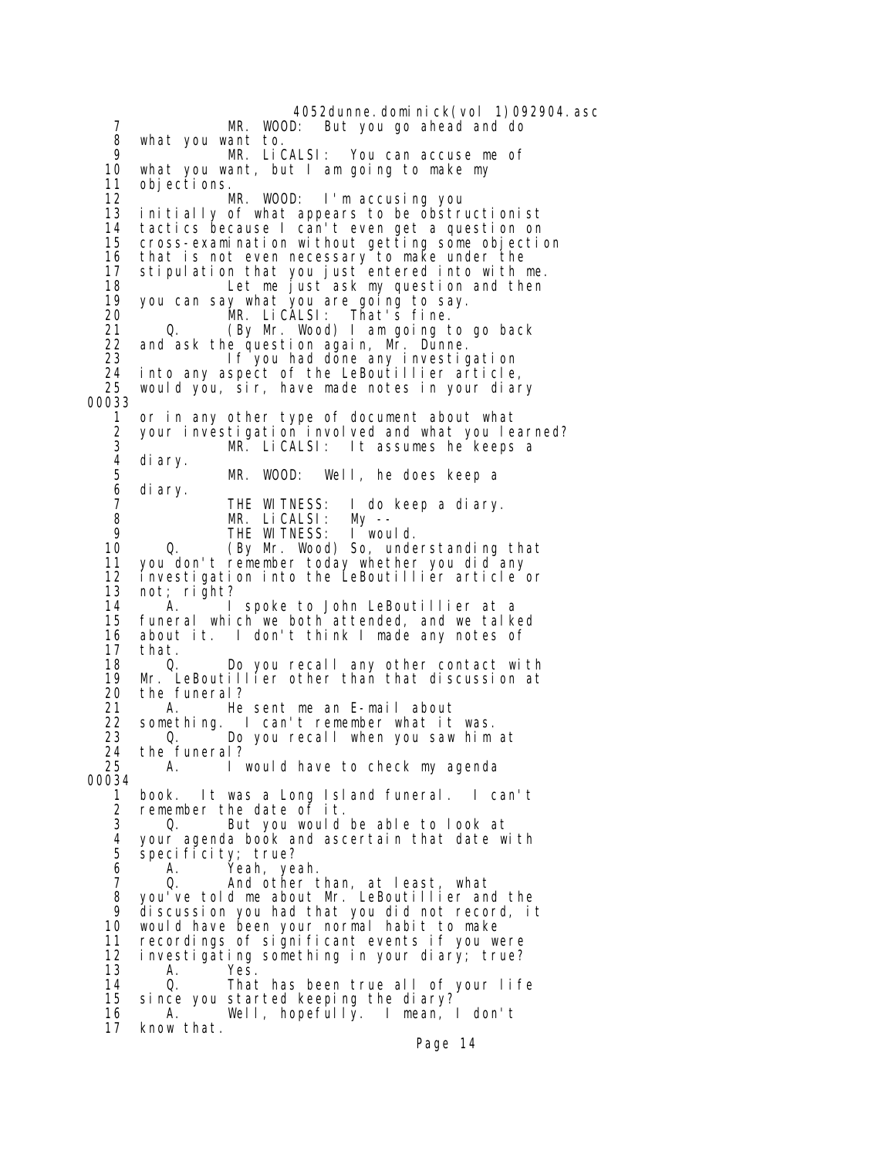4052dunne.dominick(vol 1)092904.asc<br>MR. WOOD: But you go ahead and do But you go ahead and do 8 what you want to. 9 MR. LiCALSI: You can accuse me of<br>10 what you want, but I am going to make my 10 what you want, but I am going to make my 11 objections.<br>12 MR. 12 MR. WOOD: I'm accusing you<br>13 initially of what appears to be obstru 13 initially of what appears to be obstructionist 14 tactics because I can't even get a question on cross-examination without getting some objection 16 that is not even necessary to make under the 17 stipulation that you just entered into with me. 18 Let me just ask my question and then 19 you can say what you are going to say. 20 MR. LiCALSI: That's fine. 21 Q. (By Mr. Wood) I am going to go back<br>22 and ask the question again. Mr. Dunne. 22 and ask the question again, Mr. Dunne. If you had done any investigation 24 into any aspect of the LeBoutillier article, 25 would you, sir, have made notes in your diary 00033 1 or in any other type of document about what 2 your investigation involved and what you learned? 3 MR. LiCALSI: It assumes he keeps a 4 diary. 5 MR. WOOD: Well, he does keep a<br>6 diary. 6 diary. 7 THE WITNESS: I do keep a diary. 8 MR. LiCALSI: My -- 9 THE WITNESS:<br>10 0. (By Mr. Wood 0. (By Mr. Wood) So, understanding that 11 you don't remember today whether you did any 12 investigation into the LeBoutillier article or 13 not; right? 14 A. I spoke to John LeBoutillier at a 15 funeral which we both attended, and we talked 16 about it. I don't think I made any notes of 17 that.<br>18 0 18 O. Do you recall any other contact with<br>19 Mr. LeBoutillier other than that discussion at 19 Mr. LeBoutillier other than that discussion at 20 the funeral? 21 A. He sent me an E-mail about 22 something. I can't remember what it was.<br>23 0. Do you recall when you saw him Do you recall when you saw him at 24 the funeral?<br>25 A. A. I would have to check my agenda 00034 1 book. It was a Long Island funeral. I can't 2 remember the date of it. 3 Q. But you would be able to look at 4 your agenda book and ascertain that date with 5 specificity; true?<br>6 A. Yeah, ye 6 A. Yeah, yeah. 7 Q. And other than, at least, what 8 you've told me about Mr. LeBoutillier and the 9 discussion you had that you did not record, it<br>10 would have been your normal habit to make would have been your normal habit to make 11 recordings of significant events if you were<br>12 investigating something in your diary; true? 12 investigating something in your diary; true? 13 A. Yes.<br>14 O Thai 14 Q. That has been true all of your life<br>15 since you started keeping the diary? since you started keeping the diary? 16 A. Well, hopefully. I mean, I don't 17 know that. Page 14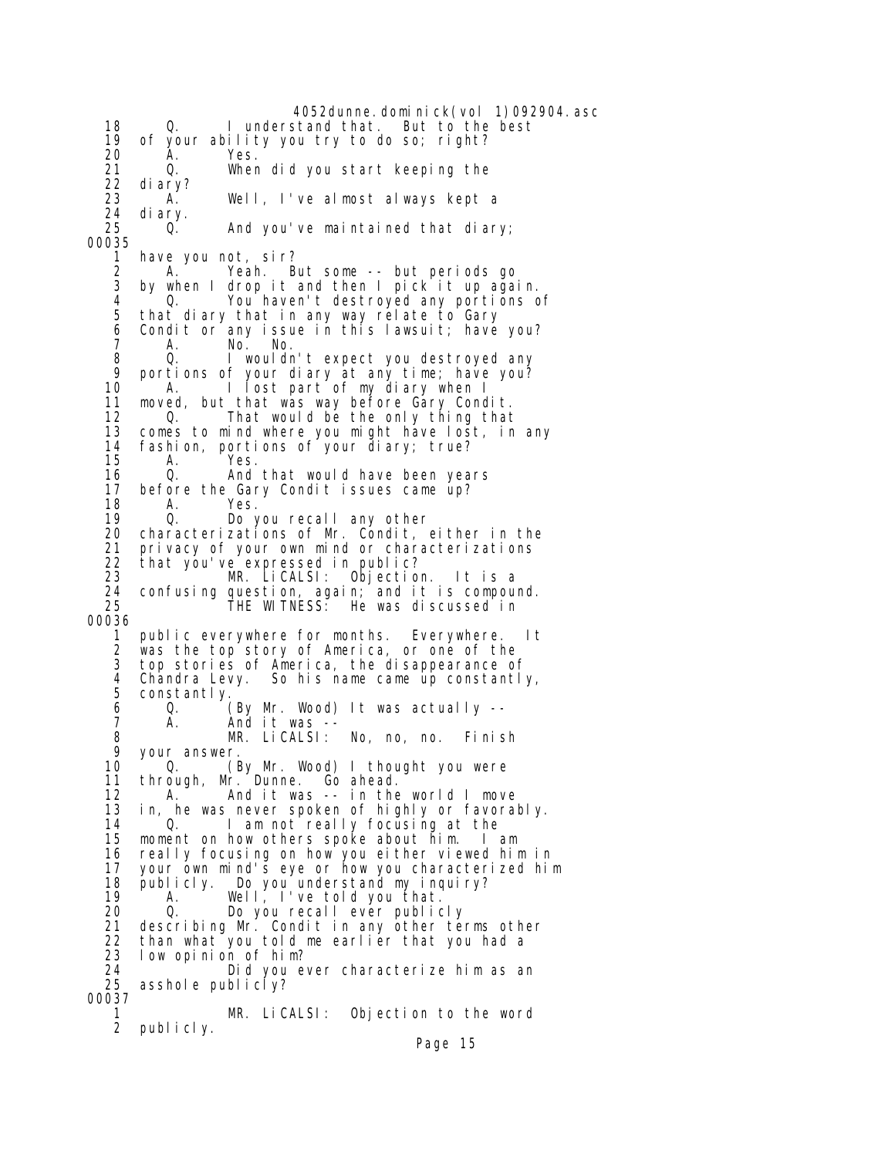4052dunne.dominick(vol 1)092904.asc 18 Q. I understand that. But to the best 19 of your ability you try to do so; right? 20 A. Yes. 21 Q. When did you start keeping the 22 diary? 23 A. Well, I've almost always kept a 24 diary. And you've maintained that diary; 00035 1 have you not, sir? 2 A. Yeah. But some -- but periods go<br>3 by when I drop it and then I pick it up aga by when I drop it and then I pick it up again. 4 <sup>o</sup> Q. You haven't destroyed any portions of<br>5 that diary that in any way relate to Gary that diary that in any way relate to Gary 6 Condit or any issue in this lawsuit; have you?<br> $\frac{7}{7}$  7 A. No. No. 8 Q. I wouldn't expect you destroyed any<br>9 portions of your diary at any time: have you? 9 portions of your diary at any time; have you? 10 A. I lost part of my diary when I 11 moved, but that was way before Gary Condit. 12 Q. That would be the only thing that 13 comes to mind where you might have lost, in any 14 fashion, portions of your diary; true? 15 A. Yes. 16 Q. And that would have been years<br>17 before the Gary Condit issues came up? 17 before the Gary Condit issues came up?<br>18 A. Yes. A. Yes. 19 Q. Do you recall any other<br>20 characterizations of Mr. Condit, e 20 characterizations of Mr. Condit, either in the 21 privacy of your own mind or characterizations<br>22 that you've expressed in public? 22 that you've expressed in public? 23 MR. LiCALSI: Objection. It is a 24 confusing question, again; and it is compound. 25 THE WITNESS: He was discussed in 00036 1 public everywhere for months. Everywhere. It 2 was the top story of America, or one of the top stories of America, the disappearance of 4 Chandra Levy. So his name came up constantly, constantly. 6 Q. (By Mr. Wood) It was actually -- 7 A. And it was --<br>8 MR. LiCALSI: MR. LiCALSI: No, no, no. Finish 9 your answer.<br>10 0. 0. (By Mr. Wood) I thought you were 11 through, Mr. Dunne. Go ahead. 12 A. And it was -- in the world I move<br>13 in, he was never spoken of highly or favoral in, he was never spoken of highly or favorably. 14 Q. I am not really focusing at the<br>15 moment on how others spoke about him. I am 15 moment on how others spoke about him. 16 really focusing on how you either viewed him in 17 your own mind's eye or how you characterized him 18 publicly. Do you understand my inquiry? 19 A. Well, I've told you that. 20 Q. Do you recall ever publicly 21 describing Mr. Condit in any other terms other 22 than what you told me earlier that you had a 23 low opinion of him? 24 Did you ever characterize him as an asshole publicly? 00037 1 MR. LiCALSI: Objection to the word publicly.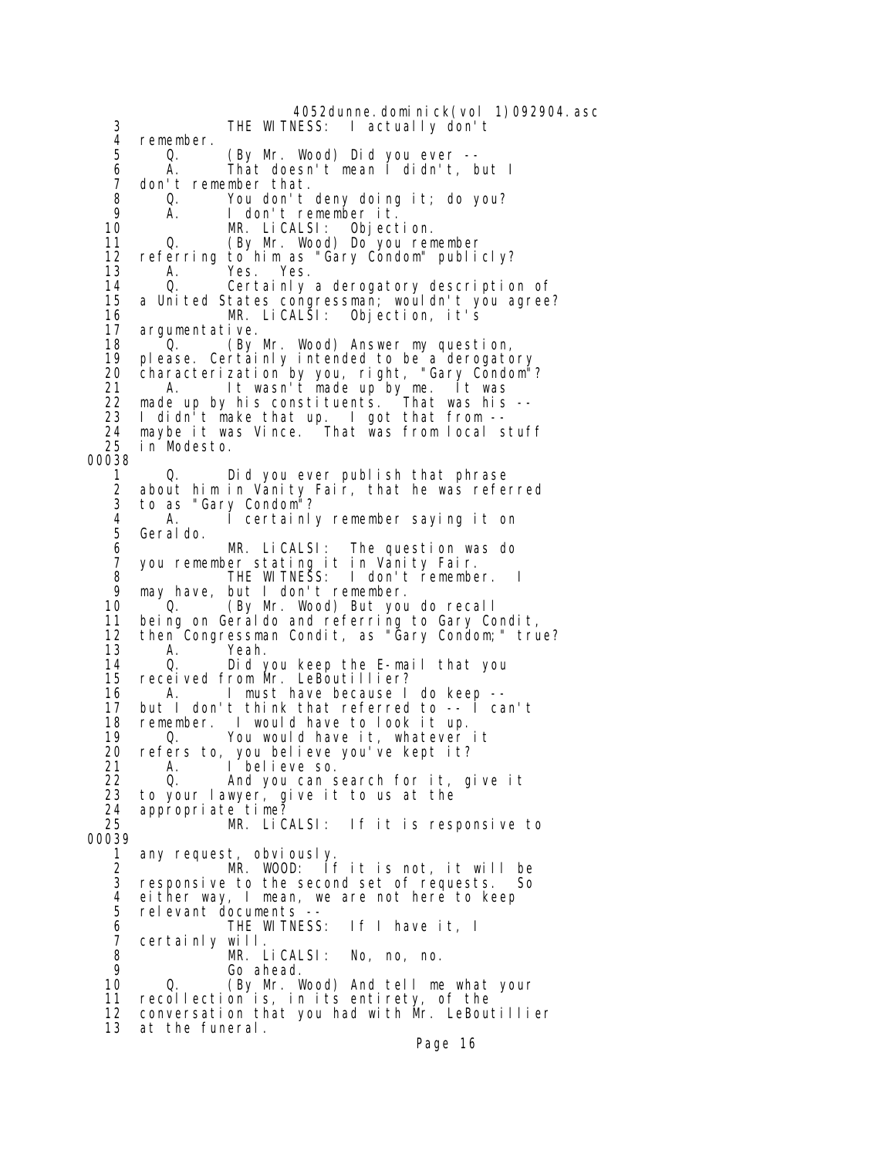4052dunne.dominick(vol 1)092904.asc<br>THE WITNESS: I actually don't 3 THE WITNESS: I actually don't 4 remember.<br>5 0. 5 Q. (By Mr. Wood) Did you ever --<br>6 A. That doesn't mean I didn't, b 6 A. That doesn't mean I didn't, but I 7 don't remember that.<br>8 0. You don't 8 Q. You don't deny doing it; do you? e a contremember it.<br>10 MR. LiCALSI: Object MR. LiCALSI: Objection.<br>10. CBy Mr. Wood) Do you rem 11 Q. (By Mr. Wood) Do you remember 12 referring to him as "Gary Condom" publicly?<br>13 A. Yes. Yes. 13 A. Yes. Yes.<br>14 O. Certainly 14 Q. Certainly a derogatory description of 15 a United States congressman; wouldn't you agree? 16 MR. LiCALSI: Objection, it's 17 argumentative.<br>18 0 GN 18 <sup>o</sup> Q. (By Mr. Wood) Answer my question,<br>19 please. Certainly intended to be a derogate please. Certainly intended to be a derogatory 20 characterization by you, right, "Gary Condom"? 21 A. It wasn't made up by me. It was 22 made up by his constituents. That was his -- 23 I didn't make that up. I got that from -- 24 maybe it was Vince. That was from local stuff in Modesto. 00038 1 Q. Did you ever publish that phrase<br>2 about him in Vanity Fair, that he was refer 2 about him in Vanity Fair, that he was referred 3 to as "Gary Condom"? 4 A. I certainly remember saying it on Geraldo. 6 MR. LiCALSI: The question was do 7 you remember stating it in Vanity Fair.<br>8 THE WITNESS: I don't remembe 8 THE WITNESS: I don't remember. I 9 may have, but I don't remember. (By Mr. Wood) But you do recall 11 being on Geraldo and referring to Gary Condit,<br>12 then Congressman Condit, as "Gary Condom;" tru then Congressman Condit, as "Gary Condom;" true? 13 A. Yeah. 14 Q. Did you keep the E-mail that you received from Mr. LeBoutillier? 16 A. I must have because I do keep -- 17 but I don't think that referred to -- I can't 18 remember. I would have to look it up.<br>19 0. You would have it, whatever 0. You would have it, whatever it 20 refers to, you believe you've kept it? 21 A. I believe so. 22 Q. And you can search for it, give it<br>23 to your lawyer, give it to us at the 23 to your lawyer, give it to us at the 24 appropriate time? 25 MR. LiCALSI: If it is responsive to 00039 1 any request, obviously. 2 MR. WOOD: If it is not, it will be 3 responsive to the second set of requests. So<br>4 either way I mean, we are not here to keep 4 either way, I mean, we are not here to keep relevant documents --<br>THE WITNESS: 6 THE WITNESS: If I have it, I 7 certainly will. 8 MR. LiCALSI: No, no, no. 9 Go ahead. 0. (By Mr. Wood) And tell me what your 11 recollection is, in its entirety, of the 12 conversation that you had with Mr. LeBoutillier 13 at the funeral.

Page 16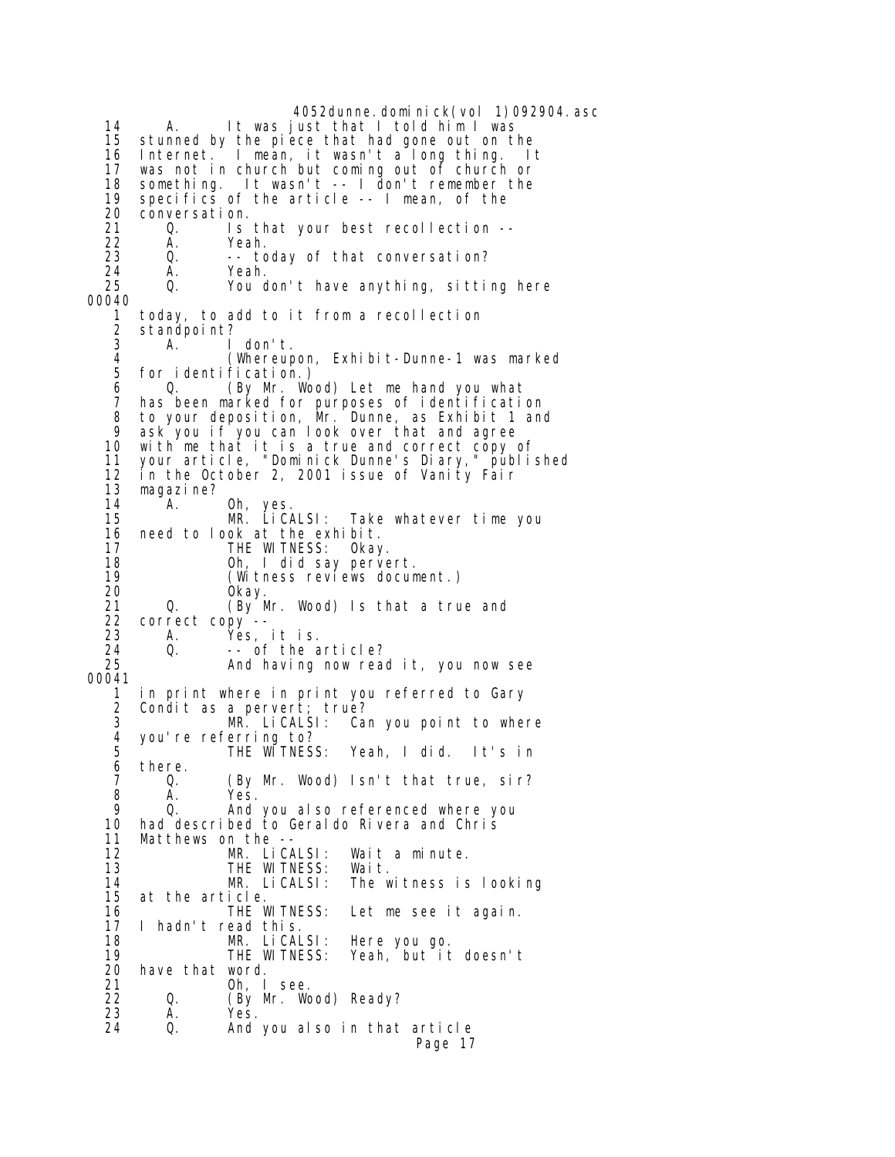4052dunne.dominick(vol 1)092904.asc 14 A. It was just that I told him I was 15 stunned by the piece that had gone out on the<br>16 Internet. I mean, it wasn't a long thing. I 16 Internet. I mean, it wasn't a long thing. It<br>17 was not in church but coming out of church or 17 was not in church but coming out of church or 18 something. It wasn't -- I don't remember the 19 specifics of the article -- I mean, of the 20 conversation.<br>21 0. Is 0. Is that your best recollection -- 22 A. Yeah. 23 Q. -- today of that conversation?<br>24 A. Yeah. 24 A. Yeah. You don't have anything, sitting here 00040 1 today, to add to it from a recollection 2 standpoint?<br>3 A  $\begin{array}{ccc} 3 & \text{A.} & \text{I don't.} \\ 4 & \text{(Whenever)} \end{array}$  4 (Whereupon, Exhibit-Dunne-1 was marked for identification.) 6 Q. (By Mr. Wood) Let me hand you what 7 has been marked for purposes of identification 8 to your deposition, Mr. Dunne, as Exhibit 1 and 9 ask you if you can look over that and agree 10 with me that it is a true and correct copy of 11 your article, "Dominick Dunne's Diary," published 12 in the October 2, 2001 issue of Vanity Fair<br>13 magazine? 13 magazine?<br>14 A. 0h, yes.<br>MR. LiCALSI: 15 MR. LiCALSI: Take whatever time you 16 need to look at the exhibit. 17 THE WITNESS: Okay. 18 Oh, I did say pervert. 19 (Witness reviews document.) 20 Okay. Q. (By Mr. Wood) Is that a true and 22 correct copy -- 23 A. Yes, it is. 24 Q. -- of the article?<br>25 And having now read And having now read it, you now see 00041 1 in print where in print you referred to Gary 2 Condit as a pervert; true? 3 MR. LiCALSI: Can you point to where<br>4 you're referring to? 4 you're referring to? 5 THE WITNESS: Yeah, I did. It's in 6 there.<br>7 0. 7 Q. (By Mr. Wood) Isn't that true, sir? 8 A. Yes.<br>9 0. And 9 Q. And you also referenced where you 10 had described to Geraldo Rivera and Chris 11 Matthews on the -- 12 MR. LiCALSI: Wait a minute.<br>13 THE WITNESS: Wait. 13 THE WITNESS:<br>14 MR. LiCALSI: 14 MR. LiCALSI: The witness is looking at the article.<br>THE WITNESS: 16 THE WITNESS: Let me see it again. 17 I hadn't read this. 18 MR. LiCALSI: Here you go. 19 THE WITNESS: Yeah, but it doesn't 20 have that word.<br>21 0h l 21 Oh, I see.<br>22 O. (By Mr. Wo 22 Q. (By Mr. Wood) Ready?<br>23 A. Yes. 23 A. Yes. Q. And you also in that article Page 17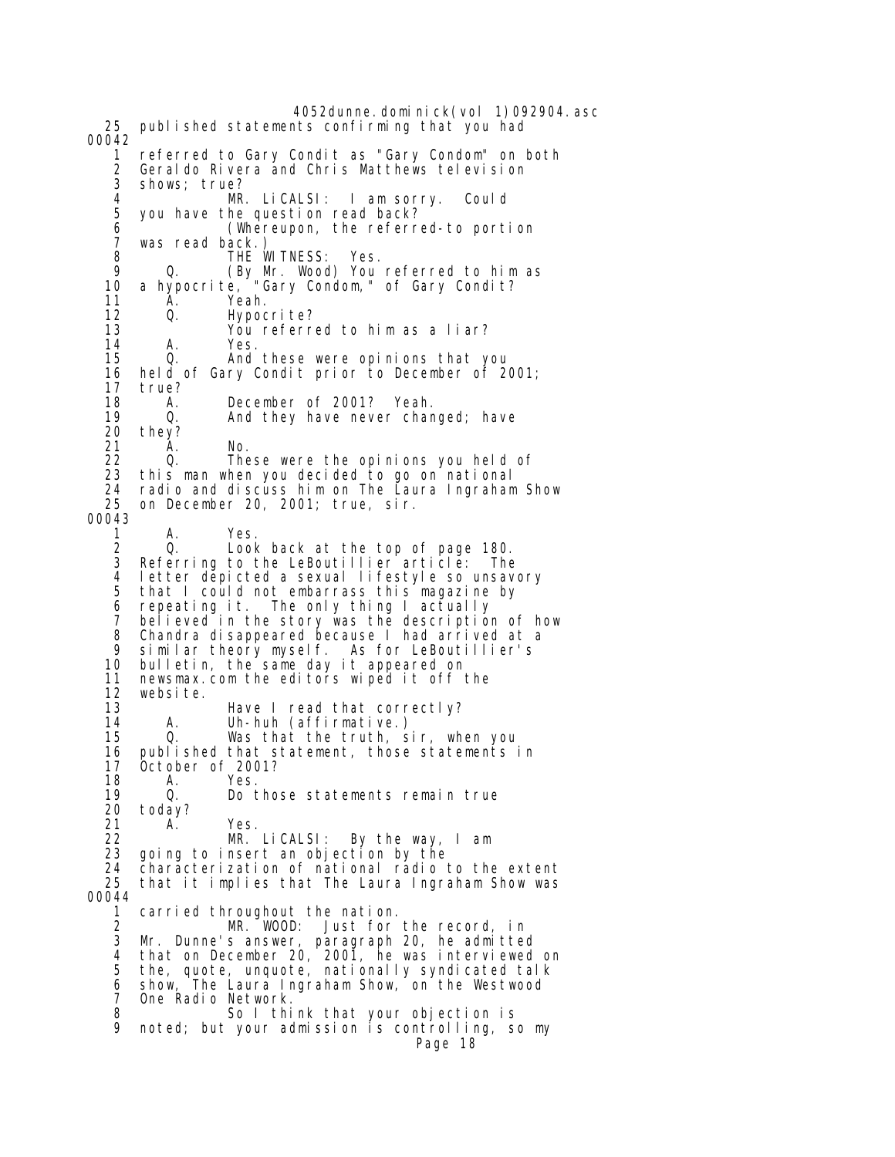4052dunne.dominick(vol 1)092904.asc 25 published statements confirming that you had 00042 1 referred to Gary Condit as "Gary Condom" on both 2 Geraldo Rivera and Chris Matthews television shows; true? 4 MR. LiCALSI: I am sorry. Could you have the question read back? 6 <sup>-</sup> (Whereupon, the referred-to portion)<br>7 was read back.) 7 was read back.) 8 THE WITNESS: Yes. 9 Q. (By Mr. Wood) You referred to him as 10 a hypocrite, "Gary Condom," of Gary Condit? 11 A. Yeah.<br>12 Q. Hypoc 12 Q. Hypocrite? 13 You referred to him as a liar? 14 A. Yes. And these were opinions that you 16 held of Gary Condit prior to December of 2001; 17 true? 18 A. December of 2001? Yeah.<br>19 0. And they have never char 19 0. And they have never changed; have 10 and they? 20 they?<br>21 A. 21 A. No. 22 Q. These were the opinions you held of<br>23 this man when you decided to go on national 23 this man when you decided to go on national 24 radio and discuss him on The Laura Ingraham Show on December 20, 2001; true, sir. 00043 1 A. Yes.<br>2 Q. Look 2 Q. Look back at the top of page 180. Referring to the LeBoutillier article: The 4 letter depicted a sexual lifestyle so unsavory<br>5 that I could not embarrass this magazine by 5 that I could not embarrass this magazine by 6 repeating it. The only thing I actually 7 believed in the story was the description of how<br>8 Chandra disappeared because I had arrived at a 8 Chandra disappeared because I had arrived at a 9 similar theory myself. As for LeBoutillier's bulletin, the same day it appeared on 11 newsmax.com the editors wiped it off the 12 website. 13 Have I read that correctly?<br>14 A. Uh-huh (affirmative.) 14 A. Uh-huh (affirmative.) Was that the truth, sir, when you 16 published that statement, those statements in 17 October of 2001? 18 A. Yes.<br>19 Q. Do 19 0. Do those statements remain true<br>20 todav? 20 today?<br>21 A. 21 A. Yes.<br>22 MR. 22 MR. LiCALSI: By the way, I am 23 going to insert an objection by the 24 characterization of national radio to the extent that it implies that The Laura Ingraham Show was 00044 1 carried throughout the nation. 2 MR. WOOD: Just for the record, in Mr. Dunne's answer, paragraph 20, he admitted 4 that on December 20, 2001, he was interviewed on 5 the, quote, unquote, nationally syndicated talk 6 show, The Laura Ingraham Show, on the Westwood 7 One Radio Network. 8 So I think that your objection is 9 noted; but your admission is controlling, so my Page 18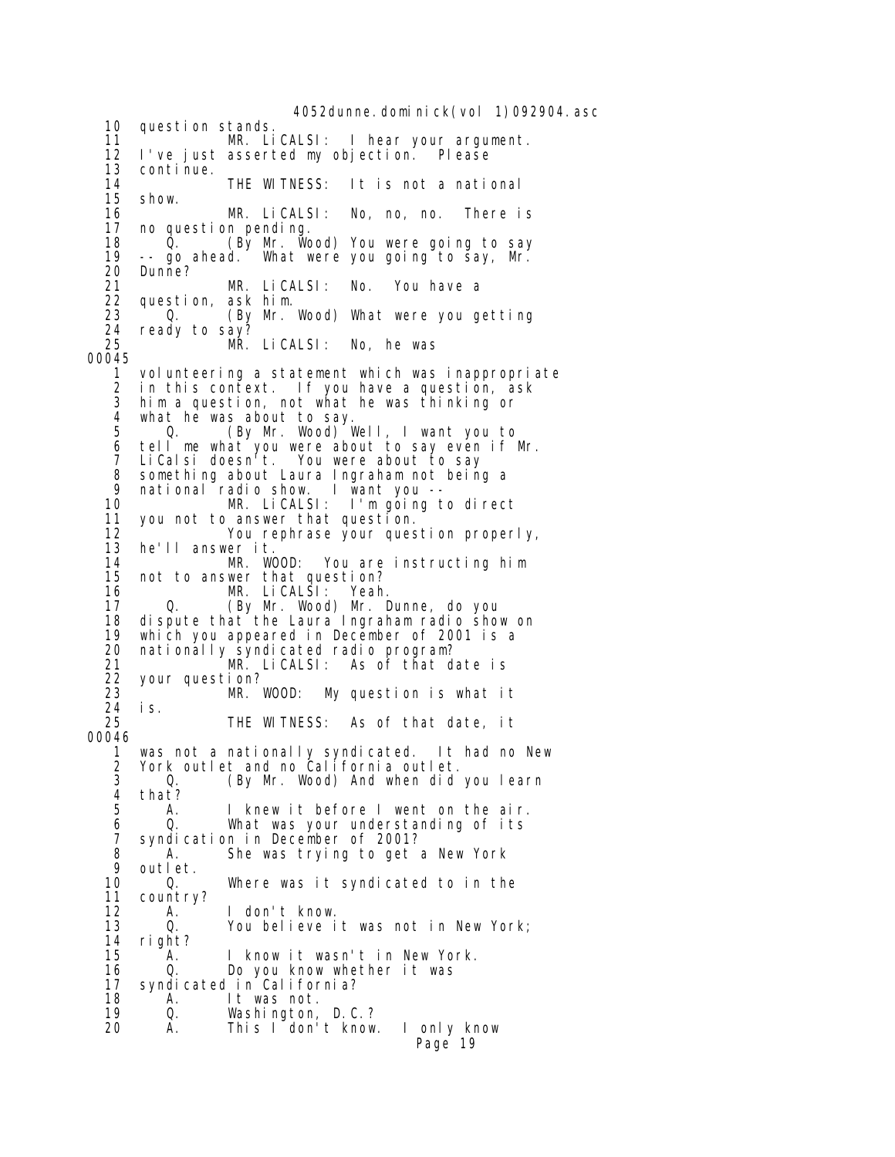4052dunne. domi ni ck(vol 1)092904. asc 10 question stands. 11 MR. LiCALSI: I hear your argument.<br>12 I've iust asserted my objection. Please 12 I've just asserted my objection. Please 13 continue.<br>14 14 THE WITNESS: It is not a national<br>15 show. 15 show. 16 MR. LiCALSI: No, no, no. There is 17 no question pending. 18 Q. (By Mr. Wood) You were going to say<br>19 -- go ahead. What were you going to say, Mr. 19 -- go ahead. What were you going to say, Mr. 20 Dunne?<br>21 21 MR. LiCALSI: No. You have a 22 question, ask him. 23 Q. (By Mr. Wood) What were you getting<br>24 ready to say? 24 ready to say? MR. LiCALSI: No, he was 00045 1 volunteering a statement which was inappropriate 2 in this context. If you have a question, ask 3 him a question, not what he was thinking or 4 what he was about to say.<br>5 0. (By Mr. Wood) Q. (By Mr. Wood) Well, I want you to 6 tell me what you were about to say even if Mr. 7 LiCalsi doesn't. You were about to say 8 something about Laura Ingraham not being a<br>9 national radio show. I want you --9 national radio show.<br>10 MR. LiCALS  $MR.$  LiCALSI: I'm going to direct 11 you not to answer that question. 12 You rephrase your question properly, 13 he'll answer it. 14 MR. WOOD: You are instructing him 15 not to answer that question?<br>16 MR. LiCALSI: Yeah 16 MR. LiCALSI: Yeah. 0. (By Mr. Wood) Mr. Dunne, do you 18 dispute that the Laura Ingraham radio show on<br>19 which you appeared in December of 2001 is a which you appeared in December of 2001 is a 20 nationally syndicated radio program? 21 MR. LiCALSI: As of that date is 22 your question? 23 MR. WOOD: My question is what it 24 is. THE WITNESS: As of that date, it 00046 1 was not a nationally syndicated. It had no New 2 York outlet and no California outlet. 3 Q. (By Mr. Wood) And when did you learn 4 that?<br>5 A. I knew it before I went on the air. 6 Q. What was your understanding of its 7 syndication in December of 2001?<br>8 A. She was trying to get 8 A. She was trying to get a New York<br>9 outlet 9 outlet. 10 Q. Where was it syndicated to in the country? 12 A. I don't know. 13 Q. You believe it was not in New York; 14 right? 15 A. I know it wasn't in New York. 0. Do you know whether it was 17 syndicated in California? 18 A. It was not.<br>19 0. Washi ngton, 19 Q. Washington, D.C.? This I don't know. I only know Page 19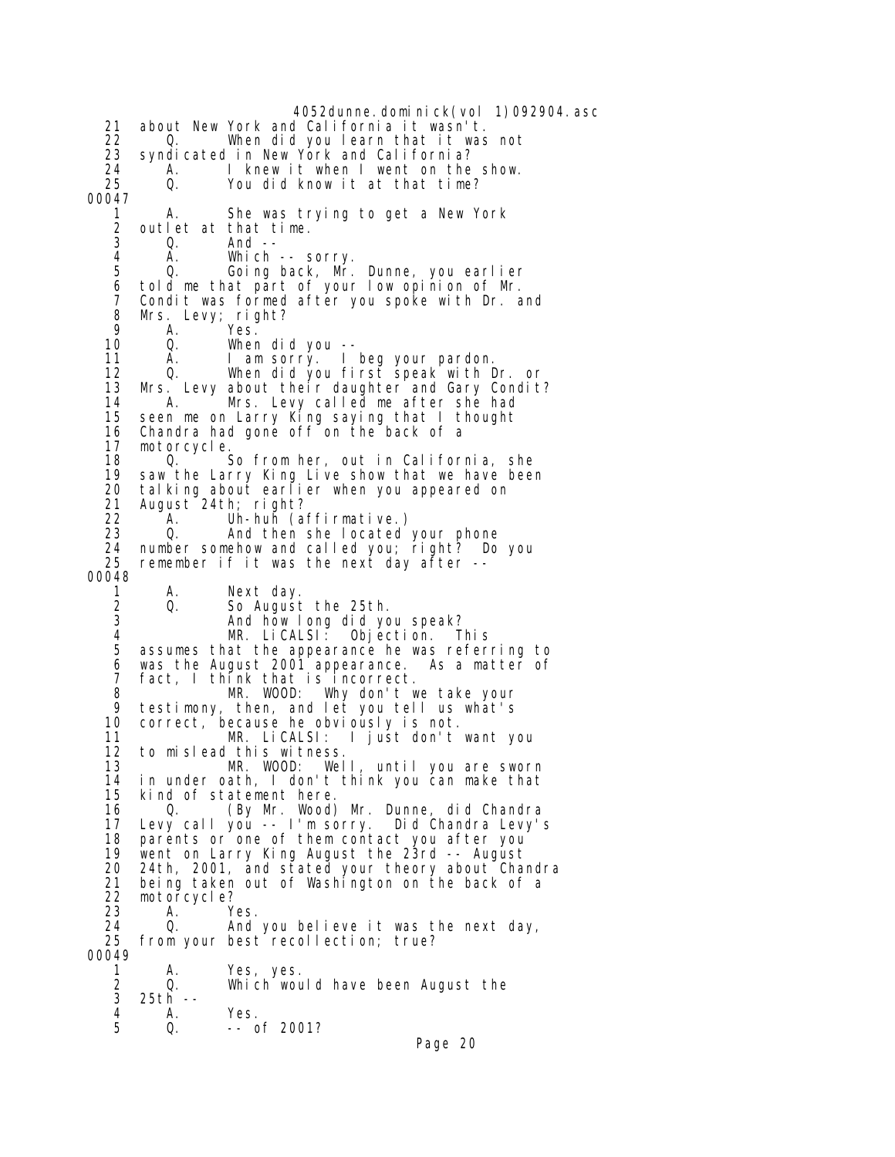4052dunne.dominick(vol 1)092904.asc 21 about New York and California it wasn't. 22 Q. When did you learn that it was not 23 syndicated in New York and California?<br>24 A. I knew it when I went on the 24 A. I knew it when I went on the show.<br>25 Q. You did know it at that time? You did know it at that time? 00047 1 A. She was trying to get a New York 2 outlet at that time. 0. And --4 A. Which -- sorry.<br>5 Q. Going back, Mr. 5 Q. Going back, Mr. Dunne, you earlier 6 told me that part of your low opinion of Mr. Condit was formed after you spoke with Dr. and 8 Mrs. Levy; right?<br>9 A. Yes. 9 A. Yes.<br>10 Q. Wher 10 Q. When did you -- I am sorry. I beg your pardon. 12 Q. When did you first speak with Dr. or 13 Mrs. Levy about their daughter and Gary Condit?<br>14 A. Mrs. Levy called me after she had 14 A. Mrs. Levy called me after she had 15 seen me on Larry King saying that I thought Chandra had gone off on the back of a 17 motorcycle.<br>18 0. 18 Q. So from her, out in California, she<br>19 saw the Larry King Live show that we have been 19 saw the Larry King Live show that we have been<br>20 talking about earlier when you appeared on 20 talking about earlier when you appeared on<br>21 August 24th; right? 21 August 24th; right? 22 <sup>A</sup>. Uh-huh (affirmative.)<br>23 O. And then she located 23 Q. And then she located your phone 24 number somehow and called you; right? Do you<br>25 remember if it was the next day after -remember if it was the next day after  $-$ -00048 1 A. Next day. 2 Q. So August the 25th. 3 And how long did you speak?<br>4 MR. LiCALSI: Objection. T 4 MR. LiCALSI: Objection. This 5 assumes that the appearance he was referring to 6 was the August 2001 appearance. As a matter of<br>7 fact I think that is incorrect 7 fact, I think that is incorrect. 8 MR. WOOD: Why don't we take your 9 testimony, then, and let you tell us what's 10 correct, because he obviously is not. 11 MR. LiCALSI: I just don't want you 12 to mislead this witness. 13 MR. WOOD: Well, until you are sworn 14 in under oath, I don't think you can make that 15 kind of statement here. 16 Q. (By Mr. Wood) Mr. Dunne, did Chandra 17 Levy call you -- I'm sorry. Did Chandra Levy's 18 parents or one of them contact you after you<br>19 went on Larry King August the 23rd -- August 19 went on Larry King August the 23rd -- August 20 24th, 2001, and stated your theory about Chandra 21 being taken out of Washington on the back of a motorcycle? 23 A. Yes. 24 Q. And you believe it was the next day, 25 from your best recollection; true? 00049 1 A. Yes, yes. 2 Q. Which would have been August the<br>3 25th --25th -- 4 A. Yes.  $- -$  of 2001? Page 20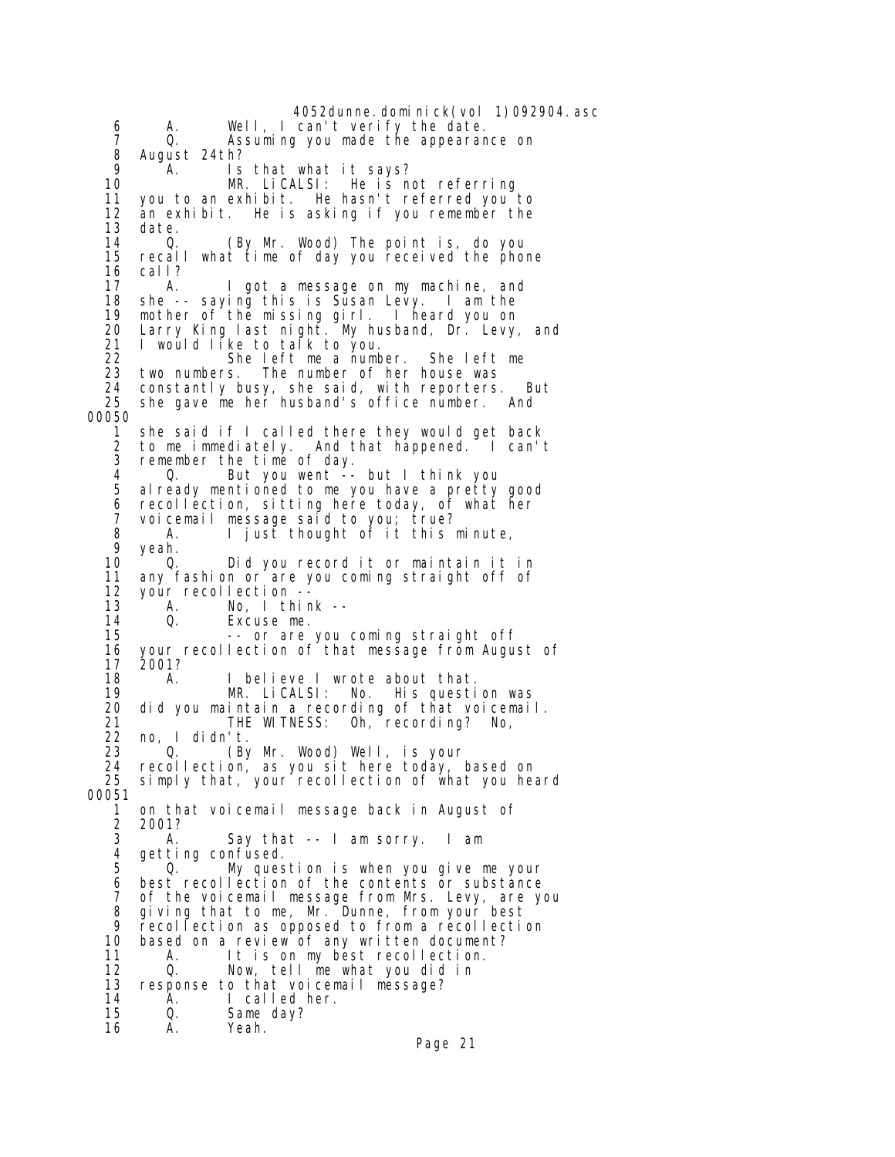4052dunne.dominick(vol 1)092904.asc 6 A. Well, I can't verify the date. 7 Q. Assuming you made the appearance on 8 August 24th?<br>9 A. Is 9 A. Is that what it says? MR. LiCALSI: He is not referring 11 you to an exhibit. He hasn't referred you to 12 an exhibit. He is asking if you remember the<br>13 date. date. 14 Q. (By Mr. Wood) The point is, do you<br>15 recall what time of day you received the phom 15 recall what time of day you received the phone 16 call? A. I got a message on my machine, and 18 she -- saying this is Susan Levy. I am the 19 mother of the missing girl. I heard you on 20 Larry King last night. My husband, Dr. Levy, and 21 I would like to talk to you. She left me a number. She left me<br>two numbers. The number of her house was 23 two numbers. The number of her house was 24 constantly busy, she said, with reporters. But 25 she gave me her husband's office number. And 00050 1 she said if I called there they would get back 2 to me immediately. And that happened. I can't 3 remember the time of day. 4 Q. But you went -- but I think you<br>5 already mentioned to me you have a pretty al ready mentioned to me you have a pretty good 6 recollection, sitting here today, of what her 7 voicemail message said to you; true? 8 A. I just thought of it this minute,<br>9 veah. 9 yeah.<br>10 0. 10 Q. Did you record it or maintain it in<br>11 any fashion or are you coming straight off of 11 any fashion or are you coming straight off of<br>12 your recollection -- 12 your recollection -- 13 A. No, I think --<br>14 0. Excuse me. 14 Q. Excuse me. -- or are you coming straight off 16 your recollection of that message from August of<br>17 2001?  $2001?$  18 A. I believe I wrote about that. 19 MR. LiCALSI: No. His question was 20 did you maintain a recording of that voicemail. 21 THE WITNESS: Oh, recording? No, 22 no, I didn't. (By Mr. Wood) Well, is your 24 recollection, as you sit here today, based on simply that, your recollection of what you heard 00051 1 on that voicemail message back in August of 2 2001?<br>3 A. A. Say that -- I am sorry. I am 4 getting confused. 5 Q. My question is when you give me your 6 best recollection of the contents or substance<br>7 of the voicemail message from Mrs. Levy, are y 7 of the voicemail message from Mrs. Levy, are you 8 giving that to me, Mr. Dunne, from your best 9 recollection as opposed to from a recollection<br>10 based on a review of any written document? 10 based on a review of any written document?<br>11 A. It is on my best recollection. 11 A. It is on my best recollection.<br>12 Q. Now, tell me what you did in Now, tell me what you did in 13 response to that voicemail message?<br>14 A. I called her. 14 A. I called her. Q. Same day?<br>A. Yeah. 16 A. Yeah.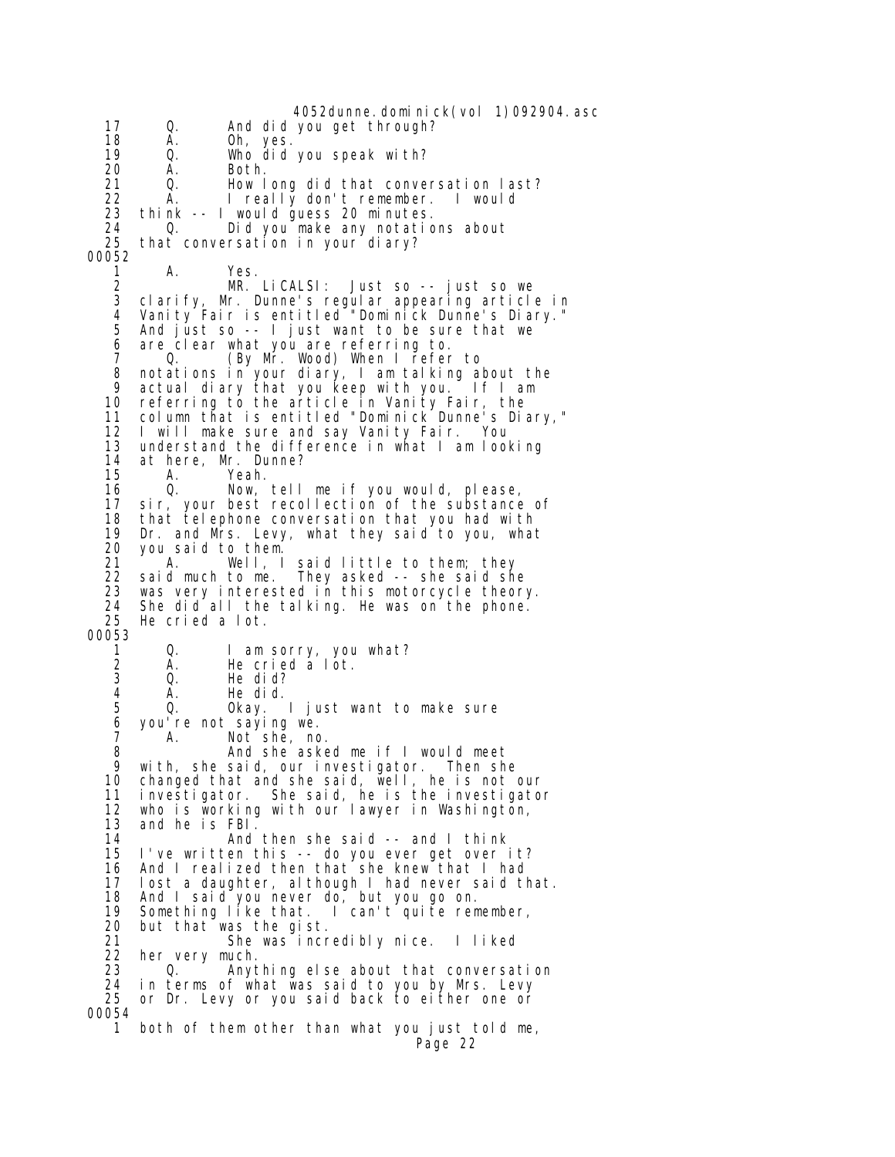4052dunne. domi ni ck(vol 1)092904. asc 17 Q. And did you get through? 18 A. Oh, yes. 19 Q. Who did you speak with? 20 A. Both. 21 Q. How long did that conversation last? 22 A. I really don't remember. I would 23 think -- I would guess 20 minutes. 24 Q. Did you make any notations about that conversation in your diary? 00052 1 A. Yes.<br>2 MR. 2 MR. LiCALSI: Just so -- just so we 3 clarify, Mr. Dunne's regular appearing article in 4 Vanity Fair is entitled "Dominick Dunne's Diary." 5 And just so -- I just want to be sure that we 6 are clear what you are referring to. (By Mr. Wood) When I refer to 8 notations in your diary, I am talking about the 9 actual diary that you keep with you. If I am<br>10 referring to the article in Vanity Fair, the 10 referring to the article in Vanity Fair, the 11 column that is entitled "Dominick Dunne's Diary," 12 I will make sure and say Vanity Fair. You 13 understand the difference in what I am looking 14 at here, Mr. Dunne?<br>15 A. Yeah. 15 A. Yeah.<br>16 Q. Now. 16 Q. Now, tell me if you would, please, sir, your best recollection of the substance of 18 that telephone conversation that you had with<br>19 Dr. and Mrs. Levy, what they said to you, wha 19 Dr. and Mrs. Levy, what they said to you, what 20 you said to them. 21 A. Well, I said little to them; they<br>22 said much to me. They asked -- she said sh 22 said much to me. They asked -- she said she was very interested in this motorcycle theory. 24 She did all the talking. He was on the phone.<br>25 He cried a lot. He cried a lot. 00053 1 Q. I am sorry, you what? 2 A. He cried a lot. 3 Q. He did?<br>4 A. He did. 4 A. He did. Q. Okay. I just want to make sure 6 you're not saying we. A. Not she, no. 8 And she asked me if I would meet<br>9 with she said our investigator Then she 9 with, she said, our investigator. Then she 10 changed that and she said, well, he is not our<br>11 investigator. She said, he is the investigato 11 investigator. She said, he is the investigator who is working with our lawyer in Washington, 13 and he is FBI. 14 And then she said -- and I think 15 I've written this -- do you ever get over it? 16 And I realized then that she knew that I had<br>17 Iost a daughter, although I had never said tl 17 lost a daughter, although I had never said that.<br>18 And I said you never do, but you go on. And I said you never do, but you go on. 19 Something like that. I can't quite remember,<br>20 but that was the gist. 20 but that was the gist. 21 She was incredibly nice. I liked<br>22 her very much. 22 her very much. Q. Anything else about that conversation 24 in terms of what was said to you by Mrs. Levy 25 or Dr. Levy or you said back to either one or 00054 1 both of them other than what you just told me, Page 22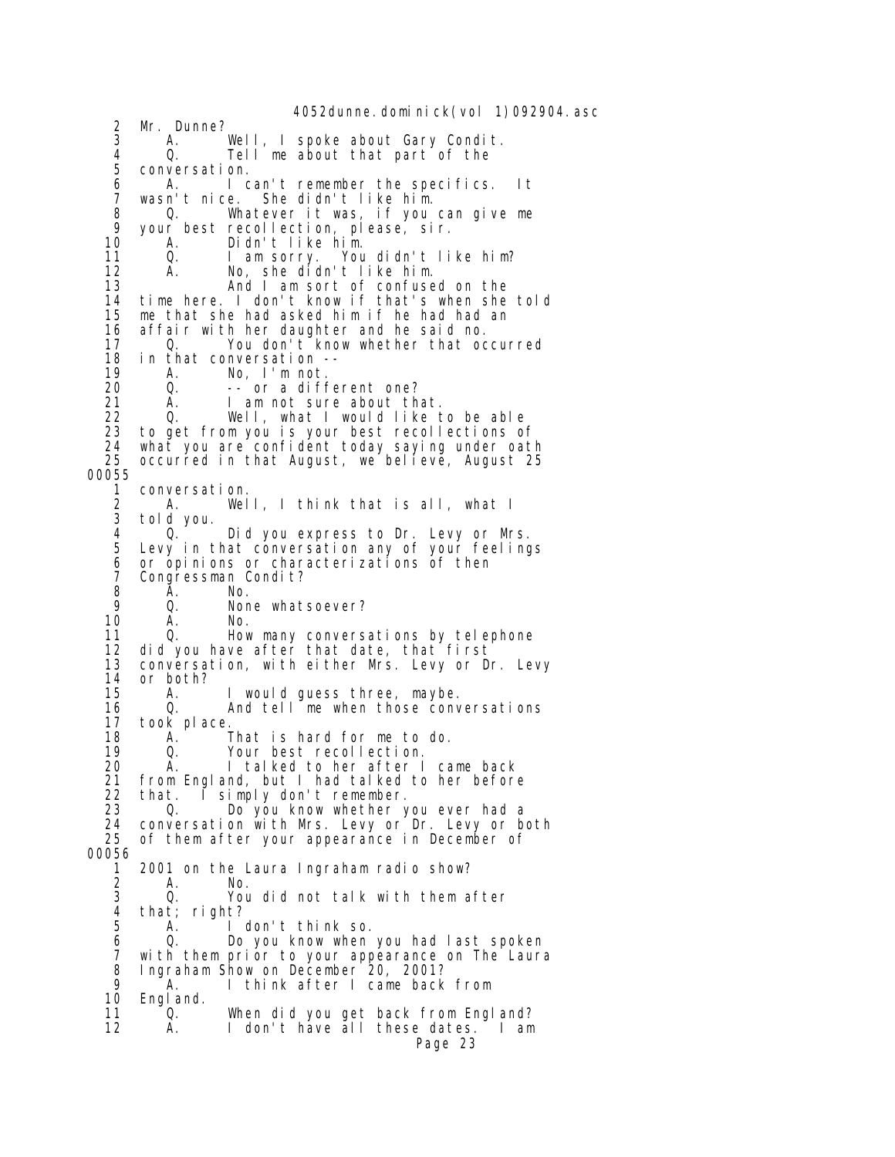4052dunne. domi ni ck(vol 1)092904. asc 2 Mr. Dunne?<br>3 A. 3 A. Well, I spoke about Gary Condit. 4 Q. Tell me about that part of the 5 conversation. 6 A. I can't remember the specifics. It 7 wasn't nice. She didn't like him. 8 Q. Whatever it was, if you can give me<br>9 your best recollection please sir 9 your best recollection, please, sir. A. Didn't like him.<br>O. I am sorry. You 11 Q. I am sorry. You didn't like him?<br>12 A. No, she didn't like him. 12 A. No, she didn't like him. 13 And I am sort of confused on the 14 time here. I don't know if that's when she told 15 me that she had asked him if he had had an 16 affair with her daughter and he said no.<br>17 0. You don't know whether that oc 17 Q. You don't know whether that occurred<br>18 in that conversation --18 in that conversation --<br>19 A. No. I'm not. A. No, I'm not. 20 Q. -- or a different one?<br>21 A. I am not sure about th 21 A. I am not sure about that.<br>22 O. Well. what I would like t 22 Q. Well, what I would like to be able 23 to get from you is your best recollections of 24 what you are confident today saying under oath 25 occurred in that August, we believe, August 25 00055 1 conversation. 2 A. Well, I think that is all, what I 3 told you. 4 Q. Did you express to Dr. Levy or Mrs. Levy in that conversation any of your feelings 6 or opinions or characterizations of then<br>7 Congressman Condit? 7 Congressman Condit?<br>8 A. No. 8 **A**. No. 9 Q. None whatsoever?<br>10 A. No. 10 A. No.<br>11 Q. How 11 Q. How many conversations by telephone 12 did you have after that date, that first 13 conversation, with either Mrs. Levy or Dr. Levy 14 or both? 15 A. I would guess three, maybe. 16 Q. And tell me when those conversations 17 took place.<br>18 A. 18 A. That is hard for me to do.<br>19 0. Your best recollection. 19 Q. Your best recollection. 20 A. I talked to her after I came back 21 from England, but I had talked to her before<br>22 that I simply don't remember 22 that. I simply don't remember. 23 Q. Do you know whether you ever had a 24 conversation with Mrs. Levy or Dr. Levy or both 25 of them after your appearance in December of 00056 1 2001 on the Laura Ingraham radio show? 2 A. No. You did not talk with them after 4 that; right?<br>5 A. I I don't think so. 6 Q. Do you know when you had last spoken 7 with them prior to your appearance on The Laura 8 Ingraham Show on December 20, 2001? 9 A. I think after I came back from 10 England. 11 <sup>1</sup> Q. When did you get back from England?<br>12 1 A. I don't have all these dates. I am 12 A. I don't have all these dates. I am Page 23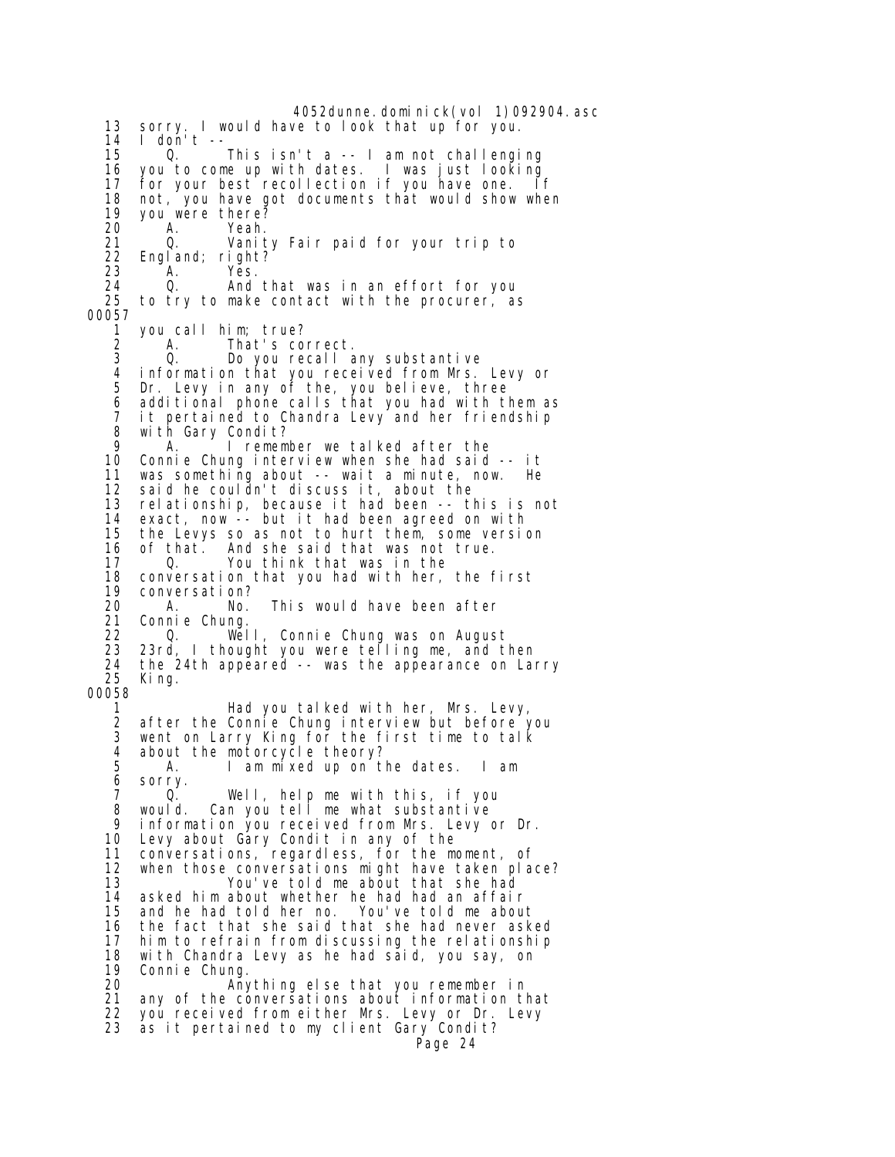4052dunne.dominick(vol 1)092904.asc 13 sorry. I would have to look that up for you. 14 I don't --<br>15 0. 15 Q. This isn't a -- I am not challenging 16 you to come up with dates. I was just looking 17 for your best recollection if you have one. If 18 not, you have got documents that would show when 19 you were there? A. Yeah.<br>Q. Vani t 21 Q. Vanity Fair paid for your trip to 22 England; right?<br>23 A. Yes. 23 A. Yes. 24 Q. And that was in an effort for you to try to make contact with the procurer, as 00057 1 you call him; true? 2 A. That's correct. 3 Q. Do you recall any substantive 4 information that you received from Mrs. Levy or 5 Dr. Levy in any of the, you believe, three 6 additional phone calls that you had with them as 7 it pertained to Chandra Levy and her friendship with Gary Condit? 9 A. I remember we talked after the Connie Chung interview when she had said -- it 11 was something about -- wait a minute, now. He<br>12 said he couldn't discuss it, about the 12 said he couldn't discuss it, about the relationship, because it had been -- this is not 14 exact, now -- but it had been agreed on with 15 the Levys so as not to hurt them, some version<br>16 of that. And she said that was not true. 16 of that. And she said that was not true.<br>17 You think that was in the 17 Q. You think that was in the<br>18 conversation that you had with her, 18 conversation that you had with her, the first 19 conversation?<br>20 A. No. A. No. This would have been after 21 Connie Chung. 22 Q. Well, Connie Chung was on August 23 23rd, I thought you were telling me, and then 24 the 24th appẽared -- was the app̃earance on Larry<br>25 King King. 00058 1 Had you talked with her, Mrs. Levy, 2 after the Connie Chung interview but before you<br>3 went on Larry King for the first time to talk went on Larry King for the first time to talk 4 about the motorcycle theory? 5 A. I am mixed up on the dates. I am 6 sorry.<br>7 0. 7 Q. Well, help me with this, if you would. Can you tell me what substantive 9 information you received from Mrs. Levy or Dr. 10 Levy about Gary Condit in any of the 11 conversations, regardless, for the moment, of<br>12 when those conversations might have taken pla 12 when those conversations might have taken place?<br>13 You've told me about that she had 13 You've told me about that she had<br>14 asked him about whether he had had an affai asked him about whether he had had an affair 15 and he had told her no. You've told me about 16 the fact that she said that she had never asked 17 him to refrain from discussing the relationship 18 with Chandra Levy as he had sāid, you say, on<br>19 Connie Chung. 19 Connie Chung.<br>20 Any 20 Anything else that you remember in any of the conversations about information that 22 you received from either Mrs. Levy or Dr. Levy 23 as it pertained to my client Gary Condit? Page 24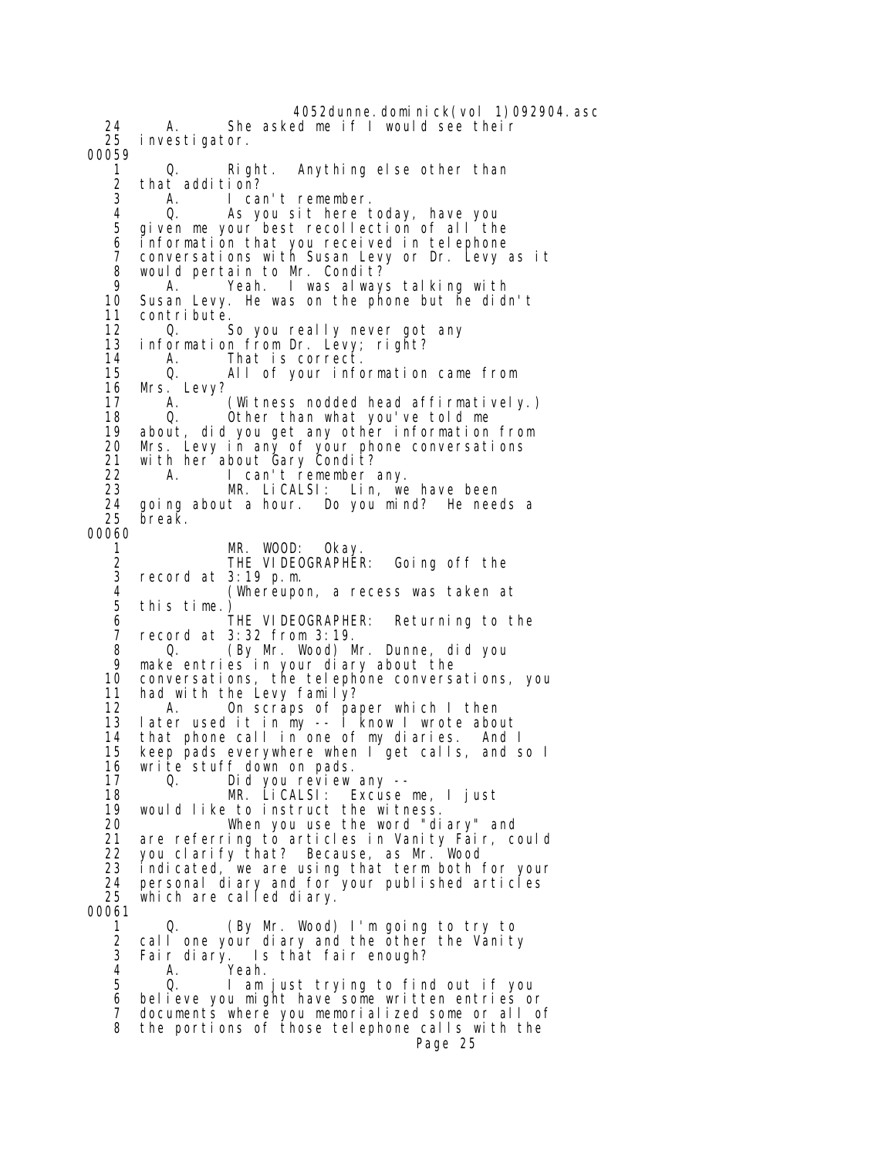4052dunne.dominick(vol 1)092904.asc 24 A. She asked me if I would see their investigator. 00059 1 Q. Right. Anything else other than 2 that addition?<br>3 A. I car A. I can't remember. 4 Q. As you sit here today, have you given me your best recollection of all the 6 information that you received in telephone 7 conversations with Susan Levy or Dr. Levy as it 8 would pertain to Mr. Condit? 9 A. Yeah. I was always talking with Susan Levy. He was on the phone but he didn't 11 contribute. 12 Q. So you really never got any 13 information from Dr. Levy; right?<br>14 A. That is correct. 14 A. That is correct. 15 Q. All of your information came from 16 Mrs. Levy? 17 A. (Witness nodded head affirmatively.)<br>18 0. Other than what you've told me 18 Q. Other than what you've told me 19 about, did you get any other information from 20 Mrs. Levy in any of your phone conversations 21 with her about Gary Condit? 22 A. I can't remember any.<br>23 MR. Li CALSI: Lin. we 23 MR. LiCALSI: Lin, we have been 24 going about a hour. Do you mind? He needs a break. 00060 1 MR. WOOD: Okay. 2 THE VIDEOGRAPHER: Going off the 3 record at 3:19 p.m. 4 (Whereupon, a recess was taken at this time.)<br>THE VIDEOGRAPHER: 6 THE VIDEOGRAPHER: Returning to the record at 3:32 from 3:19. 8 Q. (By Mr. Wood) Mr. Dunne, did you 9 make entries in your diary about the conversations, the telephone conversations, you 11 had with the Levy family? 12 A. On scraps of paper which I then 13 later used it in my -- I know I wrote about 14 that phone call in one of my diaries. And I 15 keep pads everywhere when I get calls, and so I 16 write stuff down on pads. 17 Q. Did you review any -- 18 MR. LiCALSI: Excuse me, I just 19 would like to instruct the witness. 20 When you use the word "diary" and 21 are referring to articles in Vanity Fair, could<br>22 vou clarify that? Because,as Mr. Wood 22 you clarify that? Because, as Mr. Wood 23 indicated, we are using that term both for your<br>24 personal diary and for your published articles 24 personal diary and for your published articles<br>25 which are called diary. which are called diary. 00061 1 Q. (By Mr. Wood) I'm going to try to<br>2 call one your diary and the other the Vanity 2 call one your diary and the other the Vanity<br>3 Fair diary. Is that fair enough? Fair diary. Is that fair enough? 4 A. Yeah. 5 Q. I am just trying to find out if you 6 believe you might have some written entries or 7 documents where you memorialized some or all of 8 the portions of those telephone calls with the Page 25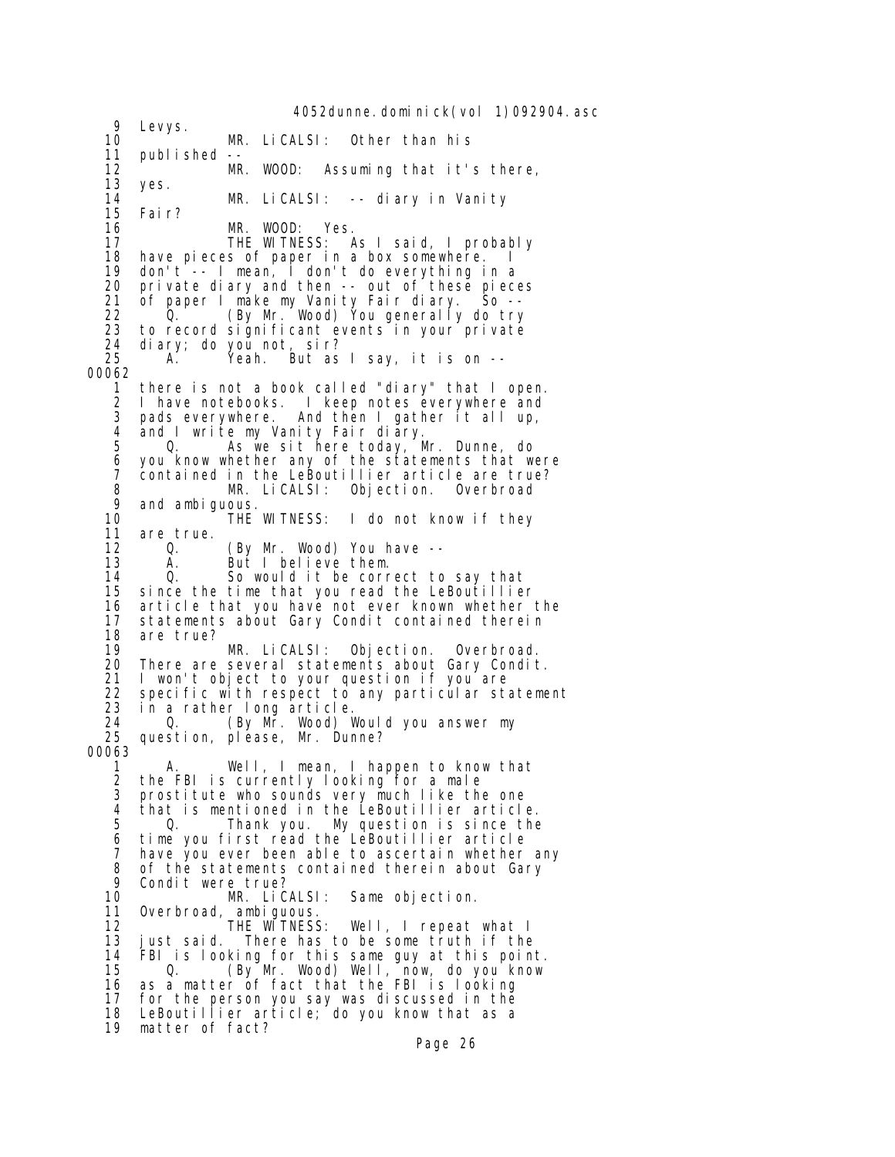4052dunne. domi ni ck(vol 1)092904. asc 9 Levys.<br>10 10 MR. LiCALSI: Other than his 11 published --<br>12 MR 12 MR. WOOD: Assuming that it's there, 13 yes. 14 MR. LiCALSI: -- diary in Vanity 15 Fair? MR. WOOD: Yes. 17 THE WITNESS: As I said, I probably 18 have pieces of paper in a box somewhere.<br>19 don't -- I mean, I don't do everything i 19 don't -- I mean, I don't do everything in a 20 private diary and then -- out of these pieces<br>21 of paper I make my Vanity Fair diary. So -- 21 of paper I make my Vanity Fair diary. So -- 22 Q. (By Mr. Wood) You generally do try 23 to record significant events in your private<br>24 diary: do you not sir? 24 diary; do you not, sir?  $\check{Y}$ eah. But as I say, it is on --00062 1 there is not a book called "diary" that I open. 2 I have notebooks. I keep notes everywhere and 3 pads everywhere. And then I gather it all up, and I write my Vanity Fair diary. 5 Q. As we sit here today, Mr. Dunne, do 6 you know whether any of the statements that were 7 contained in the LeBoutillier article are true? 8 MR. LiCALSI: Objection. Overbroad 9 and ambiguous.<br>10 THE WITNESS: 10 THE WITNESS: I do not know if they 11 are true. 12 Q. (By Mr. Wood) You have --<br>13 A. But I believe them. 13 A. But I believe them. 14 Q. So would it be correct to say that since the time that you read the LeBoutillier 16 article that you have not ever known whether the 17 statements about Gary Condit contained therein<br>18 are true? 18 are true? 19 MR. LiCALSI: Objection. Overbroad. There are several statements about Gary Condit. 21 I won't object to your question if you are 22 specific with respect to any particular statement<br>23 in a rather long article. 23 in a rather long article. 24 Q. (By Mr. Wood) Would you answer my 25 question, please, Mr. Dunne? 00063 1 A. Well, I mean, I happen to know that 2 the FBI is currently looking for a male<br>3 prostitute who sounds very much like the 3 prostitute who sounds very much like the one that is mentioned in the LeBoutillier article. 5 Q. Thank you. My question is since the 6 time you first read the LeBoutillier article 7 have you ever been able to ascertain whether any<br>8 of the statements contained therein about Gary 8 of the statements contained therein about Gary<br>9 Condit were true? 9 Condit were true?<br>10 MR. LiCALSI: Same objection. 11 Overbroad, ambiguous. 12 THE WITNESS: Well, I repeat what I 13 just said. There has to be some truth if the<br>14 FBI is looking for this same guy at this poin 14 FBI is looking for this same guy at this point. 15 Q. (By Mr. Wood) Well, now, do you know 16 as a matter of fact that the FBI is looking 17 for the person you say was discussed in the 18 LeBoutillier article; do you know that as a 19 matter of fact?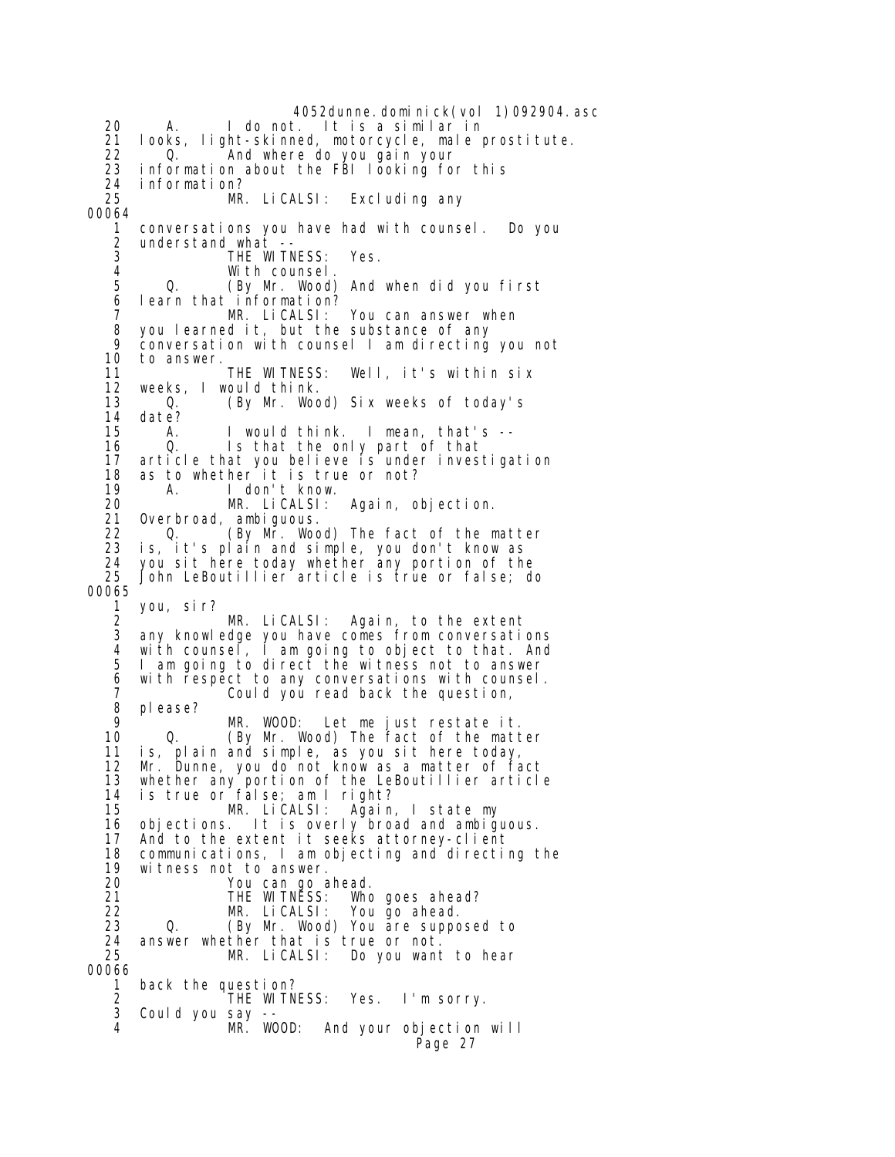4052dunne.dominick(vol 1)092904.asc 20 A. I do not. It is a similar in 21 looks, light-skinned, motorcycle, male prostitute. 22 0. And where do you gain your<br>23 information about the FBI looking fo 23 information about the FBI looking for this<br>24 information? 24 information? MR. Li CALSI: Excluding any 00064 1 conversations you have had with counsel. Do you 2 understand what -- 3 THE WITNESS: Yes. 4 With counsel. (By Mr. Wood) And when did you first 6 learn that information? 7 MR. LiCALSI: You can answer when 8 you learned it, but the substance of any 9 conversation with counsel I am directing you not<br>10 to answer. to answer.<br>THE WITNESS: 11 THE WITNESS: Well, it's within six 12 weeks, I would think. 13 Q. (By Mr. Wood) Six weeks of today's 14 date?<br>15 A. 15 A. I would think. I mean, that's -- 16 Q. Is that the only part of that 17 article that you believe is under investigation 18 as to whether it is true or not? 19 A. I don't know. Again, objection. 21 Overbroad, ambiguous. 22 (By Mr. Wood) The fact of the matter<br>23 is. it's plain and simple. vou don't know as 23 is, it's plain and simple, you don't know as 24 you sit here today whether any portion of the 25 John LeBoutillier article is true or false; do 00065 1 you, sir? MR. LiCALSI: Again, to the extent 3 any knowledge you have comes from conversations 4 with counsel, I am going to object to that. And I am going to direct the witness not to answer 6 with respect to any conversations with counsel. 7 Could you read back the question, 8 please?<br>9 9 MR. WOOD: Let me just restate it. 0. (By Mr. Wood) The fact of the matter 11 is, plain and simple, as you sit here today, 12 Mr. Dunne, you do not know as a matter of fact 13 whether any portion of the LeBoutillier article 14 is true or false; am I right? Again, I state my 16 objections. It is overly broad and ambiguous. 17 And to the extent it seeks attorney-client 18 communications, I am objecting and directing the 19 witness not to answer.<br>20 You can go a 20 You can go ahead. 21 THE WITNESS: Who goes ahead? 22 MR. LiCALSI: You go ahead. Q. (By Mr. Wood) You are supposed to 24 answer whether that is true or not.<br>25 MR. LiCALSI: Do you want Do you want to hear 00066 1 back the question? 2 THE WITNESS: Yes. I'm sorry. Could you say --<br>MR. WOOD: 4 MR. WOOD: And your objection will Page 27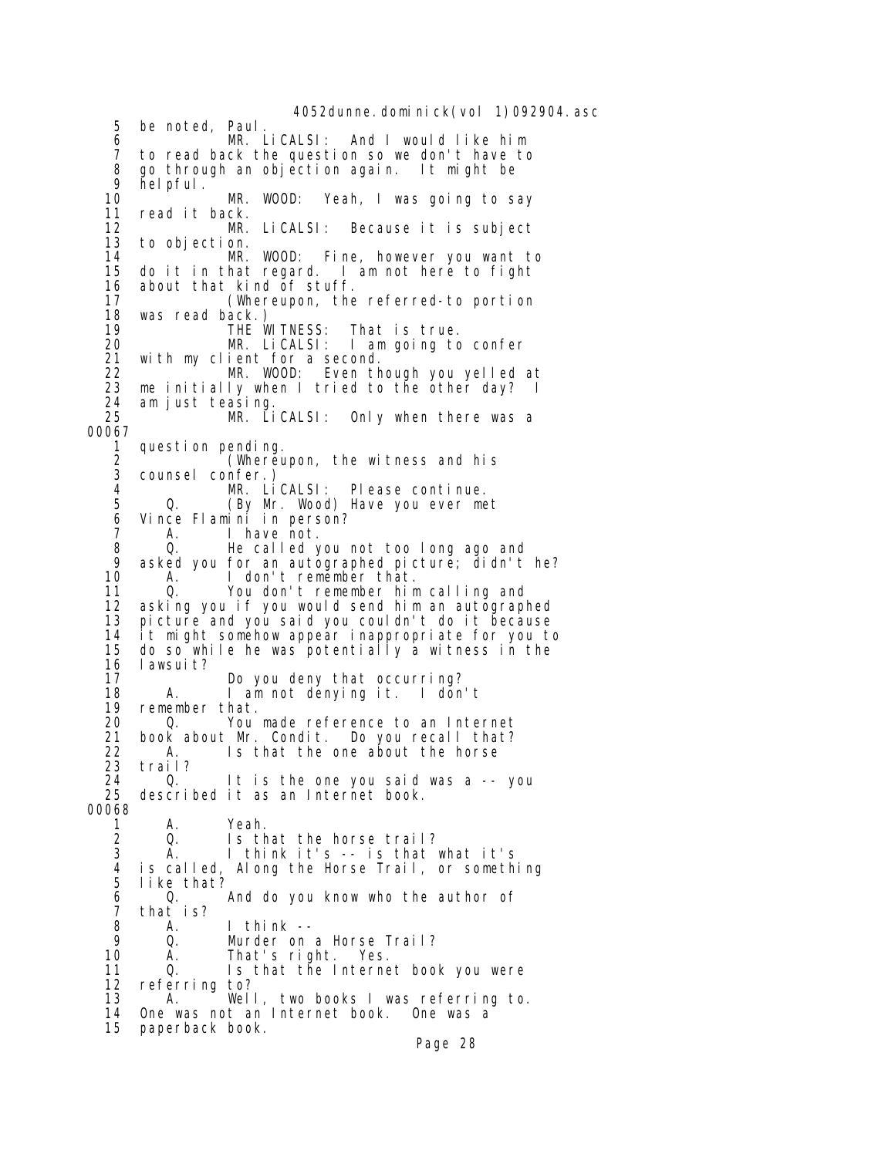4052dunne. domi ni ck(vol 1)092904. asc 5 be noted, Paul. 6 MR. LiCALSI: And I would like him 7 to read back the question so we don't have to 8 go through an objection again. It might be 9 helpful. 10 MR. WOOD: Yeah, I was going to say 11 read it back. 12 MR. LiCALSI: Because it is subject to objection. 14 **MR. WOOD:** Fine, however you want to<br>15 do it in that regard. I am not here to fight 15 do it in that regard. I am not here to fight<br>16 about that kind of stuff. about that kind of stuff. 17 (Whereupon, the referred-to portion 18 was read back.) 19 THE WITNESS: That is true.<br>20 MR. LiCALSI: I am going to 20 MR. LiCALSI: I am going to confer<br>21 with my client for a second. with my client for a second. 22 MR. WOOD: Even though you yelled at 23 me initially when I tried to the other day?<br>24  $\alpha$ m just teasing. 24 am just teasing. MR. LiCALSI: Only when there was a 00067 1 question pending.<br>2 *(*Whereu 2 (Whereupon, the witness and his 3 counsel confer.) 4 MR. LiCALSI: Please continue. 0. (By Mr. Wood) Have you ever met 6 Vince Flamini in person?<br>7 A. I have not. 7 A. I have not.<br>8 0. He called \ 8 Q. He called you not too long ago and 9 asked you for an autographed picture; didn't he?<br>10 A. I don't remember that. 10 A. I don't remember that.<br>11 Q. You don't remember him 11 Q. You don't remember him calling and 12 asking you if you would send him an autographed 13 picture and you said you couldn't do it because 14 it might somehow appear inappropriate for you to 15 do so while he was potentially a witness in the 16 lawsuit?<br>17 17 Do you deny that occurring? 18 A. I am not denying it. I don't 19 remember that. 20 Q. You made reference to an Internet<br>21 book about Mr. Condit. Do you recall that? 21 book about Mr. Condit. Do you recall that?<br>22 A. Is that the one about the horse 22 A. Is that the one about the horse<br>23 trail? 23 trail? 24 Q. It is the one you said was a -- you described it as an Internet book. 00068 1 A. Yeah. 2 Q. Is that the horse trail?<br>3 A. I think it's -- is that 3 A. I think it's -- is that what it's 4 is called, Along the Horse Trail, or something like that?<br>Q. 6 Q. And do you know who the author of 7 that is? 8 A. I think -- 9 Q. Murder on a Horse Trail?<br>10 A. That's right. Yes. A. That's right. Yes. 11 Q. Is that the Internet book you were 12 referring to?<br>13 A. Wel A. Well, two books I was referring to. 14 One was not an Internet book. One was a 15 paperback book.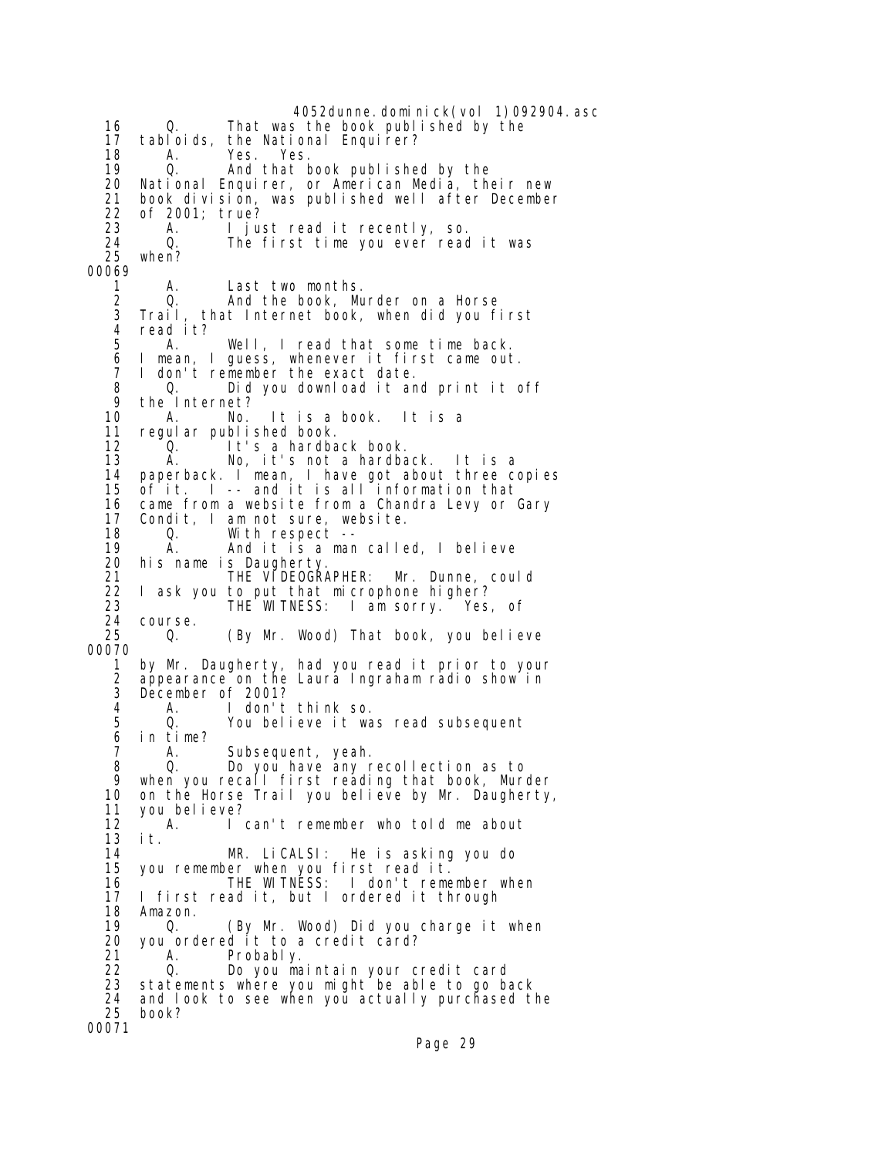4052dunne.dominick(vol 1)092904.asc 16 Q. That was the book published by the 17 tabloids, the National Enquirer? 18 A. Yes. Yes. 19 Q. And that book published by the<br>20 National Enquirer, or American Media, the 20 National Enquirer, or American Media, their new 21 book division, was published well after December 22 of 2001; true? A. I just read it recently, so.<br>Q. The first time you ever read 24 Q. The first time you ever read it was when? 00069 1 A. Last two months. 2 Q. And the book, Murder on a Horse 3 Trail, that Internet book, when did you first 4 readit?<br>5 A 5 A. Well, I read that some time back. 6 I mean, I guess, whenever it first came out. I don't remember the exact date. 8 Q. Did you download it and print it off 9 the Internet?<br>10 A. No. 10 A. No. It is a book. It is a regular published book. 12 Q. It's a hardback book. 13 A. No, it's not a hardback. It is a 14 paperback. I mean, I have got about three copies<br>15 of it. I -- and it is all information that  $of it.$   $\blacksquare$  -- and it is all information that 16 came from a website from a Chandra Levy or Gary 17 Condit, I am not sure, website.<br>18 Q. With respect -- 18 Q. With respect -- 19 A. And it is a man called, I believe 20 his name is Daugherty. 21 THE VIDEOGRAPHER: Mr. Dunne, could 22 I ask you to put that microphone higher? 23 THE WITNESS: I am sorry. Yes, of 24 course.<br>25 0. (By Mr. Wood) That book, you believe 00070 1 by Mr. Daugherty, had you read it prior to your 2 appearance on the Laura Ingraham radio show in 3 December of 2001? 4 A. I don't think so. 5 Q. You believe it was read subsequent in time? 7 A. Subsequent, yeah. 8 Q. Do you have any recollection as to 9 when you recall first reading that book, Murder 10 on the Horse Trail you believe by Mr. Daugherty,<br>11 vou believe? you bel i eve? 12 A. I can't remember who told me about  $13$  it.<br> $14$  14 MR. LiCALSI: He is asking you do 15 you remember when you first read it.<br>16 THE WITNESS: I don't reme 16 THE WITNESS: I don't remember when<br>17 I first read it, but I ordered it through I first read it, but I ordered it through 18 Amazon.<br>19 0. 19 Q. (By Mr. Wood) Did you charge it when 20 you ordered it to a credit card?<br>21 A. Probably. 21 A. Probably.<br>22 Q. Doʻyou ma 22 Q. Do you maintain your credit card 23 statements where you might be able to go back 24 and look to see when you actually purchased the book? 00071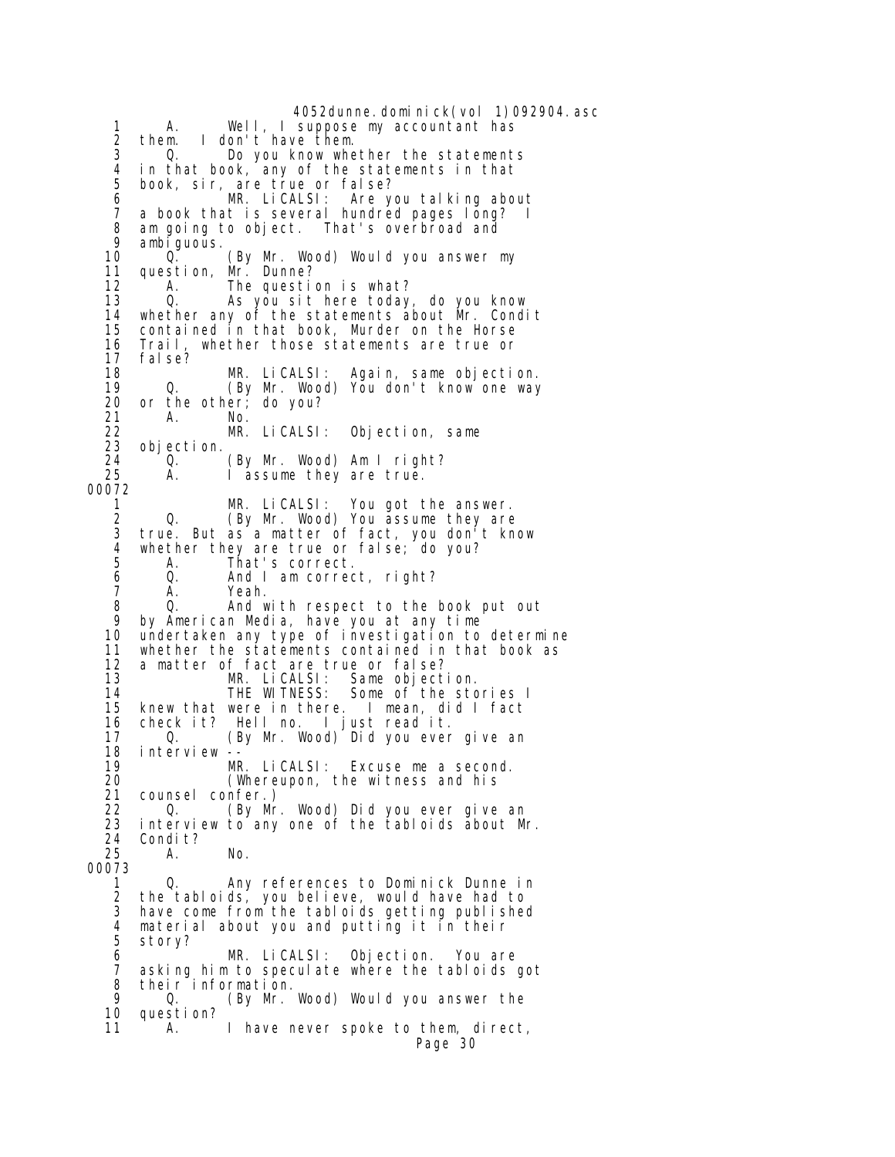4052dunne.dominick(vol 1)092904.asc 1 A. Well, I suppose my accountant has 2 them. I don't have them. 3 Q. Do you know whether the statements 4 in that book, any of the statements in that book, sir, are true or false?<br>MR. LiCALSI: Are y 6 MR. LiCALSI: Are you talking about 7 a book that is several hundred pages long? I<br>8 am going to object. That's overbroad and 8 am going to object. That's overbroad and 9 ambiguous.<br>10 0. 10 Q. (By Mr. Wood) Would you answer my<br>11 question, Mr. Dunne? 11 question, Mr. Dunne?<br>12 A. The questi The question is what? 13 Q. As you sit here today, do you know 14 whether any of the statements about Mr. Condit 15 contained in that book, Murder on the Horse<br>16 Trail, whether those statements are true or 16 Trail, whether those statements are true or fal se? 18 MR. LiCALSI: Again, same objection. 19 (By Mr. Wood) You don't know one way<br>20 or the other: do vou? 20 or the other; do you? 21 A. No. 22 MR. LiCALSI: Objection, same 23 objection. 24 <sup>C</sup> Q. (By Mr. Wood) Am I right?<br>25 A. I assume they are true. I assume they are true. 00072 1 MR. LiCALSI: You got the answer. 2 Q. (By Mr. Wood) You assume they are<br>3 true. But as a matter of fact. you don't kn 3 true. But as a matter of fact, you don't know<br>4 whether they are true or false: do you? 4 whether they are true or false; do you?<br>5 A. That's correct. A. That's correct. 6 Q. And I am correct, right? 7 A. Yeah.<br>8 O. Andw 8 Q. And with respect to the book put out 9 by American Media, have you at any time undertaken any type of investigation to determine 11 whether the statements contained in that book as 12 a matter of fact are true or false? 13 MR. LiCALSI: Same objection. 14 THE WITNESS: Some of the stories I 15 knew that were in there. I mean, did I fact 16 check it? Hell no. I just read it. 0. (By Mr. Wood) Did you ever give an 18 interview -- 19 MR. LiCALSI: Excuse me a second. 20 (Whereupon, the witness and his<br>21 counsel confer.) 21 counsel confer.) 22 Q. (By Mr. Wood) Did you ever give an 23 interview to any one of the tabloids about Mr. 24 Condit?<br>25 A. 25 A. No. 00073 1 Q. Any references to Dominick Dunne in the tabloids, you believe, would have had to 3 have come from the tabloids getting published 4 material about you and putting it in their 5 story? 6 MR. LiCALSI: Objection. You are 7 asking him to speculate where the tabloids got  $8$  their information.<br>9 0 (By Mr 9 Q. (By Mr. Wood) Would you answer the question? 11 A. I have never spoke to them, direct, Page 30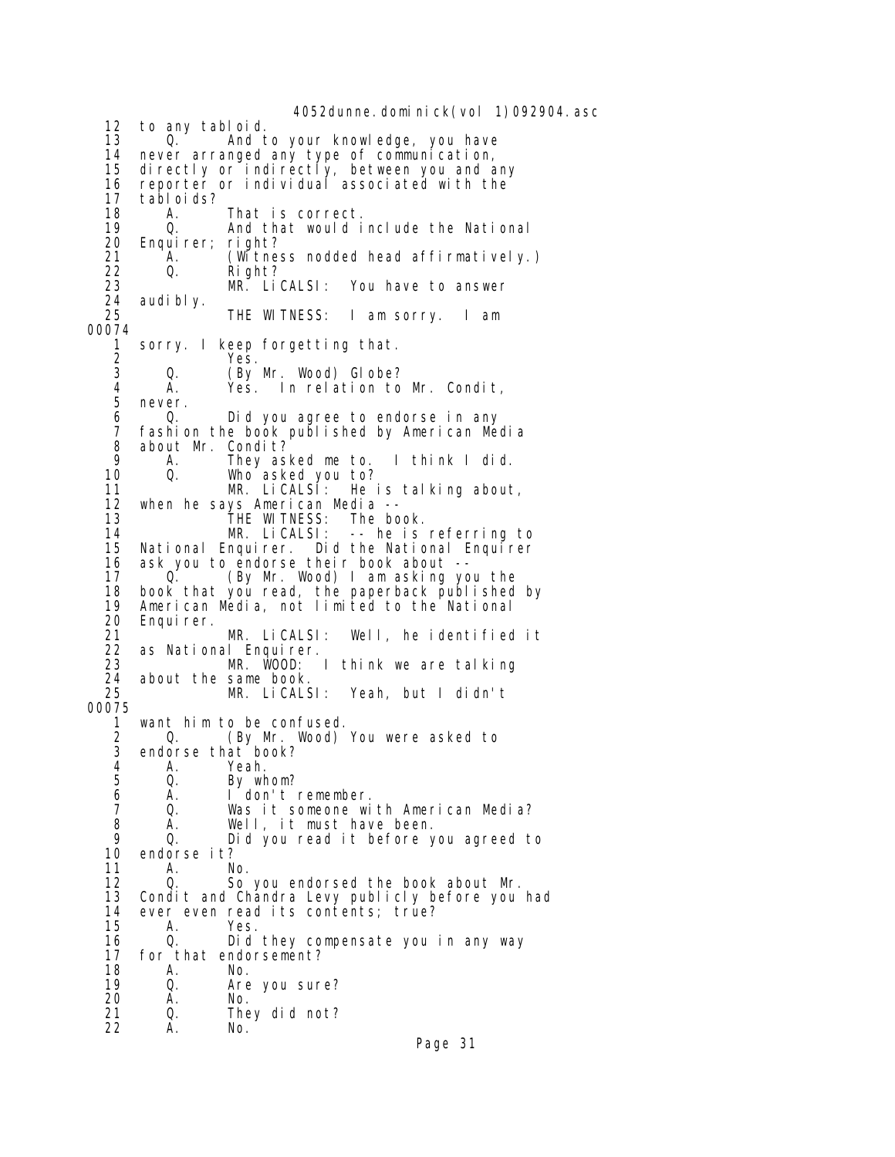4052dunne. domi ni ck(vol 1)092904. asc 12 to any tabloid. 13 O. And to your knowledge, you have<br>14 never arranged any type of communication. 14 never arranged any type of communication,<br>15 directly or indirectly, between you and a 15 directly or indirectly, between you and any 16 reporter or individual associated with the 17 tabloids? 18 A. That is correct. 19 Q. And that would include the National<br>20 Enquirer; right? 20 Enquirer; right? 21 A. (Witness nodded head affirmatively.) 22 Q. Right? You have to answer 24 audi bl y.<br>25 THE WITNESS: I am sorry. I am 00074 1 sorry. I keep forgetting that. 2 Yes.<br>3 Q. (By Q. (By Mr. Wood) Globe? 4 A. Yes. In relation to Mr. Condit, 5 never.<br>6 0. 6 Q. Did you agree to endorse in any fashion the book published by American Media 8 about Mr. Condit?<br>9 A. They as 9 A. They asked me to. I think I did. 10 Q. Who asked you to? He is talking about, 12 when he says American Media -- 13 THE WITNESS: The book.<br>14 MR. LiCALSI: -- he is 14 MR. LiCALSI: -- he is referring to 15 National Enquirer. Did the National Enquirer<br>16 ask you to endorse their book about --16 ask you to endorse their book about --<br>17 Q. (By Mr. Wood) I am asking yo 17 O. (By Mr. Wood) I am asking you the<br>18 book that you read, the paperback published 18 book that you read, the paperback published by<br>19 American Media, not limited to the National American Media, not limited to the National 20 Enquirer.<br>21 21 MR. LiCALSI: Well, he identified it 22 as National Enquirer. 23 MR. WOOD: I think we are talking 24 about the same book.<br>25 MR. LiCALSI: Yeah, but I didn't 00075 1 want him to be confused.<br>2 0. (By Mr. Wood) 2 Q. (By Mr. Wood) You were asked to<br>3 endorse that book? endorse that book? 4 A. Yeah.<br>5 Q. Bywh 5 Q. By whom?<br>6 A. I don't 6 A. I don't remember. Was it someone with American Media? 8 A. Well, it must have been. 9 Q. Did you read it before you agreed to 10 endorse it? 11 A. No. 12 Q. So you endorsed the book about Mr.<br>13 Condit and Chandra Levy publicly before you Condit and Chandra Levy publicly before you had 14 ever even read its contents; true?<br>15 A. Yes. 15 A. Yes. 16 Q. Did they compensate you in any way 17 for that endorsement?<br>18 A. No. 18 A. No. 19 Q. Are you sure? 20 A. No. 21 Q. They did not? 22 A. No.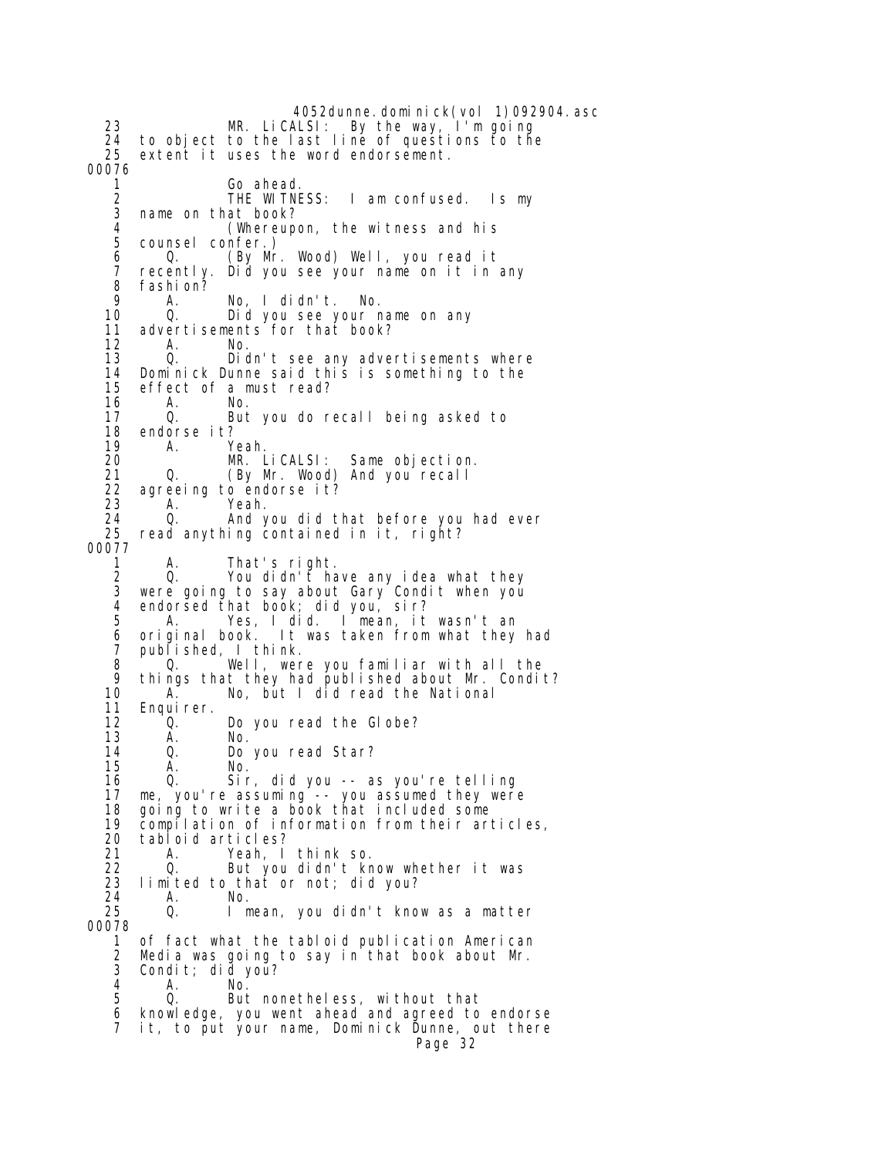4052dunne.dominick(vol 1)092904.asc 23 MR. LiCALSI: By the way, I'm going 24 to object to the last line of questions to the extent it uses the word endorsement. 00076 1 Go ahead.<br>2 THE WITNESS: 2 THE WITNESS: I am confused. Is my<br>3 name on that book? name on that book? 4 (Whereupon, the witness and his 5 counsel confer.) 6 Q. (By Mr. Wood) Well, you read it 7 recently. Did you see your name on it in any 8 fashion?<br>9 A 9 A. No, I didn't. No. 10 Q. Did you see your name on any<br>11 advertisements for that book? 11 advertisements for that book?<br>12 A. No. 12 A. No. 13 Q. Didn't see any advertisements where 14 Dominick Dunne said this is something to the 15 effect of a must read? 16 A. No. 17 Q. But you do recall being asked to endorse it? 19 A. Yeah.<br>20 MR. Li CALSI: 20 MR. LiCALSI: Same objection. 21 Q. (By Mr. Wood) And you recall<br>22 agreeing to endorse it? 22 agreeing to endorse it?<br>23 A. Yeah. A. Yeah. 24 Q. And you did that before you had ever read anything contained in it, right? 00077 1 A. That's right.<br>2 Q. You didn't ha 2 Q. You didn't have any idea what they were going to say about Gary Condit when you 4 endorsed that book; did you, sir?<br>5 A. Yes. I did. I mean. it A. Yes, I did. I mean, it wasn't an<br>original book. It was taken from what they 6 original book. It was taken from what they had 7 published, I think. 8 Q. Well, were you familiar with all the 9 things that they had published about Mr. Condit?<br>10 A. Mo, but I did read the National 10 A. No, but I did read the National<br>11 Enquirer. 11 Enquirer.<br>12 0. 12 Q. Do you read the Globe?<br>13 A. No. 13 A. No. 14 Q. Do you read Star? 15 A. No. 16 Q. Sir, did you -- as you're telling 17 me, you're assuming -- you assumed they were 18 going to write a book that included some 19 compilation of information from their articles, 20 tabloid articles? 21 A. Yeah, I think so. 22 Q. But you didn't know whether it was<br>23 limited to that or not; did you? 23 limited to that or not; did you? 24 A. No. I mean, you didn't know as a matter 00078 1 of fact what the tabloid publication American 2 Media was going to say in that book about Mr.  $3$  Condit; did you?<br> $4$  A No 4 A. No. But nonetheless, without that 6 knowledge, you went ahead and agreed to endorse 7 it, to put your name, Dominick Dunne, out there Page 32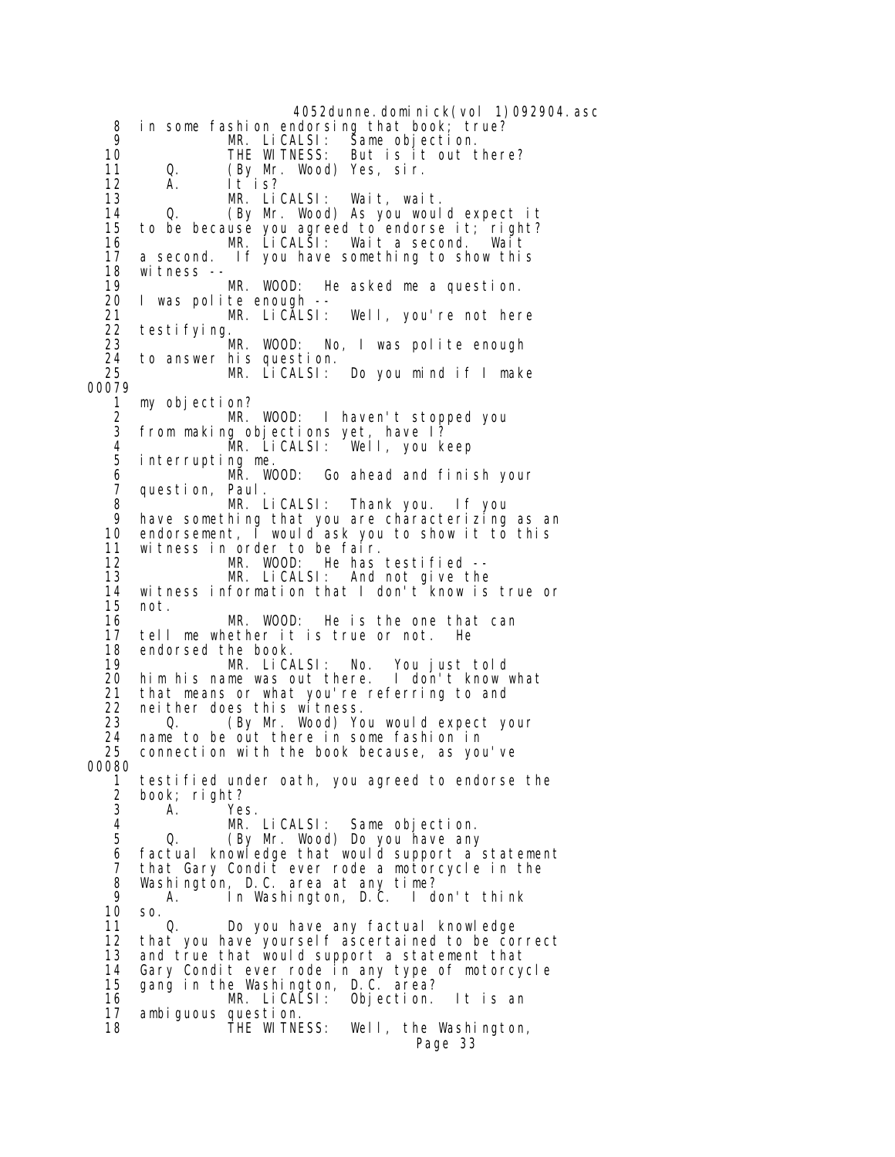4052dunne.dominick(vol 1)092904.asc 8 in some fashion endorsing that book; true?<br>9 MR LiCALSL: Same objection 9 MR. LiCALSI: Same objection. 10 THE WITNESS: But is it out there? 11 Q. (By Mr. Wood) Yes, sir. 12 A. It is? 13 MR. LiCALSI: Wait, wait. 14 Q. (By Mr. Wood) As you would expect it<br>15 to be because you agreed to endorse it: right? to be because you agreed to endorse it; right? 16 MR. LiCALSI: Wait a second. Wait 17 a second. If you have something to show this 18 witness<br>19 19 MR. WOOD: He asked me a question. 20 I was polite enough -- 21 MR. LiCALSI: Well, you're not here 22 testifying. 23 **MR. WOOD:** No, I was polite enough<br>24 to answer his question. 24 to answer his question.<br>25 MR. LiCALSI: 25 MR. LiCALSI: Do you mind if I make 00079 1 my objection? 2 MR. WOOD: I haven't stopped you<br>3 from making objections yet, have 1? from making objections yet, have I? 4 MR. LiCALSI: Well, you keep interrupting me. 6 MR. WOOD: Go ahead and finish your 7 question, Paul.<br>8 MR. l 8 MR. LiCALSI: Thank you. If you 9 have something that you are characterizing as an 10 endorsement, I would ask you to show it to this<br>11 witness in order to be fair. 11 witness in order to be fair. 12 MR. WOOD: He has testified -- 13 MR. LiCALSI: And not give the 14 witness information that I don't know is true or not. 16 MR. WOOD: He is the one that can<br>17 tell me whether it is true or not. He 17 tell me whether it is true or not. He 18 endorsed the book.<br>19 MR. LiC 19 MR. LiCALSI: No. You just told 20 him his name was out there. I don't know what 21 that means or what you're referring to and<br>22 neither does this witness. 22 neither does this witness. 23 Q. (By Mr. Wood) You would expect your<br>24 name to be out there in some fashion in name to be out there in some fashion in 25 connection with the book because, as you've 00080 1 testified under oath, you agreed to endorse the 2 book; right? Yes. 4 MR. LiCALSI: Same objection. 5 Q. (By Mr. Wood) Do you have any 6 factual knowledge that would support a statement<br>7 that Gary Condit ever rode a motorcycle in the 7 that Gary Condit̃ ever rode a motorcycle in the<br>8 Washington, D.C. area at any time? 8 Washington, D.C. area at any time?<br>9 A. In Washington, D.C. I don't think A. In Washington, D.C. 10 so. 11 Q. Do you have any factual knowledge 12 that you have yourself ascertained to be correct<br>13 and true that would support a statement that 13 and true that would support a statement that 14 Gary Condit ever rode in any type of motorcycle 15 gang in the Washington, D.C. area? 16 MR. LiCALSI: Objection. It is an 17 ambiguous question. 18 THE WITNESS: Well, the Washington, Page 33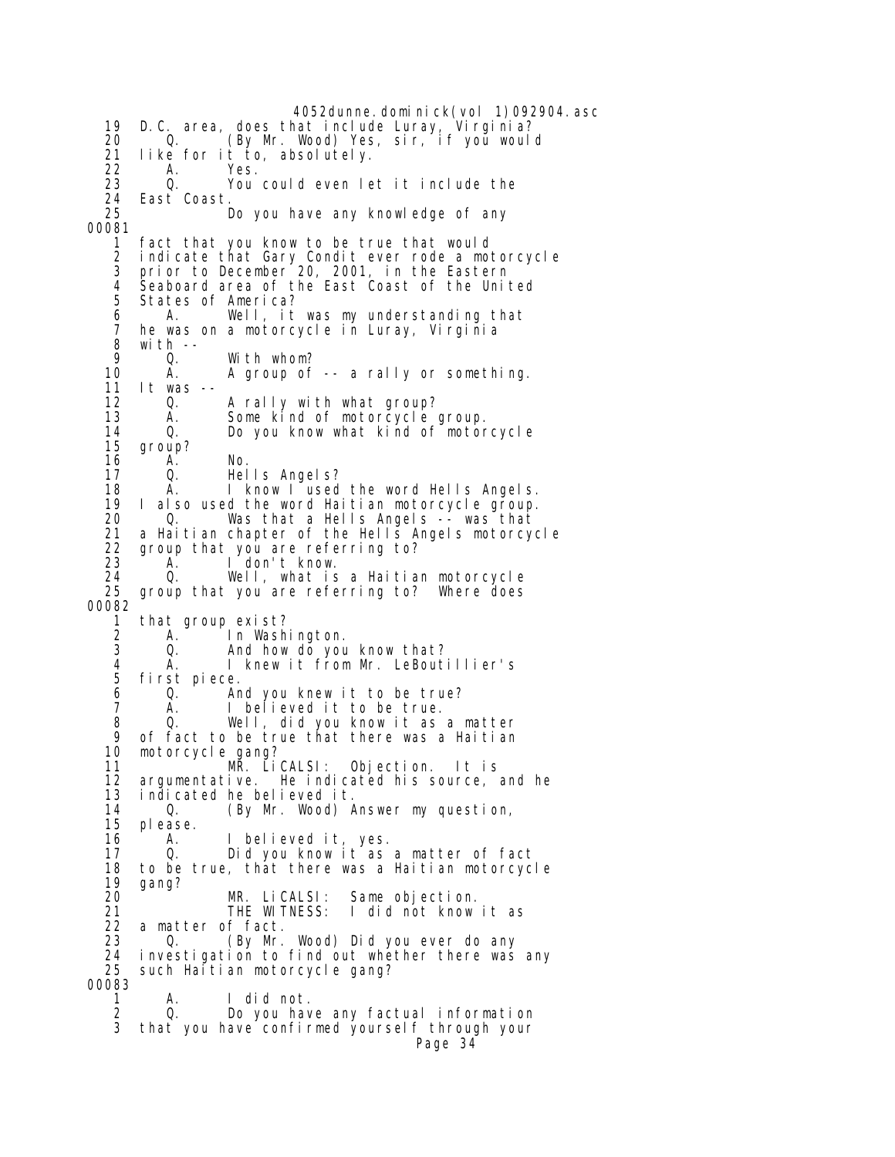4052dunne. domi ni ck(vol 1)092904. asc 19 D.C. area, does that include Luray, Virginia? 20 Q. (By Mr. Wood) Yes, sir, if you would 21 like for it to, absolutely.<br>22 A. Yes. 22 A. Yes. 23 Q. You could even let it include the 24 East Coast. Do you have any knowledge of any 00081 1 fact that you know to be true that would 2 indicate that Gary Condit ever rode a motorcycle 3 prior to December 20, 2001, in the Eastern 4 Seaboard area of the East Coast of the United<br>5 States of America? 5 States of America? 6 A. Well, it was my understanding that 7 he was on a motorcycle in Luray, Virginia 8 with -- 9 Q. With whom?<br>10 A. Agroup of A. A group of -- a rally or something. 11 It was -- 12 Q. A rally with what group?<br>13 A. Some kind of motorcycle 13 A. Some kind of motorcycle group. Do you know what kind of motorcycle 15 group? 16 A. No. 17 Q. Hells Angels? 18 A. I know I used the word Hells Angels.<br>19 I also used the word Haitian motorcycle group. I also used the word Haitian motorcycle group. 20 Q. Was that a Hells Angels -- was that 21 a Haitian chapter of the Hells Angels motorcycle<br>22 group that you are referring to? 22 group that you are referring to?<br>23 A. I don't know. 23 A. I don't know. 24 Q. Well, what is a Haitian motorcycle<br>25 group that you are referring to? Where does group that you are referring to? Where does 00082 1 that group exist?<br>2 A. In Washi 2 A. In Washington.<br>3 Q. And how do you 3 Q. And how do you know that?<br>4 A. I knew it from Mr. LeBouti 4 A. I knew it from Mr. LeBoutillier's first piece. 6 Q. And you knew it to be true? 7 A. I believed it to be true. 8 Q. Well, did you know it as a matter of fact to be true that there was a Haitian 10 motorcycle gang? 11 MR. LiCALSI: Objection. It is 12 argumentative. He indicated his source, and he 13 indicated he believed it. 0. (By Mr. Wood) Answer my question, 15 please. 16 A. I believed it, yes. 17 Q. Did you know it as a matter of fact 18 to be true, that there was a Haitian motorcycle 19 gang? MR. LiCALSI: Same objection.<br>THE WITNESS: I did not know 21 THE WITNESS: I did not know it as 22 a matter of fact. 0. (By Mr. Wood) Did you ever do any 24 investigation to find out whether there was any such Haitian motorcycle gang? 00083 1 A. I did not. 2 Q. Do you have any factual information 3 that you have confirmed yourself through your Page 34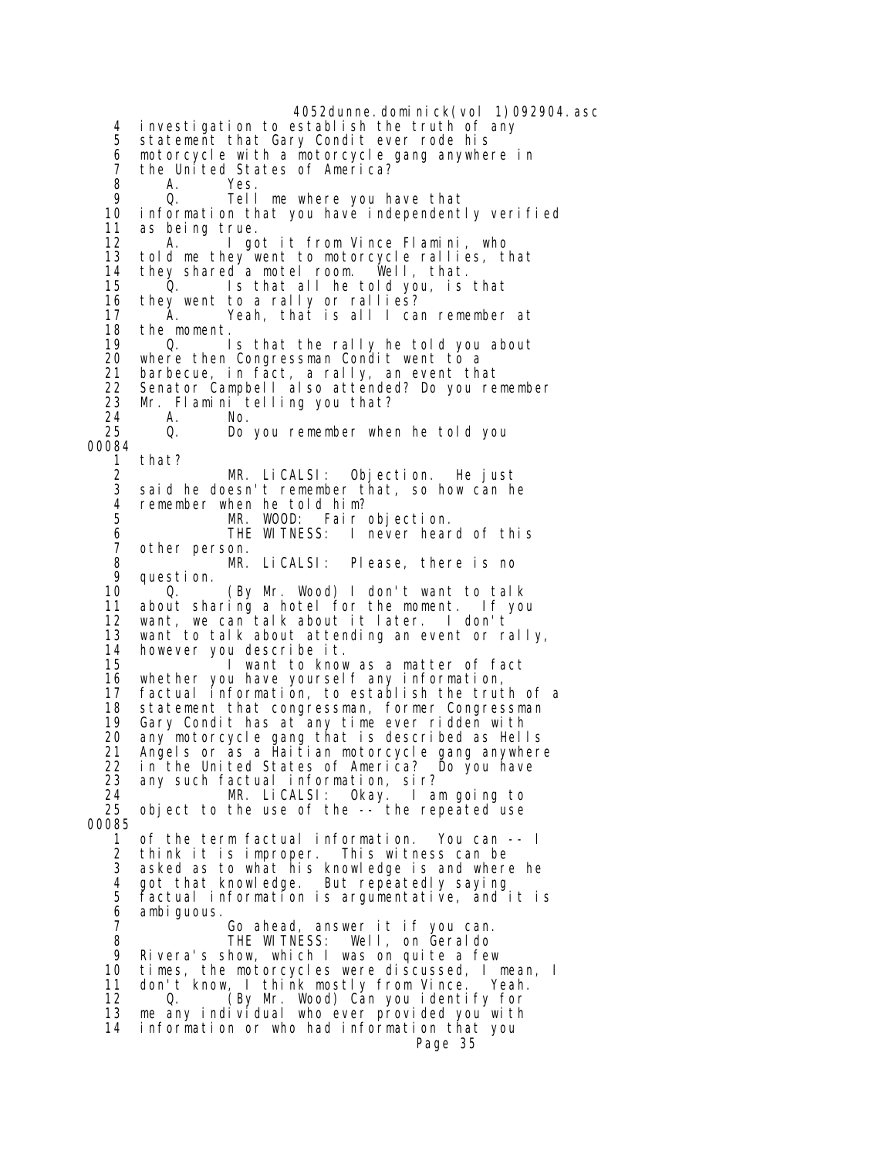4052dunne.dominick(vol 1)092904.asc 4 investigation to establish the truth of any 5 statement that Gary Condit ever rode his 6 motorcycle with a motorcycle gang anywhere in 7 the United States of America?<br>8 A. Yes. 8 A. Yes. 9 Q. Tell me where you have that information that you have independently verified 11 as being true. 12 A. I got it from Vince Flamini, who 13 told me they went to motorcycle rallies, that<br>14 they shared a motel room. Well, that. 14 they shared a motel room. Well, that. 15 Q. Is that all he told you, is that 16 they went to a rally or rallies? 17 A. Yeah, that is all I can remember at 18 the moment.<br>19 0. 19 Q. Is that the rally he told you about<br>20 where then Congressman Condit went to a where then Congressman Condit went to a 21 barbecue, in fact, a rally, an event that 22 Senator Campbell also attended? Do you remember 23 Mr. Flamini telling you that? 24 A. No. Do you remember when he told you 00084 1 that? 2 MR. LiCALSI: Objection. He just said he doesn't remember that, so how can he 4 remember when he told him?<br>5 MR. WOOD: Fair MR. WOOD: Fair objection.<br>THE WITNESS: I never hear 6 THE WITNESS: I never heard of this 7 other person.<br>8 MR. 8 MR. LiCALSI: Please, there is no 9 question. 0. (By Mr. Wood) I don't want to talk 11 about sharing a hotel for the moment. If you 12 want, we can talk about it later. I don't 13 want to talk about attending an event or rally, 14 however you describe it. I want to know as a matter of fact 16 whether you have yourself any information, 17 factual information, to establish the truth of a 18 statement that congressman, former Congressman<br>19 Gary Condit has at any time ever ridden with 19 Gary Condit has at any time ever ridden with<br>20 any motorcycle gang that is described as Hell any motorcycle gang that is described as Hells 21 Angels or as a Haitian motorcycle gang anywhere 22 in the United States of America? Do you have 23 any such factual information, sir? 24 MR. LiCALSI: Okay. I am going to 25 object to the use of the -- the repeated use 00085 1 of the term factual information. You can -- I 2 think it is improper. This witness can be asked as to what his knowledge is and where he 4 got that knowledge. But repeatedly saying<br>5 factual information is argumentative, and i 5 factual information is argumentative, and it is 6 ambiguous.<br>7 7 Go ahead, answer it if you can. 8 THE WITNESS: Well, on Geraldo 9 Rivera's show, which I was on quite a few 10 times, the motorcycles were discussed, I mean, I 11 don't know, I think mostly from Vince. Yeah. 12 Q. (By Mr. Wood) Can you identify for 13 me any individual who ever provided you with 14 information or who had information that you Page 35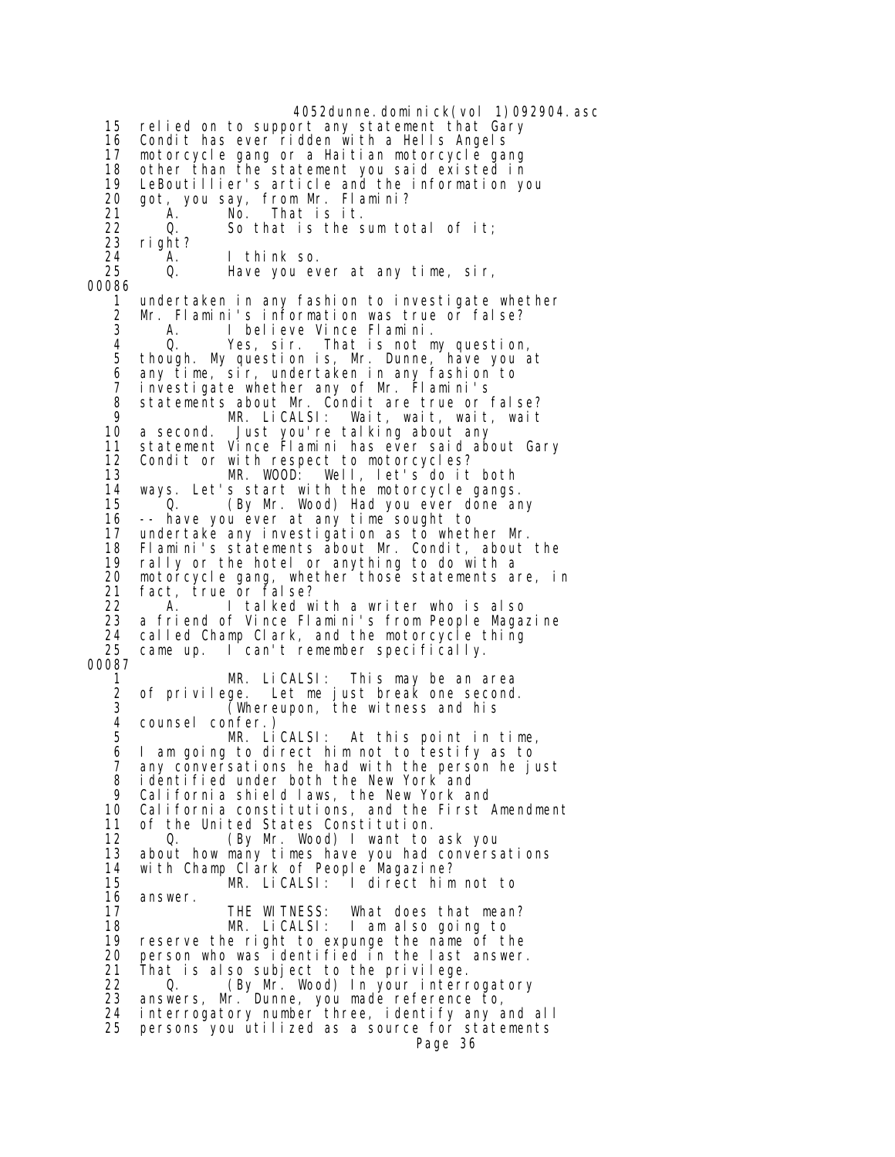4052dunne.dominick(vol 1)092904.asc 15 relied on to support any statement that Gary 16 Condit has ever ridden with a Hells Angels 17 motorcycle gang or a Haitian motorcycle gang 18 other than the statement you said existed in 19 LeBoutillier's article and the information you 20 got, you say, from Mr. Flamini? 21 A. No. That is it.<br>22 0. So that is the s 22 Q. So that is the sum total of it; 23 right? 24 A. I think so. Have you ever at any time, sir, 00086 1 undertaken in any fashion to investigate whether 2 Mr. Flamini's information was true or false? 3 A. I believe Vince Flamini. 4 Q. Yes, sir. That is not my question, though. My question is, Mr. Dunne, have you at 6 any time, sir, undertaken in any fashion to 7 investigate whether any of Mr. Flamini's 8 statements about Mr. Condit are true or false? 9 MR. LiCALSI: Wait, wait, wait, wait 10 a second. Just you're talking about any 11 statement Vince Flamini has ever said about Gary 12 Condit or with respect to motorcycles?<br>13 MR. WOOD: Well. let's do it 13 MR. WOOD: Well, let's do it both<br>14 ways. Let's start with the motorcycle gangs 14 ways. Let's start with the motorcycle gangs. (By Mr. Wood) Had you ever done any 16 -- have you ever at any time sought to 17 undertake any investigation as to whether Mr. 18 Flamini's statements about Mr. Condit, about the 19 rally or the hotel or anything to do with a<br>20 motorcycle gang, whether those statements a 20 motorcycle gang, whether those statements are, in<br>21 fact, true or false? 21 fact, true or false?<br>22 A I talked w A. I talked with a writer who is also <sup>22</sup> a friend of Vince Flamini's from People Magazine 24 called Champ Clark, and the motorcycle thing<br>25 came up. I can't remember specifically. came up. I can't remember specifically. 00087 1 MR. LiCALSI: This may be an area 2 of privilege. Let me just break one second.  $3$  (Whereupon, the witness and his 4 counsel confer.)<br>5 MR. LiCALSI: At this point in time, 6 I am going to direct him not to testify as to 7 any conversations he had with the person he just 8 identified under both the New York and 9 California shield laws, the New York and California constitutions, and the First Amendment 11 of the United States Constitution. 12 Q. (By Mr. Wood) I want to ask you<br>13 about how many times have you had conversa 13 about how many times have you had conversations<br>14 with Champ Clark of People Magazine? 14 with Champ Clark of People Magazine?<br>15 MR. LiCALSI: I direct him 15 MR. LiCALSI: I direct him not to<br>16 answer. answer. 17 THE WITNESS: What does that mean?<br>18 MR. LiCALSI: I am also going to 18 MR. LiCALSI: I am also going to<br>19 reserve the right to expunge the name of th 19 reserve the right to expunge the name of the<br>20 person who was identified in the last answer 20 person who was identified in the last answer.<br>21 That is also subject to the privilege. 21 That is also subject to the privilege.<br>22  $\qquad$  0  $\qquad$  (By Mr Wood) In your interr 22 Q. (By Mr. Wood) In your interrogatory<br>23 answers. Mr. Dunne, you made reference to. answers, Mr. Dunne, you made reference to, 24 interrogatory number three, identify any and all 25 persons you utilized as a source for statements Page 36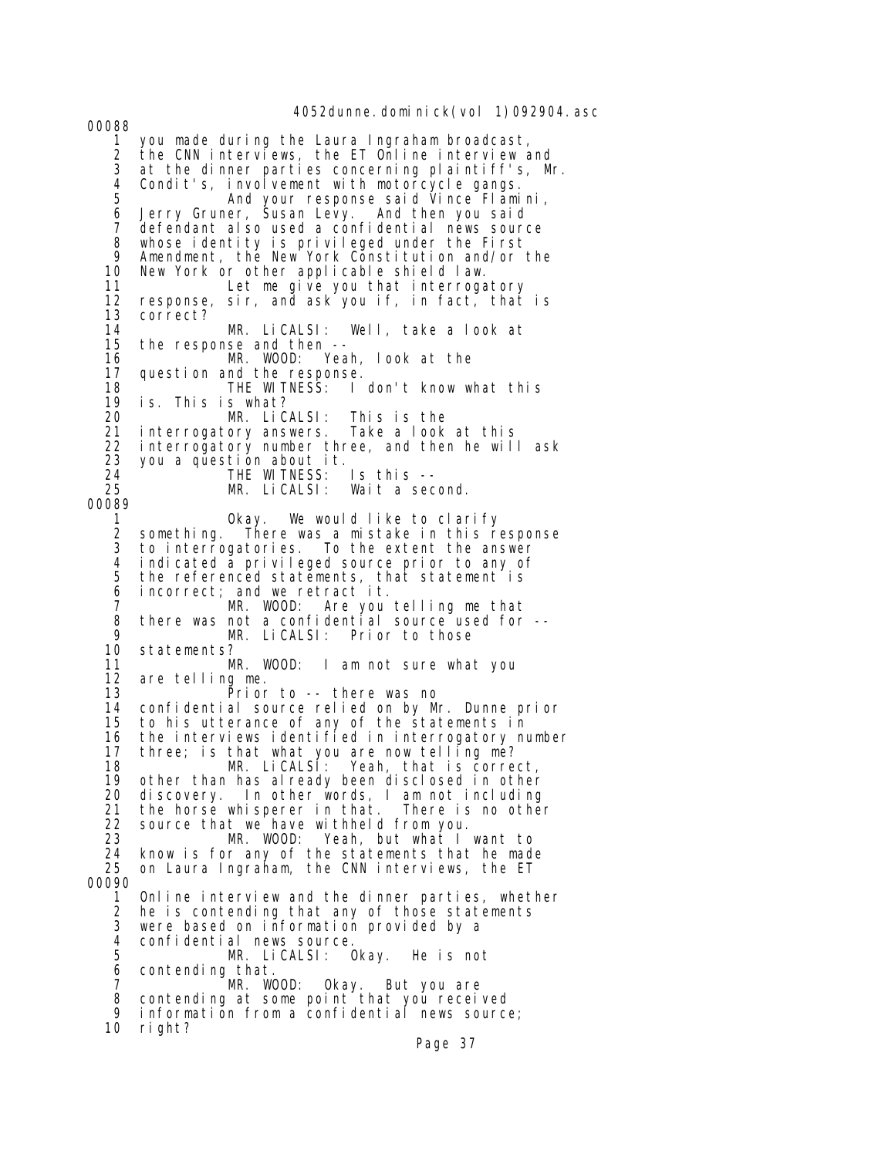4052dunne.dominick(vol 1)092904.asc 00088 1 you made during the Laura Ingraham broadcast, the CNN interviews, the ET Online interview and 3 at the dinner parties concerning plaintiff's, Mr. 4 Condit's, involvement with motorcycle gangs. 5 And your response said Vince Flamini, 6 Jerry Gruner, Susan Levy. And then you said 7 defendant also used a confidential news source<br>8 whose identity is privileged under the First 8 whose identity is privileged under the First 9 Amendment, the New York Constitution and/or the<br>10 New York or other applicable shield law. 10 New York or other applicable shield law. Let me give you that interrogatory 12 response, sir, and ask you if, in fact, that is 13 correct? 14 MR. LiCALSI: Well, take a look at 15 the response and then -- 16 MR. WOOD: Yeah, look at the question and the response.<br>THE WITNESS: I 18 THE WITNESS: I don't know what this 19 is. This is what? 20 MR. LiCALSI: This is the<br>21 interrogatory answers. Take a look at this 21 interrogatory answers.<br>22 interrogatory number t 22 interrogatory number three, and then he will ask 23 you a question about it. 24 THE WITNESS: Is this --<br>25 MR. LiCALSI: Wait a sec Wait a second. 00089 1 Okay. We would like to clarify 2 something. There was a mistake in this response to interrogatories. To the extent the answer 4 indicated a privileged source prior to any of<br>5 the referenced statements, that statement is the referenced statements, that statement is 6 incorrect; and we retract it. 7 MR. WOOD: Are you telling me that 8 there was not a confidential source used for --<br>9 MR. LiCALSI: Prior to those 9 MR. LiCALSI: Prior to those 10 statements?<br>11 M MR. WOOD: I am not sure what you 12 are telling me. Prior to -- there was no 14 confidential source relied on by Mr. Dunne prior 15 to his utterance of any of the statements in 16 the interviews identified in interrogatory number 17 three; is that what you are now telling me? 18 MR. LiCALSI: Yeah, that is correct,<br>19 other than has already been disclosed in other 19 other than has already been disclosed in other<br>20 discovery. In other words, I am not including 20 discovery. In other words, I am not including 21 the horse whisperer in that.<br>22 source that we have withheld 22 source that we have withheld from you.<br>23 MR. WOOD: Yeah, but what I 23 MR. WOOD: Yeah, but what I want to 24 know is for any of the statements that he made<br>25 on Laura Ingraham, the CNN interviews, the ET on Laura Ingraham, the CNN interviews, the ET 00090 1 Online interview and the dinner parties, whether 2 he is contending that any of those statements 3 were based on information provided by a 4 confidential news source.<br>5 MR. LiCALSI: 0 MR. LiCALSI: Okay. He is not 6 contending that. 7 MR. WOOD: Okay. But you are 8 contending at some point that you received 9 information from a confidential news source; 10 right?

Page 37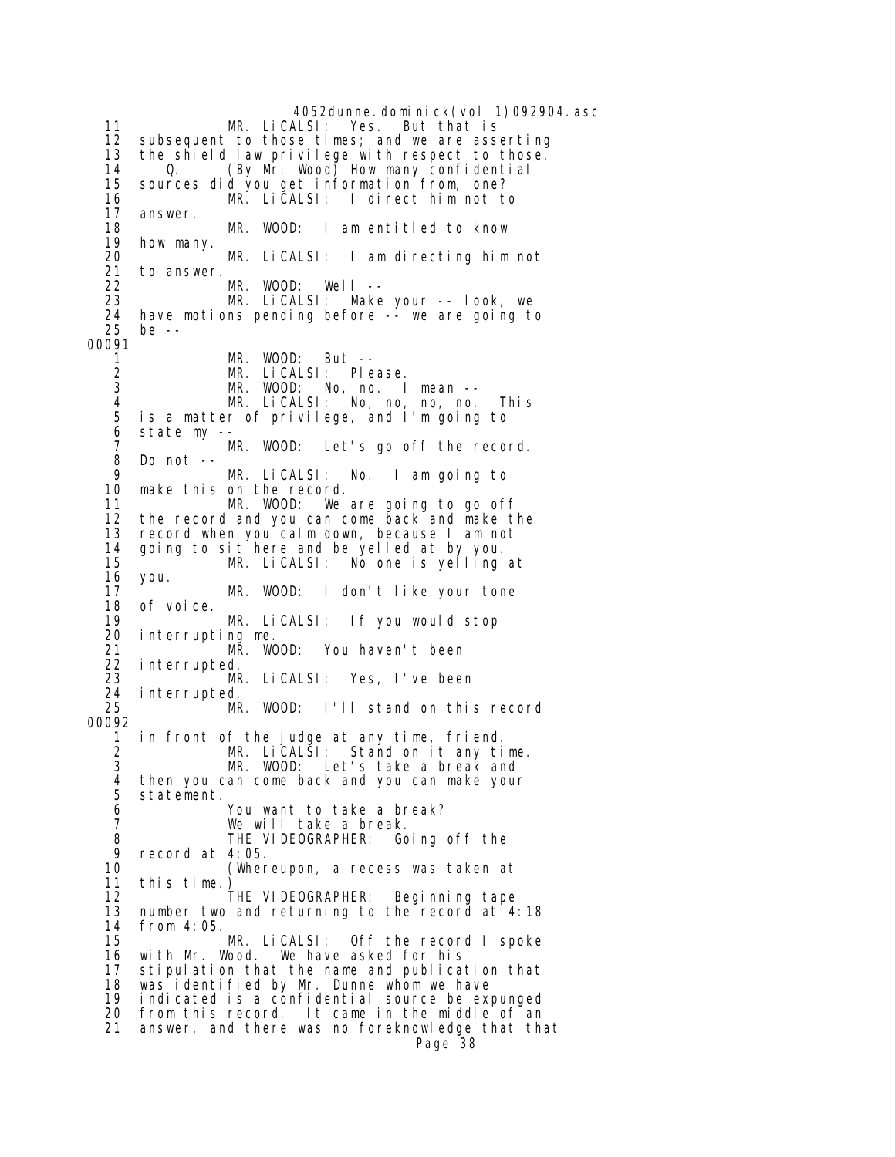4052dunne.dominick(vol 1)092904.asc<br>ALSI: Yes. But that is 11 MR. LiCALSI: 12 subsequent to those times; and we are asserting 13 the shield law privilege with respect to those.<br>14 0. (By Mr. Wood) How many confidential 14 Q. (By Mr. Wood) How many confidential 15 sources did you get information from, one? 16 MR. LiCALSI: I direct him not to 17 answer. 18 MR. WOOD: I am entitled to know 19 how many. 20 MR. LiCALSI: I am directing him not 21 to answer. 22 MR. WOOD: Well -- 23 MR. LiCALSI: Make your -- look, we 24 have motions pending before -- we are going to be  $-$ 00091 1 MR. WOOD: But -- 2 MR. LiCALSI: Please. 3 MR. WOOD: No, no. I mean -- 4 MR. LiCALSI: No, no, no, no. This 5 is a matter of privilege, and I'm going to state my --7 MR. WOOD: Let's go off the record.<br>8 Do not -- 8 Do not -- 9 MR. LiCALSI: No. I am going to 10 make this on the record. We are going to go off 12 the record and you can come back and make the 13 record when you calm down, because I am not 14 going to sit here and be yelled at by you. 15  $\frac{1}{2}$  MR. LiCALSI: No one is yelling at 16 you. 16 you. 17 MR. WOOD: I don't like your tone 18 of voice.<br>19 19 MR. LiCALSI: If you would stop 20 interrupting me. 21 MR. WOOD: You haven't been 22 interrupted. 23 MR. LiCALSI: Yes, I've been 24 interrupted. MR. WOOD: I'll stand on this record 00092 in front of the judge at any time, friend. 2 MR. LiCALSI: Stand on it any time. 3 MR. WOOD: Let's take a break and 4 then you can come back and you can make your 5 statement. You want to take a break? 7 We will take a break. 8 THE VIDEOGRAPHER: Going off the<br>9 record at 4:05. 9 record at 4:05.<br>10 (Wher (Whereupon, a recess was taken at 11 this time.) THE VIDEOGRAPHER: Beginning tape 13 number two and returning to the record at 4:18 14 from 4:05. MR. LiCALSI: Off the record I spoke<br>with Mr. Wood. We have asked for his 16 with Mr. Wood. We have asked for his 17 stipulation that the name and publication that 18 was identified by Mr. Dunne whom we have<br>19 indicated is a confidential source be exp indicated is a confidential source be expunged 20 from this record. It came in the middle of an 21 answer, and there was no foreknowledge that that Page 38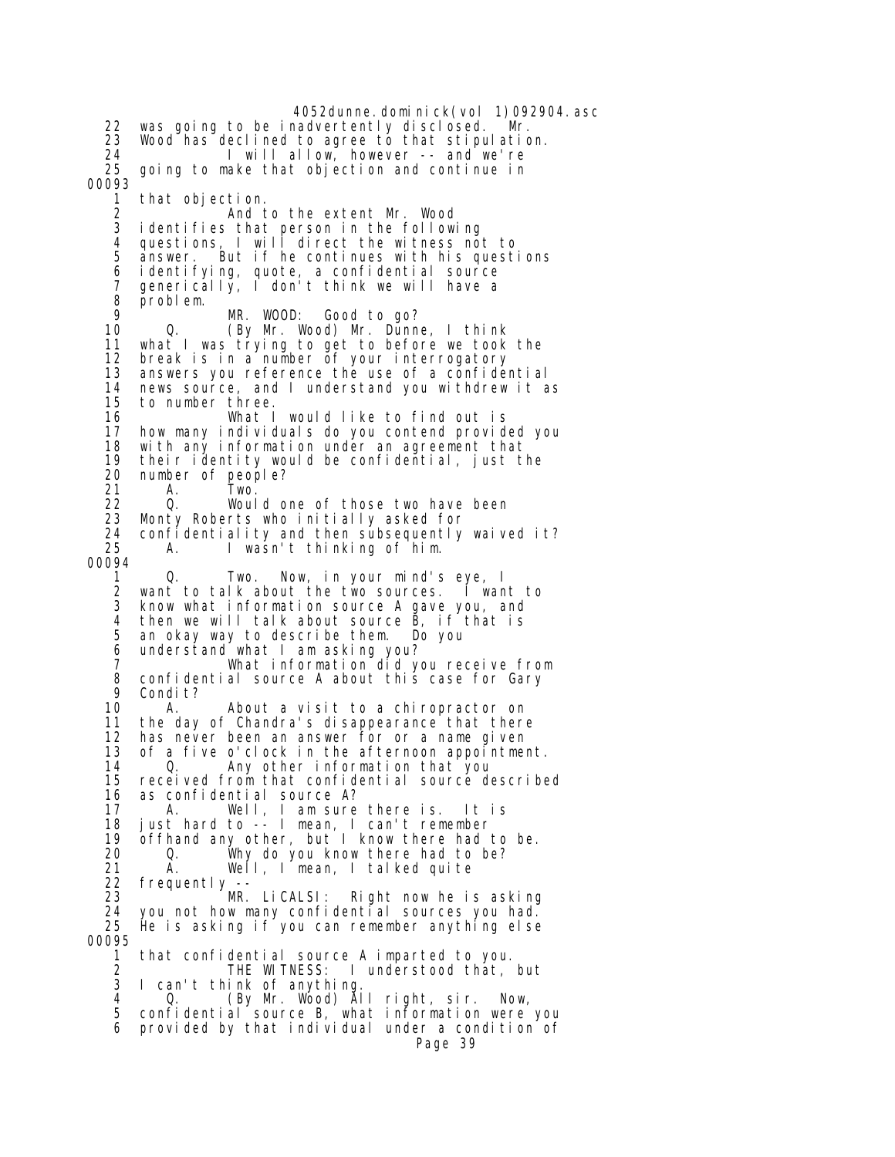4052dunne.dominick(vol 1)092904.asc 22 was going to be inadvertently disclosed. Mr. 23 Wood has declined to agree to that stipulation. 24 I will allow, however -- and we're going to make that objection and continue in 00093 1 that objection. 2 And to the extent Mr. Wood 3 identifies that person in the following 4 questions, I will direct the witness not to answer. But if he continues with his questions 6 identifying, quote, a confidential source 7 generically, I don't think we will have a 8 problem. 9 MR. WOOD: Good to go? 10 Q. (By Mr. Wood) Mr. Dunne, I think 11 what I was trying to get to before we took the<br>12 break is in a number of your interrogatory break is in a number of your interrogatory 13 answers you reference the use of a confidential 14 news source, and I understand you withdrew it as 15 to number three. 16 What I would like to find out is<br>17 how many individuals do you contend provid how many individuals do you contend provided you 18 with any information under an agreement that 19 their identity would be confidential, just the  $20$  number of people? 20 number of people?<br>21 A. Two. 21 A. Two. Would one of those two have been 23 Monty Roberts who initially asked for 24 confidentiality and then subsequently waived it? A. I wasn't thinking of him. 00094 1 Q. Two. Now, in your mind's eye, I 2 want to talk about the two sources. I want to 3 know what information source A gave you, and 4 then we will talk about source B, if that is 5 an okay way to describe them. Do you 6 understand what I am asking you? 7 What information did you receive from 8 confidential source A about this case for Gary<br>9 Condit? 9 Condit?<br>10 A. 10 A. About a visit to a chiropractor on<br>11 the day of Chandra's disappearance that there 11 the day of Chandra's disappearance that there<br>12 has never been an answer for or a name given has never been an answer for or a name given 13 of a five o'clock in the afternoon appointment. 14 Q. Any other information that you 15 received from that confidential source described 16 as confidential source A? 17 A. Well, I am sure there is. It is 18 just hard to -- I mean, I can't remember 19 offhand any other, but I know there had to be. 20 Q. Why do you know there had to be? 21 A. Well, I mean, I talked quite 22 frequently -- Right now he is asking 24 you not how many confidential sources you had. He is asking if you can remember anything else 00095 1 that confidential source A imparted to you. 2 THE WITNESS: I understood that, but I can't think of anything. 4 Q. (By Mr. Wood) All right, sir. Now, 5 confidential source B, what information were you 6 provided by that individual under a condition of Page 39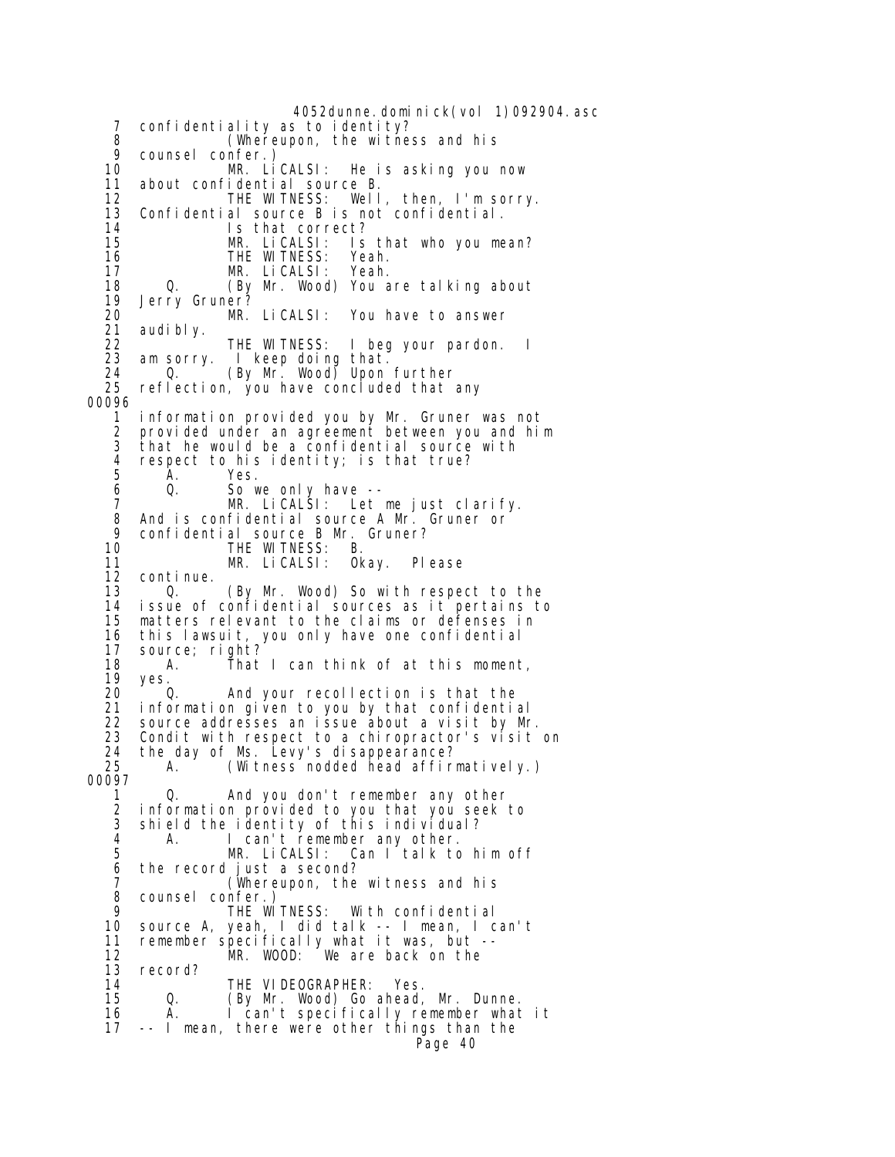4052dunne. domi ni ck(vol 1)092904. asc 7 confidentiality as to identity? 8 (Whereupon, the witness and his 9 counsel confer.)<br>10 MR. Li 10 MR. LiCALSI: He is asking you now 11 about confidential source B. 12 THE WITNESS: Well, then, I'm sorry. 13 Confidential source B is not confidential. 14 Is that correct? Is that who you mean? 16 THE WITNESS: Yeah.<br>17 MR. LiCALSI: Yeah. 17 MR. LiCALSI: Yeah. 18 Q. (By Mr. Wood) You are talking about 19 Jerry Gruner? 20 MR. LiCALSI: You have to answer 21 audi bl y.<br>22 22 THE WITNESS: I beg your pardon. I<br>23 am sorry. I keep doing that. I keep doing that. 24 Q. (By Mr. Wood) Upon further reflection, you have concluded that any 00096 1 information provided you by Mr. Gruner was not 2 provided under an agreement between you and him<br>3 that he would be a confidential source with 3 that he would be a confidential source with 4 respect to his identity; is that true?<br>5 A. Yes. 5 A. Yes.<br>6 Q. Sow 6 Q. So we only have -- MR. LiCALSI: Let me just clarify. 8 And is confidential source A Mr. Gruner or 9 confidential source B Mr. Gruner? 10 THE WITNESS: B.<br>11 MR. LiCALSI: OK 11 MR. LiCALSI: Okay. Please 12 continue. 13 Q. (By Mr. Wood) So with respect to the issue of confidential sources as it pertains to 15 matters relevant to the claims or defenses in 16 this lawsuit, you only have one confidential 17 source; right? 18 A. That I can think of at this moment, 19 yes.<br>20 C 20 Q. And your recollection is that the 21 information given to you by that confidential 22 source addresses an issue about a visit by Mr. Condit with respect to a chiropractor's visit on 24 the day of Ms. Levy's disappearance? 25 A. (Witness nodded head affirmatively.) 00097 1 Q. And you don't remember any other 2 information provided to you that you seek to 3 shield the identity of this individual? 4 A. I can't remember any other.<br>5 MR. LiCALSI: Can I talk to MR. LiCALSI: Can I talk to him off 6 the record just a second? 7 (Whereupon, the witness and his 8 counsel confer.)<br>9 THF WI 9 THE WITNESS: With confidential source A, yeah, I did talk -- I mean, I can't 11 remember specifically what it was, but -- 12 MR. WOOD: We are back on the 13 record? 14 THE VIDEOGRAPHER: Yes.<br>15 0. (By Mr. Wood) Go ahead. (By Mr. Wood) Go ahead, Mr. Dunne. 16 A. I can't specifically remember what it 17 -- I mean, there were other things than the Page 40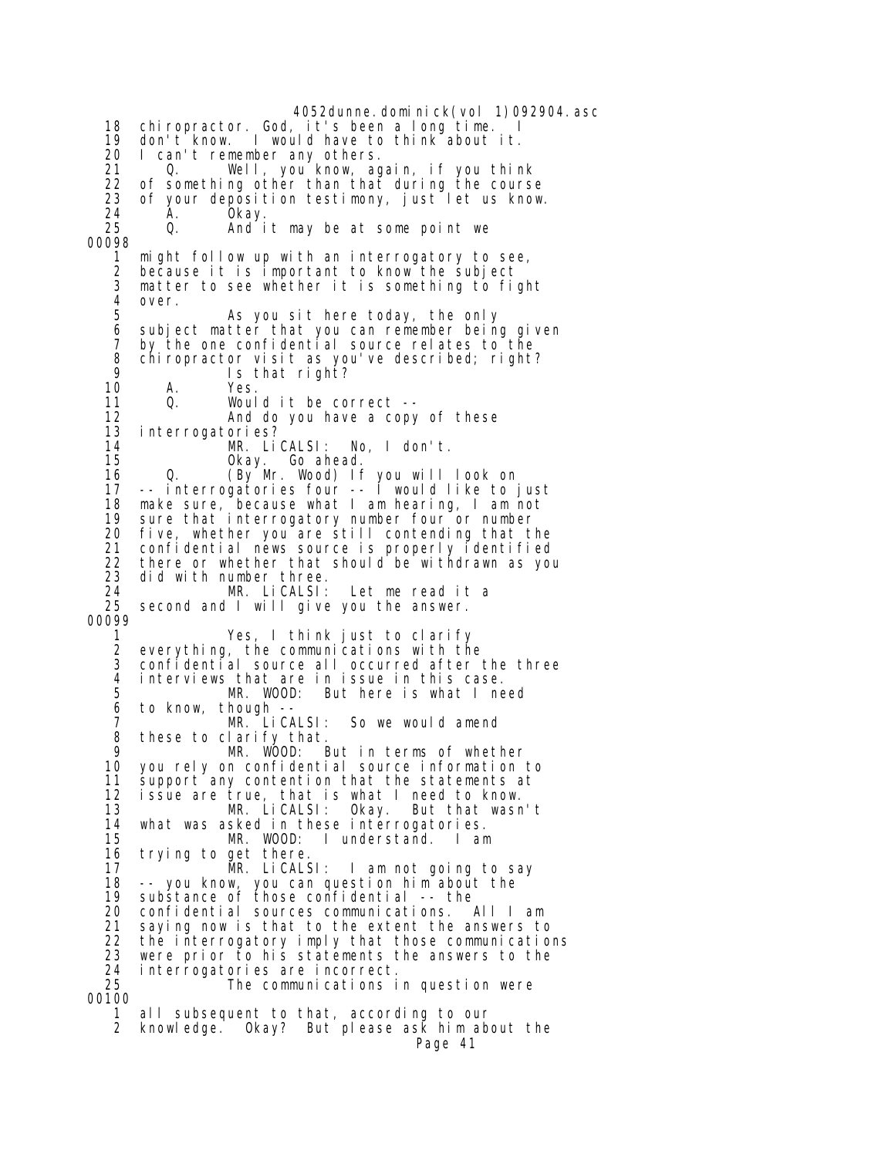4052dunne.dominick(vol 1)092904.asc 18 chiropractor. God, it's been a long time. 19 don't know. I would have to think about it.<br>20 I can't remember any others. 20 I can't remember any others. 21 Q. Well, you know, again, if you think 22 of something other than that during the course 23 of your deposition testimony, just let us know. 24 Ă. Okay.<br>25 O. And i And it may be at some point we 00098 1 might follow up with an interrogatory to see, 2 because it is important to know the subject matter to see whether it is something to fight 4 over. As you sit here today, the only 6 subject matter that you can remember being given 7 by the one confidential source relates to the 8 chiropractor visit as you've described; right? 9 Is that right?<br>10 A. Yes. A. Yes.<br>Q. Woul 11 Q. Would it be correct --<br>12 And do you have a copy 12 And do you have a copy of these interrogatories? 14 MR. LiCALSI: No, I don't. 15 Okay. Go ahead. 16 Q. (By Mr. Wood) If you will look on 17 -- interrogatories four -- I would like to just 18 make sure, because what I am hearing, I am not 19 sure that interrogatory number four or number 20 five, whether you are still contending that the confidential news source is properly identified 22 there or whether that should be withdrawn as you<br>23 did with number three. 23 did with number three.<br>24 MR. LiCALSI: 24 MR. LiCALSI: Let me read it a second and I will give you the answer. 00099 1 Yes, I think just to clarify 2 everything, the communications with the confidential source all occurred after the three 4 interviews that are in issue in this case. MR. WOOD: But here is what I need 6 to know, though<br>7 MR Lio 7 MR. LiCALSI: So we would amend<br>8 these to clarify that. these to clarify that. 9 MR. WOOD: But in terms of whether 10 you rely on confidential source information to 11 support any contention that the statements at<br>12 issue are true, that is what I need to know. 12 issue are true, that is what I need to know.<br>13 MR. LiCALSI: Okay. But that wasr But that wasn't 14 what was asked in these interrogatories. 15 MR. WOOD: I understand. I am 16 trying to get there.<br>17 MR. LiCALS 17 MR. LiCALSI: I am not going to say 18 -- you know, you can question him about the substance of those confidential -- the 20 confidential sources communications. All I am saying now is that to the extent the answers to 22 the interrogatory imply that those communications 23 were prior to his statements the answers to the<br>24 interrogatories are incorrect. 24 interrogatories are incorrect. The communications in question were 00100 1 all subsequent to that, according to our 2 knowledge. Okay? But please ask him about the Page 41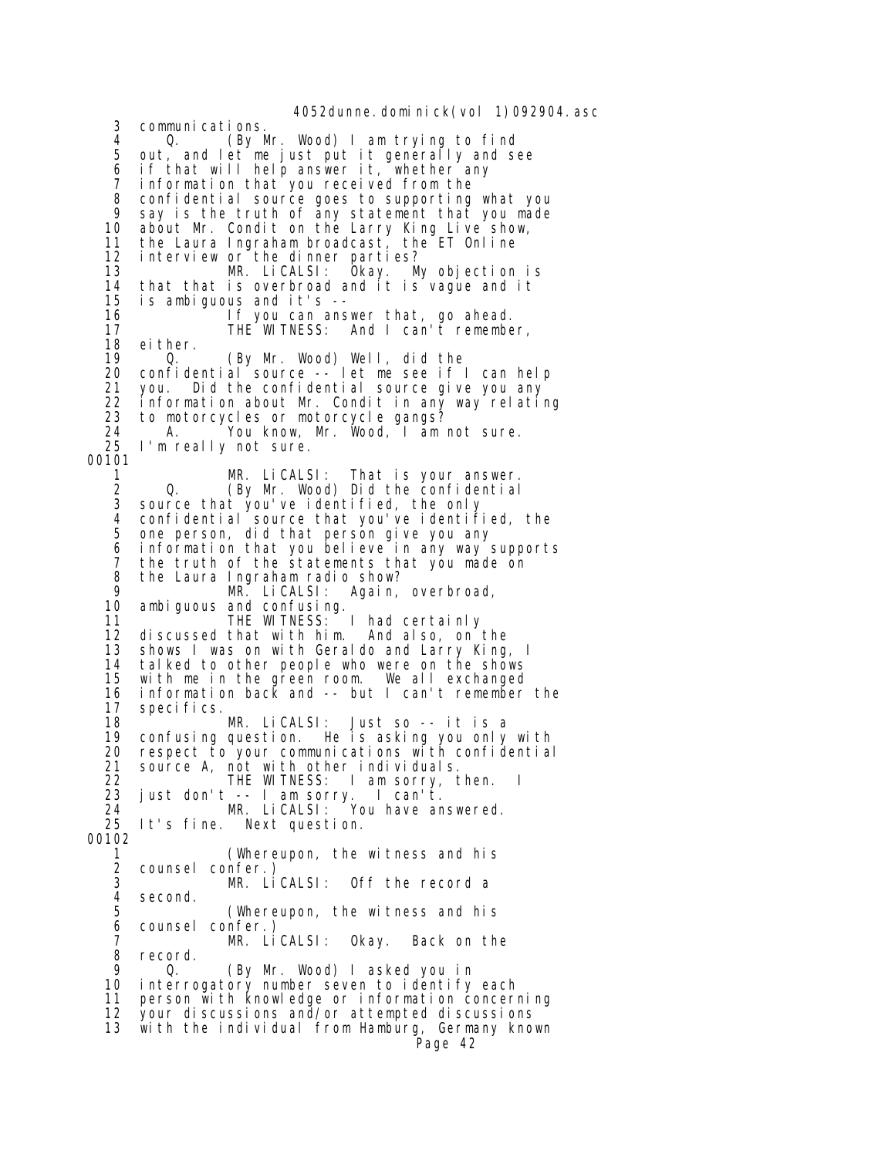4052dunne. domi ni ck(vol 1)092904. asc 3 communications. 4 Q. (By Mr. Wood) I am trying to find out, and let me just put it generally and see 6 if that will help answer it, whether any<br>7 information that you received from the 7 information that you received from the 8 confidential source goes to supporting what you 9 say is the truth of any statement that you made 10 about Mr. Condit on the Larry King Live show, 11 the Laura Ingraham broadcast, the ET Online 12 interview or the dinner parties? 13 MR. LiCALSI: Okay. My objection is 14 that that is overbroad and it is vague and it 15 is ambiguous and it's -- 16 **If you can answer that, go ahead.** 17 THE WITNESS: And I can't remember,<br>18 either. 18 either.<br>19 0. (By Mr. Wood) Well, did the 20 confidential source -- let me see if I can help 21 you. Did the confidential source give you any 22 information about Mr. Condit in any way relating 23 to motorcycles or motorcycle gangs?<br>24 A. You know, Mr. Wood, I am 24 A. You know, Mr. Wood, I am not sure.<br>25 I'm really not sure. I'm really not sure. 00101 1 MR. LiCALSI: That is your answer.<br>2 Q. (By Mr. Wood) Did the confidential 2 Q. (By Mr. Wood) Did the confidential source that you've identified, the only 4 confidential source that you've identified, the<br>5 one person, did that person give you any 5 one person, did that person give you any 6 information that you believe in any way supports 7 the truth of the statements that you made on 8 the Laura Ingraham radio show?<br>9 MR. LiCALSI: Again, 9 MR. LiCALSI: Again, overbroad, ambiguous and confusing. 11 THE WITNESS: I had certainly<br>12 discussed that with him. And also, on discussed that with him. And also, on the 13 shows I was on with Geraldo and Larry King, I<br>14 talked to other people who were on the shows tal ked to other people who were on the shows 15 with me in the green room. We all exchanged 16 information back and -- but I can't remember the 17 specifics. 18 MR. LiCALSI: Just so -- it is a confusing question. He is asking you only with 20 respect to your communications with confidential 21 source A, not with other individuals. 22 THE WITNESS: I am sorry, then. I<br>23 just don't -- I am sorry. I can't. 23 just don't -- I am sorry. I can't. 24 MR. LiCALSI: You have answered. 25 It's fine. Next question. 00102 1 (Whereupon, the witness and his 2 counsel confer.) 3 MR. LiCALSI: Off the record a 4 second.<br>5 (Whereupon, the witness and his 6 counsel confer.) 7 MR. LiCALSI: Okay. Back on the 8 record.<br>9 0 Q. (By Mr. Wood) I asked you in 10 interrogatory number seven to identify each 11 person with knowledge or information concerning 12 your discussions and/or attempted discussions 13 with the individual from Hamburg, Germany known Page 42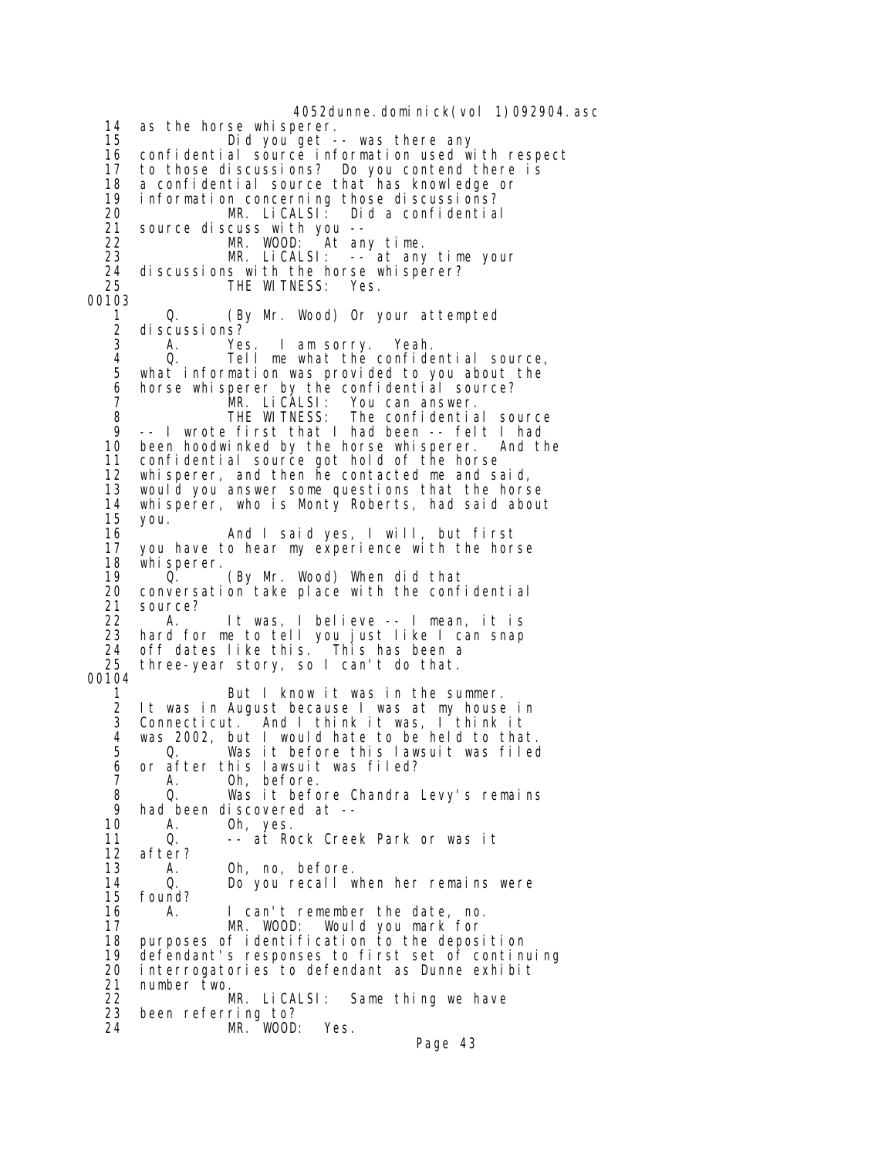4052dunne. domi ni ck(vol 1)092904. asc 14 as the horse whisperer. 15 Did you get -- was there any 16 confidential source information used with respect<br>17 to those discussions? Do you contend there is 17 to those discussions? Do you contend there is 18 a confidential source that has knowledge or 19 information concerning those discussions? 20 MR. LiCALSI: Did a confidential<br>21 source discuss with you -source discuss with you --<br>MR. WOOD: At an 22 MR. WOOD: At any time. 23 MR. LiCALSI: -- at any time your 24 discussions with the horse whisperer? THE WITNESS: Yes. 00103 1 Q. (By Mr. Wood) Or your attempted 2 di scussi ons?<br>3 A Ye 3 A. Yes. I am sorry. Yeah. 4 Q. Tell me what the confidential source, what information was provided to you about the 6 horse whisperer by the confidential source? 7 MR. LiCALSI: You can answer. 8 THE WITNESS: The confidential source 9 -- I wrote first that I had been -- felt I had 10 been hoodwinked by the horse whisperer. And the 11 confidential source got hold of the horse 12 whisperer, and then he contacted me and said, 13 would you answer some questions that the horse whisperer, who is Monty Roberts, had said about 15 you. 16 And I said yes, I will, but first 17 you have to hear my experience with the horse<br>18 whisperer. 18 whisperer.<br>19 0. 19 Q. (By Mr. Wood) When did that<br>20 conversation take place with the conf 20 conversation take place with the confidential<br>21 source? source? 22 A. It was, I believe -- I mean, it is<br>23 hard for me to tell you just like I can snap hard for me to tell you just like I can snap 24 off dates like this. This has been a three-year story, so I can't do that. 00104 But I know it was in the summer. 2 It was in August because I was at my house in 3 Connecticut. And I think it was, I think it 4 was 2002, but I would hate to be held to that. 5 Q. Was it before this lawsuit was filed 6 or after this lawsuit was filed? 7 A. Oh, before. 8 Q. Was it before Chandra Levy's remains<br>9 had been discovered at --9 had been discovered at --<br>10 A. 0h, yes. A. Oh, yes. 11 Q. -- at Rock Creek Park or was it 12 after?<br>13 A. 13 A. Oh, no, before. 14 Q. Do you recall when her remains were found? 16 A. I can't remember the date, no. 17 MR. WOOD: Would you mark for 18 purposes of identification to the deposition 19 defendant's responses to first set of continuing 20 interrogatories to defendant as Dunne exhibit 21 number two.<br>22 MR. LiCALSI: Same thing we have 23 been referring to? MR. WOOD: Yes. Page 43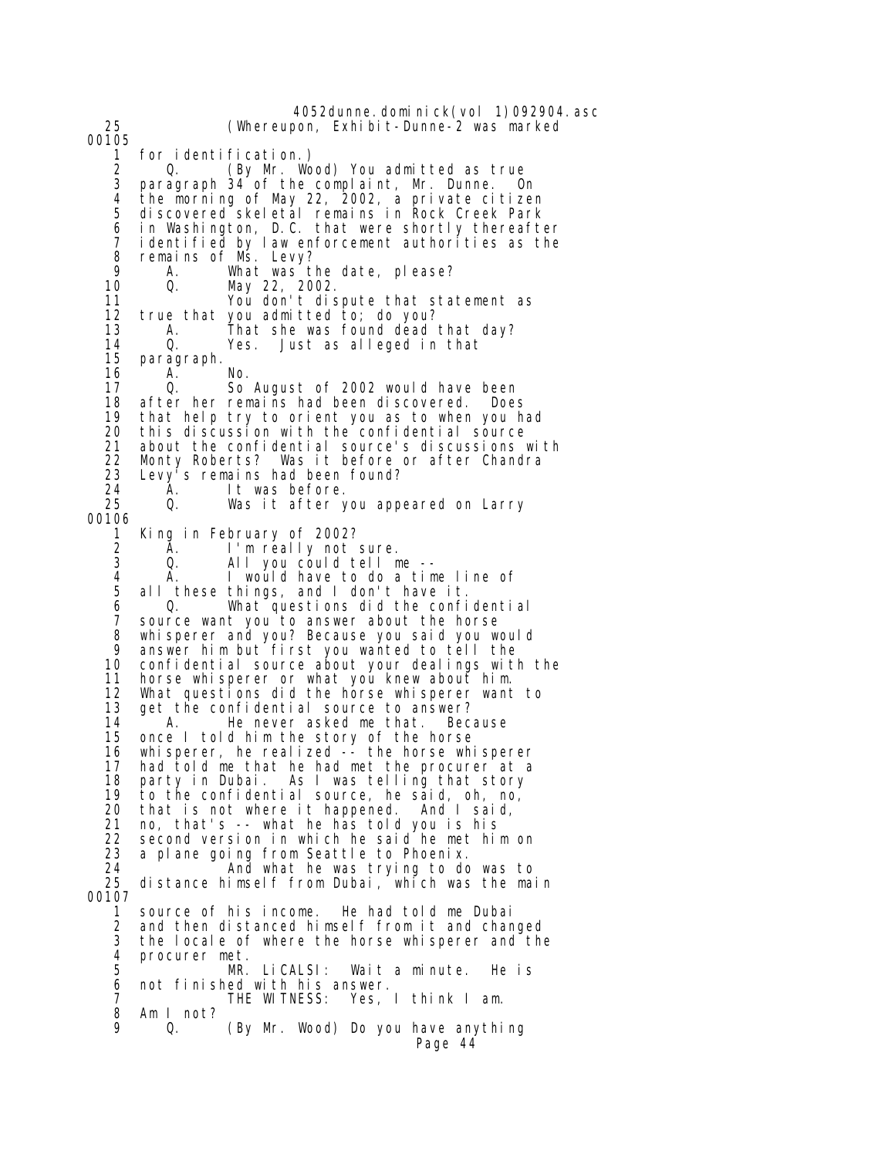4052dunne.dominick(vol 1)092904.asc 25 (Whereupon, Exhibit-Dunne-2 was marked 00105<br>1 1 for identification.)<br>2 0. (By Mr. Wo 2 Q. (By Mr. Wood) You admitted as true 3 paragraph 34 of the complaint, Mr. Dunne. On 4 the morning of May 22, 2002, a private citizen 5 discovered skeletal remains in Rock Creek Park 6 in Washington, D.C. that were shortly thereafter identified by law enforcement authorities as the 8 remains of Ms. Levy?<br>9 A What was t 9 A. What was the date, please? 10 Q. May 22, 2002. 11 You don't dispute that statement as 12 true that you admitted to; do you? 13 A. That she was found dead that day? 14 Q. Yes. Just as alleged in that paragraph. 16 A. No. 17 Q. So August of 2002 would have been 18 after her remains had been discovered. Does<br>19 that help try to orient you as to when you h 19 that help try to orient you as to when you had<br>20 this discussion with the confidential source this discussion with the confidential source 21 about the confidential source's discussions with 22 Monty Roberts? Was it before or after Chandra 23 Levy<sup>i</sup>s remains had been found?<br>24 A. It was before. 24 A. It was before. Was it after you appeared on Larry 00106 1 King in February of 2002?<br>2 A. I'm really not : 2 A. I'm really not sure. All you could tell me --4 A. I would have to do a time line of<br>5 all these things, and I don't have it. 5 all these things, and I don't have it. 6 Q. What questions did the confidential 7 source want you to answer about the horse 8 whisperer and you? Because you said you would 9 answer him but first you wanted to tell the confidential source about your dealings with the 11 horse whisperer or what you knew about him. 12 What questions did the horse whisperer want to<br>13 qet the confidential source to answer? 13 get the confidential source to answer?<br>14 A. He never asked me that. Bec 14 A. He never asked me that. Because<br>15 once I told him the story of the horse once I told him the story of the horse 16 whisperer, he realized -- the horse whisperer 17 had told me that he had met the procurer at a 18 party in Dubai. As I was telling that story 19 to the confidential source, he said, oh, no, that is not where it happened. And I said, 21 no, that's -- what he has told you is his<br>22 second version in which he said he met hi 22 second version in which he said he met him on<br>23 a plane going from Seattle to Phoenix. 23 a plane going from Seattle to Phoenix.<br>24 And what he was trying to do 24 And what he was trying to do was to distance himself from Dubai, which was the main 00107 1 source of his income. He had told me Dubai 2 and then distanced himself from it and changed 3 the locale of where the horse whisperer and the<br>4 procurer met. 4 procurer met.<br>5 MR. MR. LiCALSI: Wait a minute. He is 6 not finished with his answer. 7 THE WITNESS: Yes, I think I am. 8 Am I not? (By Mr. Wood) Do you have anything Page 44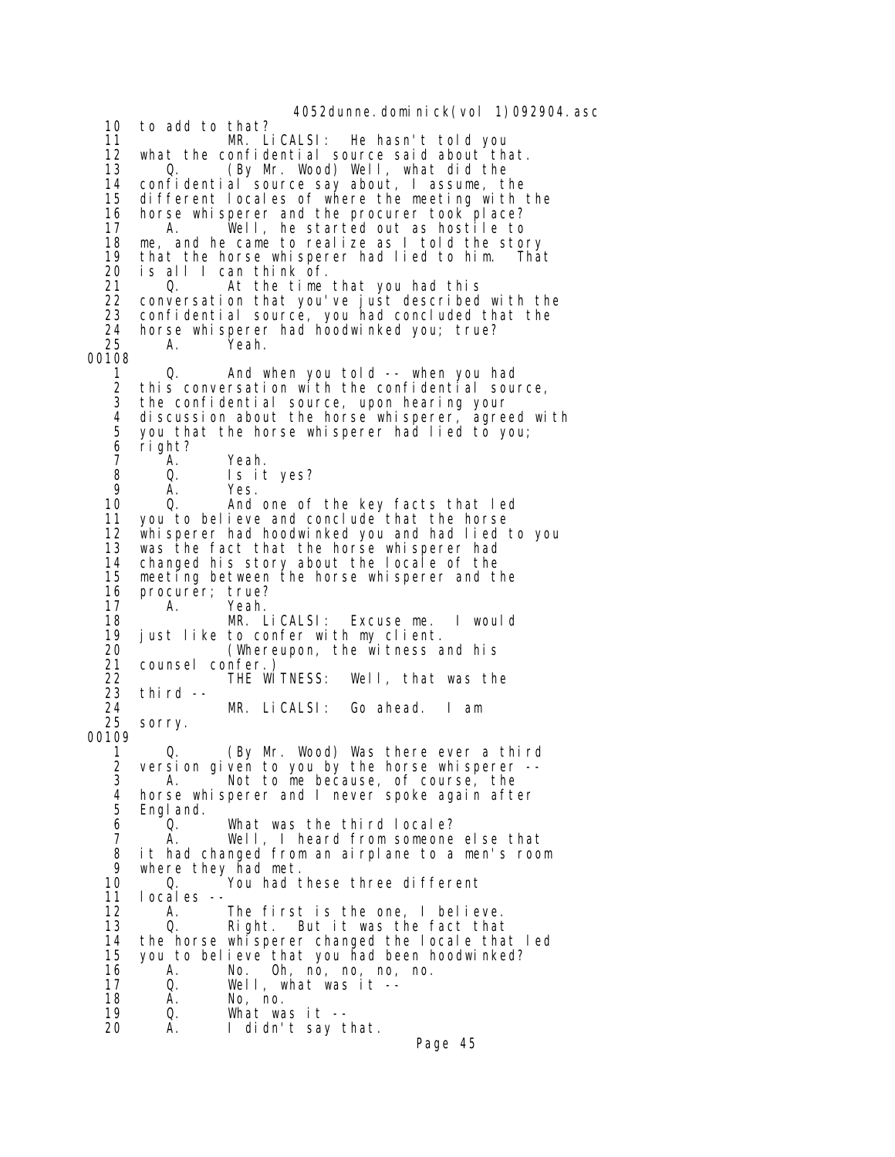4052dunne. domi ni ck(vol 1)092904. asc 10 to add to that? 11 MR. LiCALSI: He hasn't told you<br>12 what the confidential source said about the 12 what the confidential source said about that.<br>13 0. (By Mr. Wood) Well, what did the 13 Q. (By Mr. Wood) Well, what did the 14 confidential source say about, I assume, the 15 different locales of where the meeting with the 16 horse whisperer and the procurer took place?<br>17 A. Well, he started out as hostile to A. Well, he started out as hostile to 18 me, and he came to realize as I told the story 19 that the horse whisperer had lied to him. That 20 is all I can think of. At the time that you had this 22 conversation that you've just described with the 23 confidential source, you had concluded that the 24 horse whisperer had hoodwinked you; true? 25 A. Yeah. 00108 1 Q. And when you told -- when you had 2 this conversation with the confidential source, 3 the confidential source, upon hearing your<br>4 discussion about the borse whisperer, agre 4 discussion about the horse whisperer, agreed with<br>5 you that the horse whisperer had lied to you; 5 you that the horse whisperer had lied to you; 6 right? 7 A. Yeah. 8 Q. Is it yes? 9 A. Yes.<br>10 Q. And And one of the key facts that led 11 you to believe and conclude that the horse<br>12 whisperer had hoodwinked you and had lied 12 whisperer had hoodwinked you and had lied to you<br>13 was the fact that the horse whisperer had was the fact that the horse whisperer had 14 changed his story about the locale of the 15 meeting between the horse whisperer and the 16 procurer; true? 17 A. Yeah. 18 MR. LiCALSI: Excuse me. I would 19 just like to confer with my client.<br>20 (Whereupon, the witness a 20 (Whereupon, the witness and his 21 counsel confer.) 22 THE WITNESS: Well, that was the 23 third -- 24 MR. LiCALSI: Go ahead. I am sorry. 00109 1 Q. (By Mr. Wood) Was there ever a third 2 version given to you by the horse whisperer -- 3 A. Not to me because, of course, the 3 A. Not to me because, of course, the 4 horse whisperer and I never spoke again after Engl and. 6 Q. What was the third locale? 7 A. Well, I heard from someone else that 8 it had changed from an airplane to a men's room 9 where they had met.<br>10 0. You had t 10 Q. You had these three different<br>11 locales -locales -- 12 A. The first is the one, I believe. 13 Q. Right. But it was the fact that 14 the horse whisperer changed the locale that led<br>15 you to believe that you had been hoodwinked? 15 you to believe that you had been hoodwinked? 16 A. No. Oh, no, no, no, no. 17 Q. Well, what was it -- 18 A. No, no.<br>19 Q. What wa 19 Q. What was it -- A. I didn't say that. Page 45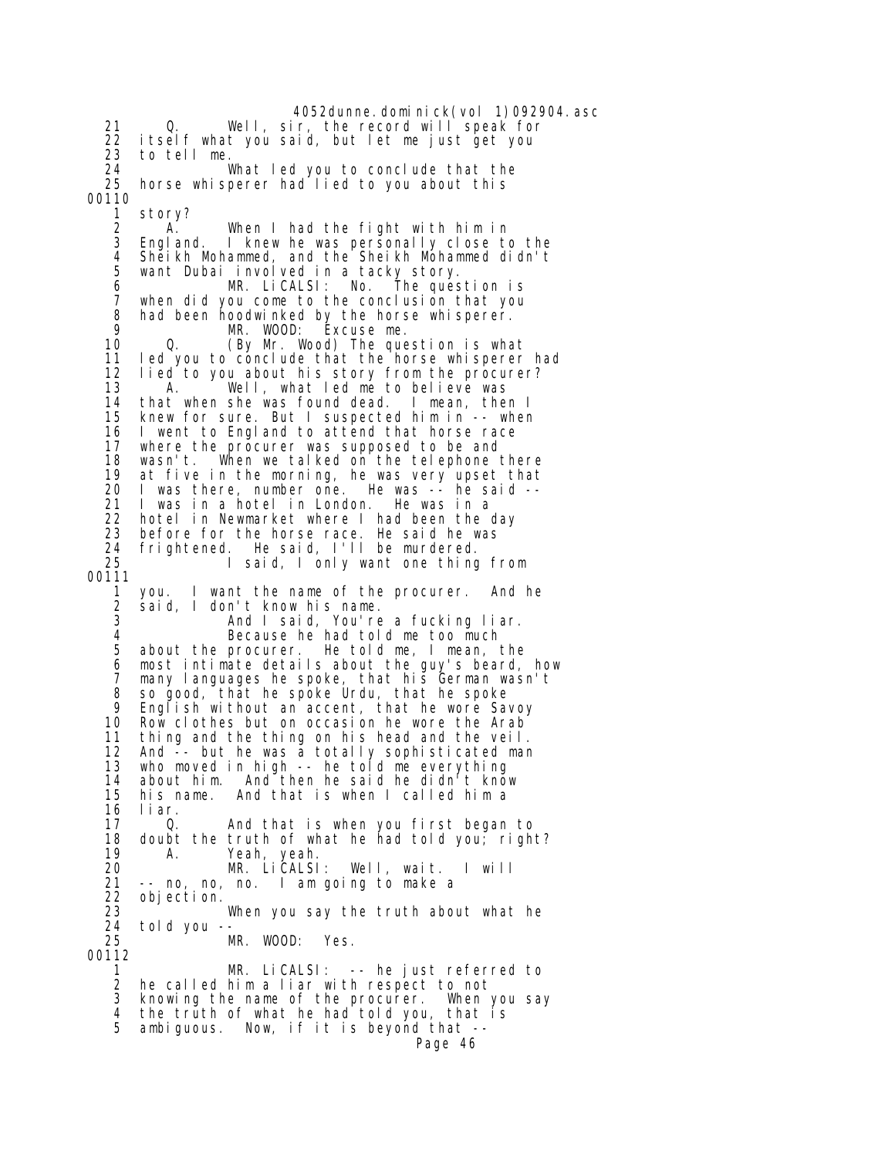4052dunne. domi ni ck(vol 1)092904. asc 21 Q. Well, sir, the record will speak for 22 itself what you said, but let me just get you 23 to tell me. 24 What led you to conclude that the horse whisperer had lied to you about this 00110 1 story? 2 A. When I had the fight with him in<br>3 England. I knew he was personally close to I knew he was personally close to the 4 Sheikh Mohammed, and the Sheikh Mohammed didn't 5 want Dubai involved in a tacky story. 6 MR. LiCALSI: No. The question is 7 when did you come to the conclusion that you 8 had been hoodwinked by the horse whisperer. 9 MR. WOOD: Excuse me. 10 Q. (By Mr. Wood) The question is what I ed you to conclude that the horse whisperer had 12 lied to you about his story from the procurer? 13 A. Well, what led me to believe was 14 that when she was found dead. I mean, then I 15 knew for sure. But I suspected him in -- when I went to England to attend that horse race 17 where the procurer was supposed to be and<br>18 wasn't. When we talked on the telephone 18 wasn't. When we talked on the telephone there 19 at five in the morning, he was very upset that<br>20 I was there, number one. He was -- he said -- 20 I was there, number one. He was -- he said -- I was in a hotel in London. He was in a 22 hotel in Newmarket where I had been the day 23 before for the horse race. He said he was 24 frightened. He said, I'll be murdered. 25 I said, I only want one thing from 00111 1 you. I want the name of the procurer. And he 2 said, I don't know his name. And I said, You're a fucking liar. 4 Because he had told me too much<br>5 about the procurer. He told me, I mean, 5 about the procurer. He told me, I mean, the 6 most intimate details about the guy's beard, how 7 many languages he spoke, that his German wasn't 8 so good, that he spoke Urdu, that he spoke<br>9 Foolish without an accent that he wore Say 9 English without an accent, that he wore Savoy 10 Row clothes but on occasion he wore the Arab<sup>1</sup><br>11 thing and the thing on his head and the veil. thing and the thing on his head and the veil. 12 And -- but he was a totally sophisticated man 13 who moved in high -- he told me everything 14 about him. And then he said he didn't know 15 his name. And that is when I called him a liar. 17 Q. And that is when you first began to 18 doubt the truth of what he had told you; right?<br>19 A. Yeah. yeah. 19 A. Yeah, yeah. 20 MR. LiCALSI: Well, wait. I will 21 -- no, no, no. I am going to make a 22 objection.<br>23 23 When you say the truth about what he<br>24 told you -- 24 told you -- MR. WOOD: Yes. 00112 1 MR. LiCALSI: -- he just referred to 2 he called him a liar with respect to not 3 knowing the name of the procurer. When you say 4 the truth of what he had told you, that is<br>5 ambiquous. Now, if it is bevond that -ambiguous. Now, if it is beyond that --Page 46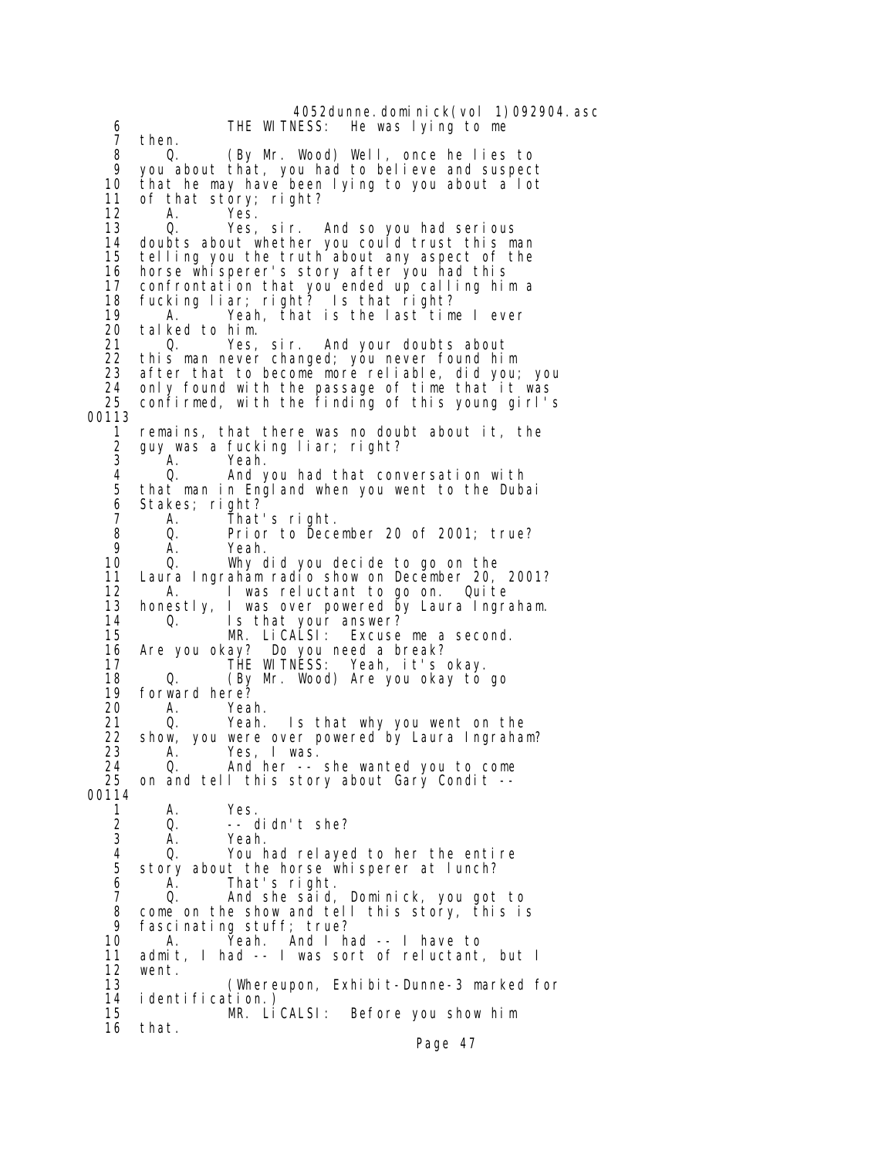4052dunne.dominick(vol 1)092904.asc<br>THE WITNESS: He was lying to me 6 THE WITNESS: He was lying to me 7 then. 8 Q. (By Mr. Wood) Well, once he lies to 9 you about that, you had to believe and suspect that he may have been lying to you about a lot 11 of that story; right? 12 A. Yes.<br>13 O. Yes. Yes, sir. And so you had serious 14 doubts about whether you could trust this man 15 telling you the truth about any aspect of the 16 horse whisperer's story after you had this<br>17 confrontation that you ended up calling hi 17 confrontation that you ended up calling him a 18 fucking liar; right? Is that right? 19 A. Yeah, that is the last time I ever<br>20 talked to him. 20 talked to him. 21 Q. Yes, sir. And your doubts about this man never changed; you never found him 23 after that to become more reliable, did you; you 24 only found with the passage of time that it was confirmed, with the finding of this young girl's 00113 remains, that there was no doubt about it, the 2 guy was a fucking liar; right?<br>3 A. Yeah. 3 A. Yeah.<br>4 O. And 4 Q. And you had that conversation with 5 that man in England when you went to the Dubai Stakes; right? 7 A. That's right. 8 Q. Prior to December 20 of 2001; true? 9 A. Yeah.<br>10 Q. Why.c 0. Why did you decide to go on the 11 Laura Ingraham radio show on December 20, 2001?<br>12 A. I was reluctant to go on. Quite 12 A. I was reluctant to go on. Quite<br>13 honestly. I was over powered by Laura Ingra honestly, I was over powered by Laura Ingraham. 14 Q. Is that your answer?<br>15 MR. LiCALSI: Excuse Excuse me a second. 16 Are you okay? Do you need a break?<br>17 THE WITNESS: Yeah, it's Yeah, it's okay. 18 Q. (By Mr. Wood) Are you okay to go 19 forward here?<br>20 A. Yea 20 A. Yeah. 21 Q. Yeah. Is that why you went on the<br>22 show, you were over powered by Laura Ingraha show, you were over powered by Laura Ingraham? 23 A. Yes, I was. 24 Q. And her -- she wanted you to come 25 on and tell this story about Gary Condit -- 00114<br>1 1 A. Yes.<br>2 Q. -- o 2 Q. -- didn't she? Yeah. 4 Q. You had relayed to her the entire 5 story about the horse whisperer at lunch?<br>6 A. That's right. 6 A. That's right.<br>7 Q. And she said, 0. And she said, Dominick, you got to 8 come on the show and tell this story, this is<br>9 fascinating stuff: true? 9 fascinating stuff; true?<br>10 A. Yeah. And I h 10 A. Yeah. And I had -- I have to admit, I had -- I was sort of reluctant, but I 12 went. 13 (Whereupon, Exhibit-Dunne-3 marked for 14 identification.)<br>15 MR. Li MR. LiCALSI: Before you show him 16 that.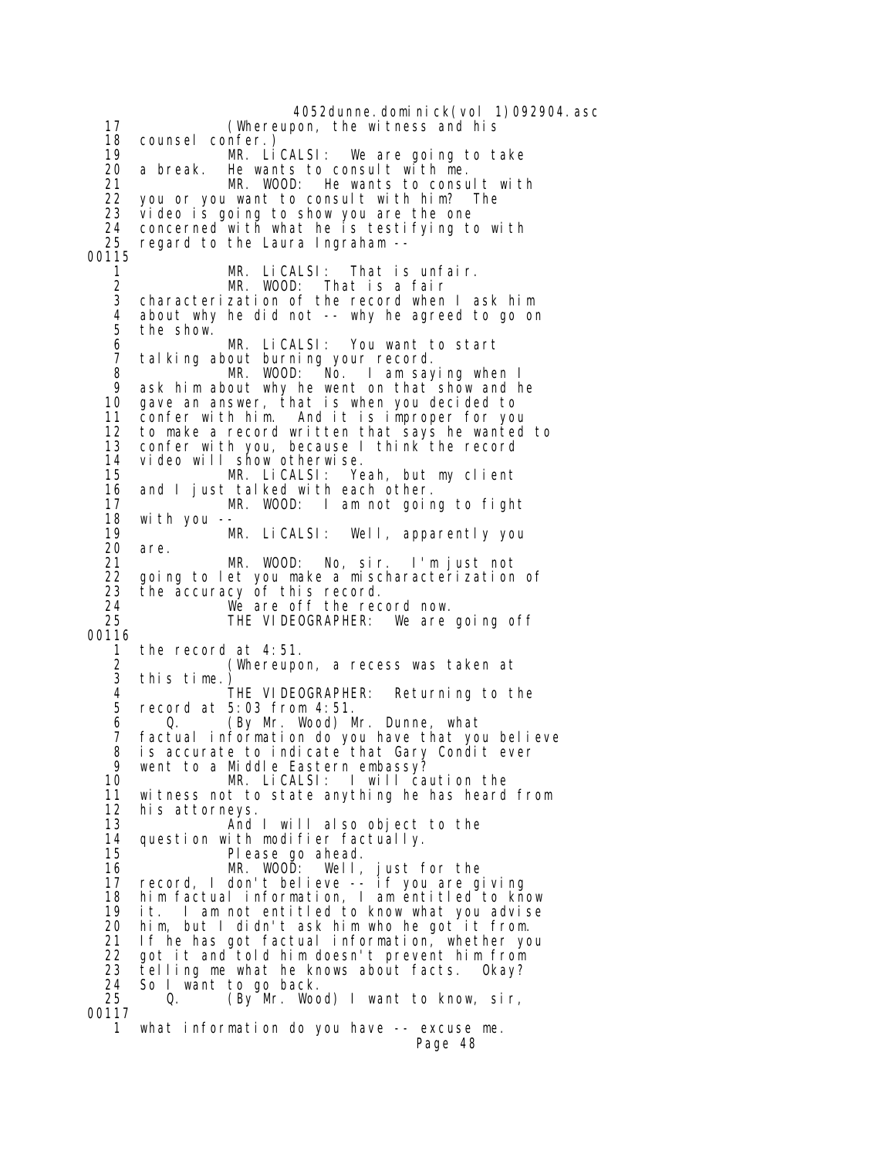4052dunne.dominick(vol 1)092904.asc 17 (Whereupon, the witness and his 18 counsel confer.) 19 MR. LiCALSI: We are going to take 20 a break. He wants to consult with me. 21 MR. WOOD: He wants to consult with 22 you or you want to consult with him? The<br>23 video is going to show you are the one video is going to show you are the one 24 concerned with what he is testifying to with 25 regard to the Laura Ingraham -- 00115 1 MR. LiCALSI: That is unfair. 2 MR. WOOD: That is a fair 3 characterization of the record when I ask him 4 about why he did not -- why he agreed to go on the show. 6 MR. LiCALSI: You want to start 7 talking about burning your record.<br>8 MR. WOOD: No. I am say 8 MR. WOOD: No. I am saying when I<br>9 ask him about why he went on that show and h 9 ask him about why he went on that show and he<br>10 gave an answer, that is when you decided to 10 gave an answer, that is when you decided to 11 confer with him. And it is improper for you<br>12 to make a record written that says he wanted 12 to make a record written that says he wanted to 13 confer with you, because I think the record 14 video will show otherwise.<br>15 MR. LiCALSI: Ye 15 MR. LiCALSI: Yeah, but my client 16 and I just talked with each other.<br>17 MR. WOOD: I am not goir 17 MR. WOOD: I am not going to fight 18 with you -- 19 MR. LiCALSI: Well, apparently you<br>20 are. 20 are.<br>21 21 MR. WOOD: No, sir. I'm just not 22 going to let you make a mischaracterization of<br>23 the accuracy of this record. 23 the accuracy of this record.<br>24 We are off the rec 24 We are off the record now.<br>25 THE VIDEOGRAPHER: We are THE VIDEOGRAPHER: We are going off 00116 1 the record at 4:51.<br>2 *(Whereupo*) 2 (Whereupon, a recess was taken at this time.)<br>THE VIDEOGRAPHER: 4 THE VIDEOGRAPHER: Returning to the 5 record at 5:03 from 4:51. 6 Q. (By Mr. Wood) Mr. Dunne, what factual information do you have that you believe 8 is accurate to indicate that Gary Condit ever<br>9 went to a Middle Eastern embassy? 9 went to a Middle Eastern embassy?<br>10 MR. LiCALSI: I will ca 10 MR. LiCALSI: I will caution the 11 witness not to state anything he has heard from<br>12 his attorneys. his attorneys. 13 And I will also object to the 14 question with modifier factually. 15 Please go ahead. 16 MR. WOOD: Well, just for the 17 record, I don't believe -- if you are giving 18 him factual information, I am entitled to know 19 it. I am not entitled to know what you advise him, but I didn't ask him who he got it from. 21 If he has got factual information, whether you<br>22 got it and told him doesn't prevent him from 22 got it and told him doesn't prevent him from<br>23 telling me what he knows about facts. Okay? 23 telling me what he knows about facts. Okay?<br>24 So I want to go back. 24 So I want to go back.<br>25 0. (By Mr. Woo Q. (By Mr. Wood) I want to know, sir, 00117 1 what information do you have -- excuse me. Page 48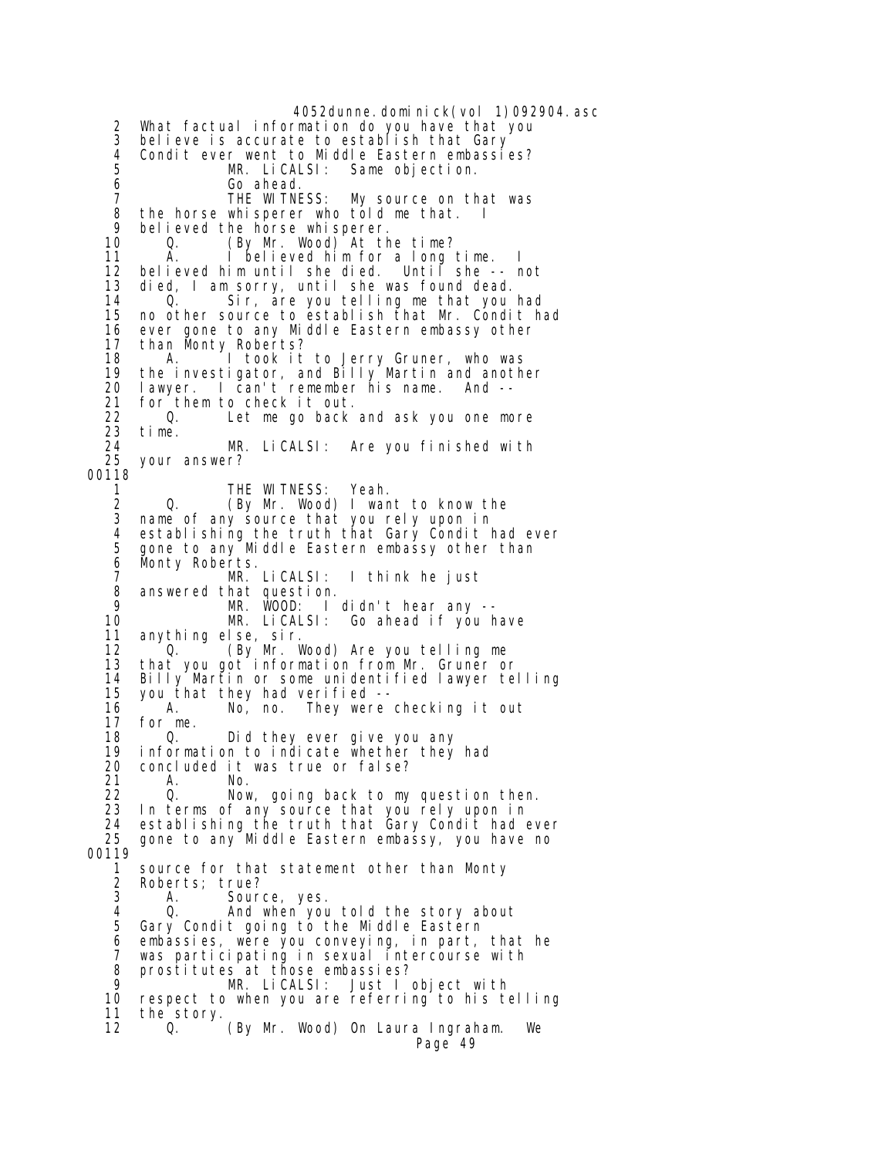4052dunne.dominick(vol 1)092904.asc What factual information do you have that you 3 believe is accurate to establish that Gary 4 Condit ever went to Middle Eastern embassies? MR. LiCALSI: Same objection. 6 Go ahead.<br>7 THE WITNE 7 THE WITNESS: My source on that was<br>8 the horse whisperer who told me that. I 8 the horse whisperer who told me that. I<br>9 believed the horse whisperer 9 believed the horse whisperer. 0. (By Mr. Wood) At the time?<br>A. I believed him for a long 11 A. I believed him for a long time. I 12 believed him until she died. Until she -- not died, I am sorry, until she was found dead. 14 Q. Sir, are you telling me that you had 15 no other source to establish that Mr. Condit had 16 ever gone to any Middle Eastern embassy other 17 than Monty Roberts?<br>18 A. I took it A. I took it to Jerry Gruner, who was 19 the investigator, and Billy Martin and another 20 lawyer. I can't remember his name. And -- 21 for them to check it out. 22 Q. Let me go back and ask you one more 23 time. 24 MR. LiCALSI: Are you finished with your answer? 00118 1 THE WITNESS: Yeah.<br>2 Q. (By Mr. Wood) I wan 2 Q. (By Mr. Wood) I want to know the<br>3 name of any source that you rely upon in name of any source that you rely upon in 4 establishing the truth that Gary Condit had ever 5 gone to any Middle Eastern embassy other than<br>6 Monty Roberts. 6 Monty Roberts. 7 MR. LiCALSI: I think he just<br>8 answered that question. 8 answered that question. 9 MR. WOOD: I didn't hear any -- 10 MR. LiCALSI: Go ahead if you have anything else, sir. 12 <sup>O</sup>. (By Mr. Wood) Are you telling me<br>13 that you got information from Mr. Gruner o that you got information from Mr. Gruner or 14 Billy Martin or some unidentified lawyer telling you that they had verified -- 16 A. No, no. They were checking it out 17 for me. Did they ever give you any 19 information to indicate whether they had 20 concluded it was true or false? 21 A. No. 22 Q. Now, going back to my question then. 23 In terms of any source that you rely upon in 24 establishing the truth that Gary Condit had ever 25 gone to any Middle Eastern embassy, you have no 00119 1 source for that statement other than Monty<br>2 Roberts: true? 2 Roberts; true? Source, yes. 4 Q. And when you told the story about 5 Gary Condit going to the Middle Eastern 6 embassies, were you conveying, in part, that he 7 was participating in sexual intercourse with 8 prostitutes at those embassies?<br>9 MR LicALSL: Just L MR. LiCALSI: Just I object with 10 respect to when you are referring to his telling 11 the story. 12 Q. (By Mr. Wood) On Laura Ingraham. We Page 49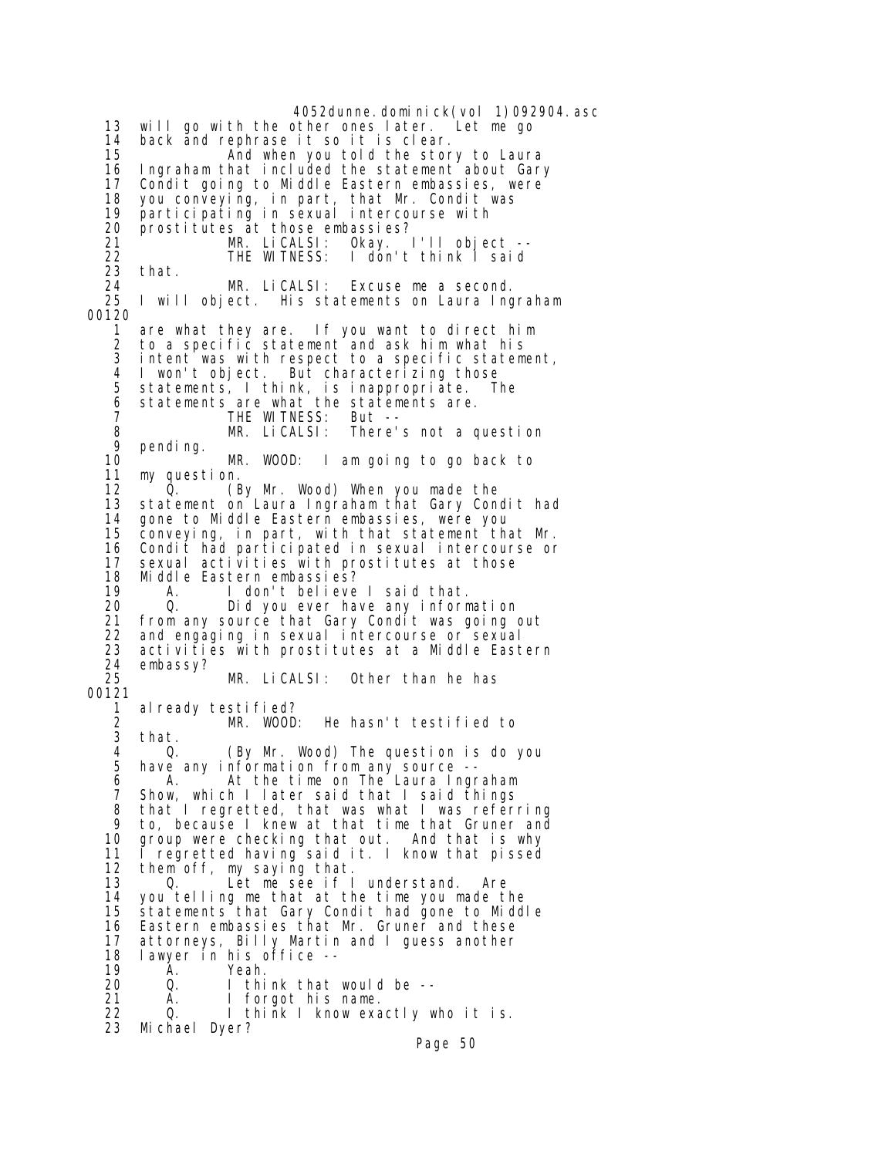4052dunne.dominick(vol 1)092904.asc 13 will go with the other ones later. Let me go 14 back and rephrase it so it is clear. 15 **And when you told the story to Laura**<br>16 Ingraham that included the statement about Gary 16 Ingraham that included the statement about Gary 17 Condit going to Middle Eastern embassies, were 18 you conveying, in part, that Mr. Condit was 19 participating in sexual intercourse with 20 prostitutes at those embassies? 21 MR. LiCALSI: Okay. I'll object --<br>22 THE WITNESS: I don't think I said 22 THE WITNESS: I don't think I said<br>23 that. 23 that.<br>24 24 MR. LiCALSI: Excuse me a second. 25 I will object. His statements on Laura Ingraham 00120 1 are what they are. If you want to direct him 2 to a specific statement and ask him what his 3 intent was with respect to a specific statement, 4 I won't object. But characterizing those 5 statements, I think, is inappropriate. The 6 statements are what the statements are. 7 THE WITNESS: But --<br>8 MR. LiCALSI: There' 8 MR. LiCALSI: There's not a question 9 pending.<br>10 10 MR. WOOD: I am going to go back to 11 my question.<br>12 0. 12 (By Mr. Wood) When you made the<br>13 statement on Laura Ingraham that Gary Con statement on Laura Ingraham that Gary Condit had 14 gone to Middle Eastern embassies, were you 15 conveying, in part, with that statement that Mr. 16 Condit had participated in sexual intercourse or 17 sexual activities with prostitutes at those<br>18 Middle Eastern embassies? 18 Middle Eastern embassies? 19 A. I don't believe I said that. 20 Q. Did you ever have any information 21 from any source that Gary Condit was going out 22 and engaging in sexual intercourse or sexual 23 activities with prostitutes at a Middle Eastern<br>24 embassv? 24 embassy?<br>25 25 MR. LiCALSI: Other than he has 00121 1 already testified?<br>2 MR. WOOD: 2 MR. WOOD: He hasn't testified to that. 4 Q. (By Mr. Wood) The question is do you have any information from any source -- 6 A. At the time on The Laura Ingraham 7 Show, which I later said that I said things that I regretted, that was what I was referring 9 to, because I knew at that time that Gruner and 10 group were checking that out. And that is why<br>11 I regretted having said it. I know that pissed 11 I regretted having said it. I know that pissed<br>12 them off, my saving that. 12 them off, my saying that.<br>13 0. Let me see if I 13 O. Let me see if I understand. Are<br>14 you telling me that at the time you made t you telling me that at the time you made the 15 statements that Gary Condit had gone to Middle 16 Eastern embassies that Mr. Gruner and these<br>17 attorneys, Billy Martin and I quess another 17 attorneys, Billy Martin and I guess another 18 lawyer in his office -- 19 A. Yeah. 20 Q. I think that would be --<br>21 A. I forgot his name. A. I forgot his name. 22 Q. I think I know exactly who it is. 23 Michael Dyer?

Page 50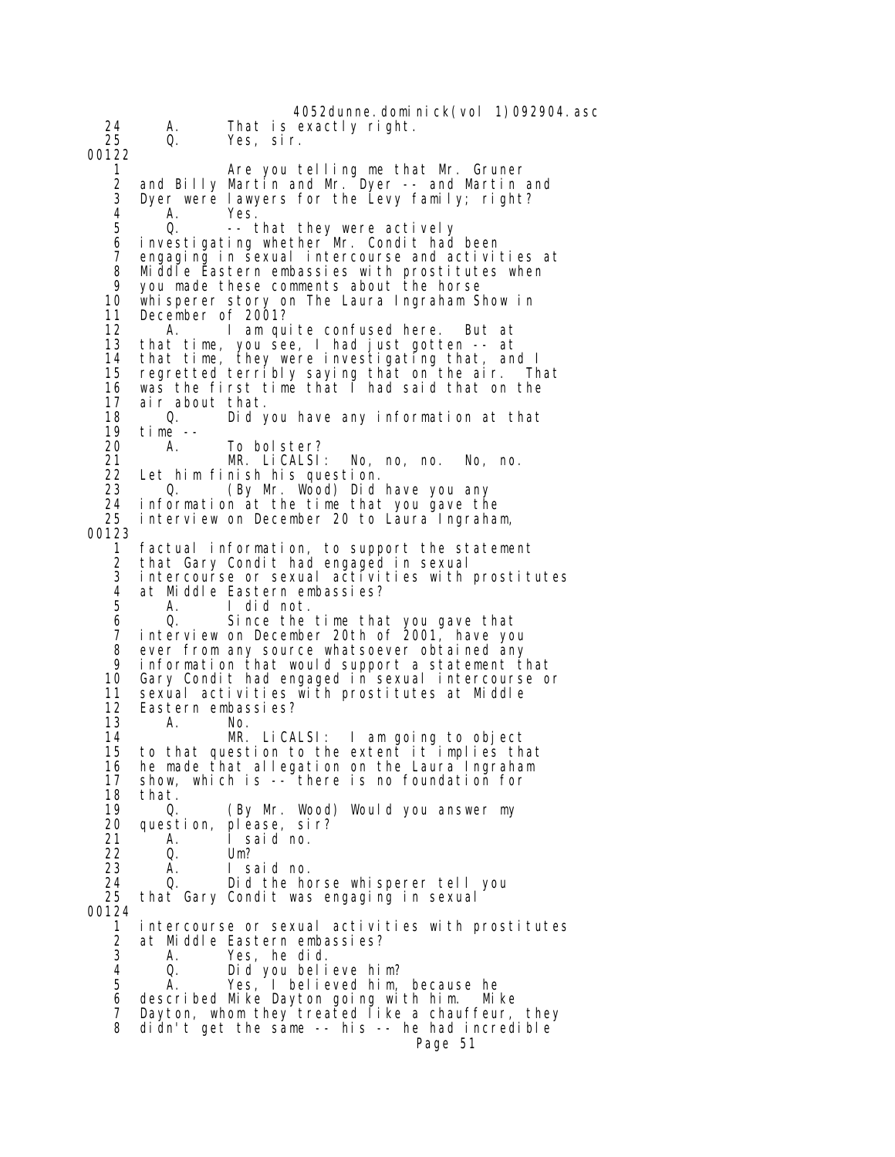4052dunne. domi ni ck(vol 1)092904. asc 24 A. That is exactly right. Yes, sir. 00122 1 Are you telling me that Mr. Gruner 2 and Billy Martin and Mr. Dyer -- and Martin and 3 Dyer were lawyers for the Levy family; right?<br>4 A Yes 4 A. Yes. -- that they were actively 6 investigating whether Mr. Condit had been 7 engaging in sexual intercourse and activities at 8 Middle Eastern embassies with prostitutes when<br>9 you made these comments about the borse 9 you made these comments about the horse 10 whisperer story on The Laura Ingraham Show in 11 December of 2001? 12 A. I am quite confused here. But at 13 that time, you see, I had just gotten -- at 14 that time, they were investigating that, and I 15 regretted terribly saying that on the air. That 16 was the first time that  $\overline{\phantom{a}}$  had said that on the 17 -air about that. 17 air about that. 18 Q. Did you have any information at that 19 time -- 20 A. To bolster? 21 MR. LiCALSI: No, no, no. No, no. 22 Let him finish his question. 23 Q. (By Mr. Wood) Did have you any<br>24 information at the time that you gave th 24 information at the time that you gave the interview on December 20 to Laura Ingraham, 00123 1 factual information, to support the statement 2 that Gary Condit had engaged in sexual 3 intercourse or sexual activities with prostitutes 4 at Middle Eastern embassies? 5 A. I did not. 6 Q. Since the time that you gave that interview on December 20th of 2001, have you 8 ever from any source whatsoever obtained any<br>9 information that would support a statement t 9 information that would support a statement that Gary Condit had engaged in sexual intercourse or 11 sexual activities with prostitutes at Middle<br>12 Eastern embassies? 12 Eastern embassies?<br>13 A. No. 13 A. No.<br>14 MR. 14 MR. LiCALSI: I am going to object to that question to the extent it implies that 16 he made that allegation on the Laura Ingraham 17 show, which is -- there is no foundation for 18 that.<br>19 0. 19 Q. (By Mr. Wood) Would you answer my 20 question, please, sir? 21 A. I said no.<br>22 Q. Um? 22 Q. Um?<br>23 A. Isa 23 A. I said no. 24 Q. Did the horse whisperer tell you<br>25 that Gary Condit was engaging in sexual that Gary Condit was engaging in sexual 00124 1 intercourse or sexual activities with prostitutes 2 at Middle Eastern embassies? A. Yes, he did.<br>Q. Did you beli 4 Q. Did you believe him? A. Yes, I believed him, because he 6 described Mike Dayton going with him. Mike 7 Dayton, whom they treated like a chauffeur, they 8 didn't get the same -- his -- he had incredible Page 51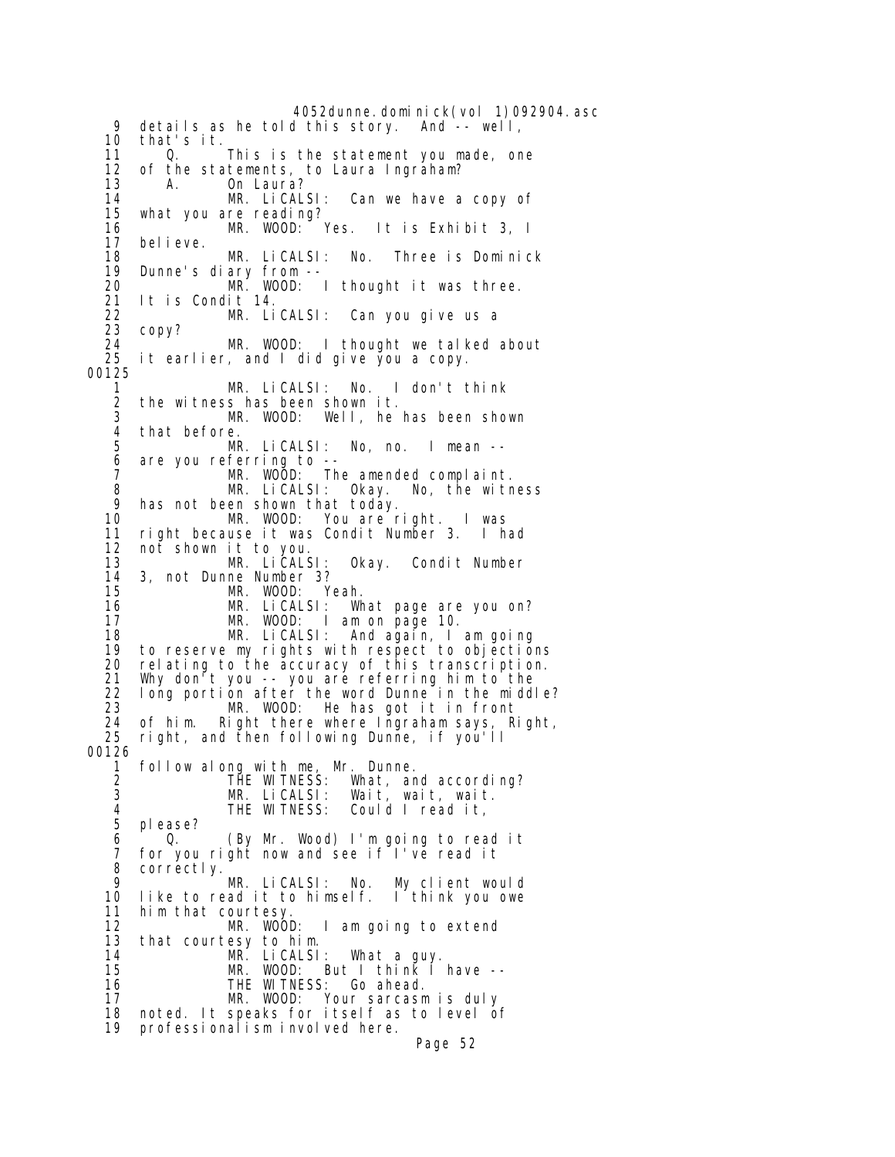4052dunne.dominick(vol 1)092904.asc<br>d this story. And -- well, 9 details as he told this story. 10 that's it. 11 Q. This is the statement you made, one<br>12 of the statements, to Laura Ingraham? 12 of the statements, to Laura Ingraham? 13 A. On Laura?<br>14 MR. LiCALSI: 14 MR. LiCALSI: Can we have a copy of what you are reading?<br>MR. WOOD: Yes. 16 MR. WOOD: Yes. It is Exhibit 3, I bel i eve. 18 MR. LiCALSI: No. Three is Dominick 19 Dunne's diary from -- 20 MR. WOOD: I thought it was three. 21 It is Condit 14. 22 MR. LiCALSI: Can you give us a 23 copy?<br>24 24 MR. WOOD: I thought we talked about<br>25 it earlier, and I did give you a copy. it earlier, and I did give you a copy. 00125 1 MR. LiCALSI: No. I don't think 2 the witness has been shown it.<br>3 MR. WOOD: Well, he 3 MR. WOOD: Well, he has been shown that before. 5 MR. LiCALSI: No, no. I mean -- 6 are you referring to -- 7 MR. WOOD: The amended complaint. 8 MR. LiCALSI: Okay. No, the witness 9 has not been shown that today. 10 MR. WOOD: You are right. I was 11 right because it was Condit Number 3. I had 12 not shown it to you. 13 MR. LiCALSI: Okay. Condit Number 14 3, not Dunne Number 3? 15 MR. WOOD: Yeah. 16 MR. LiCALSI: What page are you on? 17 MR. WOOD: I am on page 10. 18 MR. LiCALSI: And again, I am going 19 to reserve my rights with respect to objections<br>20 relating to the accuracy of this transcription. rel ating to the accuracy of this transcription. 21 Why don't you -- you are referring him to the 22 long portion after the word Dunne in the middle? 23 MR. WOOD: He has got it in front 24 of him. Right there where Ingraham says, Right,<br>25 right, and then following Dunne, if you'll right, and then following Dunne, if you'll 00126 1 follow along with me, Mr. Dunne. 2 THE WITNESS: What, and according? 3 MR. LiCALSI: Wait, wait, wait. Could I read it, 5 please? 6 Q. (By Mr. Wood) I'm going to read it 7 for you right now and see if I've read it 8 correctly. 9 MR. LiCALSI: No. My client would like to read it to himself. I think you owe 11 him that courtesy.<br>12 MR. WOOD: 12 MR. WOOD: I am going to extend 13 that courtesy to him. 14 MR. LiCALSI: What a guy. 15 MR. WOOD: But I think I have -- 14 MR. LiCALSI: What a guy.<br>15 MR. WOOD: But I think I have --<br>16 THE WITNESS: Go ahead.<br>17 MR. WOOD: Your sarcasm is duly Your sarcasm is duly 18 noted. It speaks for itself as to level of 19 professionalism involved here. Page 52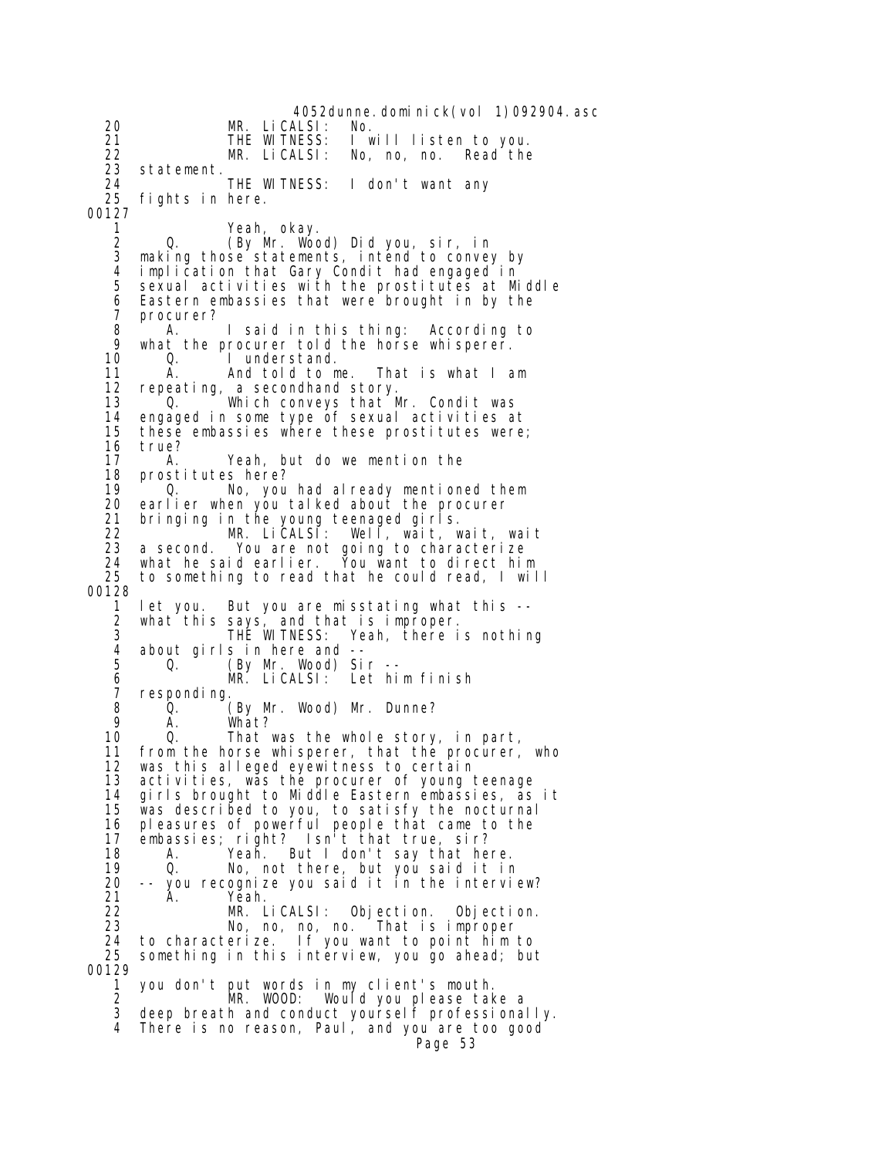4052dunne.dominick(vol 1)092904.asc 20 MR. LiCALSI: No. 21 THE WITNESS: I will listen to you. 22 MR. LiCALSI: No, no, no.<br>23 statement. 23 statement. 24 THE WITNESS: I don't want any fights in here. 00127 1 Yeah, okay. 2 Q. (By Mr. Wood) Did you, sir, in 3 making those statements, intend to convey by 4 implication that Gary Condit had engaged in sexual activities with the prostitutes at Middle 6 Eastern embassies that were brought in by the 7 procurer? 8 A. I said in this thing: According to 9 what the procurer told the horse whisperer.<br>10 0. I understand. I understand. 11 A. And told to me. That is what I am 12 repeating, a secondhand story. 13 <sup>1</sup> Q. <sup>The</sup> Which conveys that Mr. Condit was<br>14 engaged in some type of sexual activities a 14 engaged in some type of sexual activities at these embassies where these prostitutes were; 16 true?<br>17 A. 17 A. Yeah, but do we mention the 18 prostitutes here?<br>19 0. No. vou 19 Q. No, you had already mentioned them earlier when you talked about the procurer 21 bringing in the young teenaged girls. 22 MR. LiCALSI: Well, wait, wait, wait 23 a second. You are not going to characterize 24 what he said earlier. You want to direct him 25 to something to read that he could read, I will 00128 1 let you. But you are misstating what this -- 2 what this says, and that is improper.<br>3 THE WITNESS: Yeah, there i 3 THE WITNESS: Yeah, there is nothing 4 about girls in here and -- 5 Q. (By Mr. Wood) Sir -- 6 MR. LiCALSI: Let him finish 7 responding. 8 Q. (By Mr. Wood) Mr. Dunne?<br>9 A. What? 9 A. What?<br>10 Q. That 0. That was the whole story, in part, 11 from the horse whisperer, that the procurer, who 12 was this alleged eyewitness to certain 13 activities, was the procurer of young teenage<br>14 girls brought to Middle Eastern embassies, as 14 girls brought to Middle Eastern embassies, as it 15 was described to you, to satisfy the nocturnal 16 pleasures of powerful people that came to the 17 embassies; right? Isn't that true, sir? 18 A. Yeah. But I don't say that here. 19 Q. No, not there, but you said it in 20 -- you recognize you said it in the interview? Yeah. 22 MR. LiCALSI: Objection. Objection. 23 No, no, no, no. That is improper 24 to characterize. If you want to point him to 25 something in this interview, you go ahead; but 00129 1 you don't put words in my client's mouth. 2 MR. WOOD: Would you please take a 3 deep breath and conduct yourself professionally. 4 There is no reason, Paul, and you are too good Page 53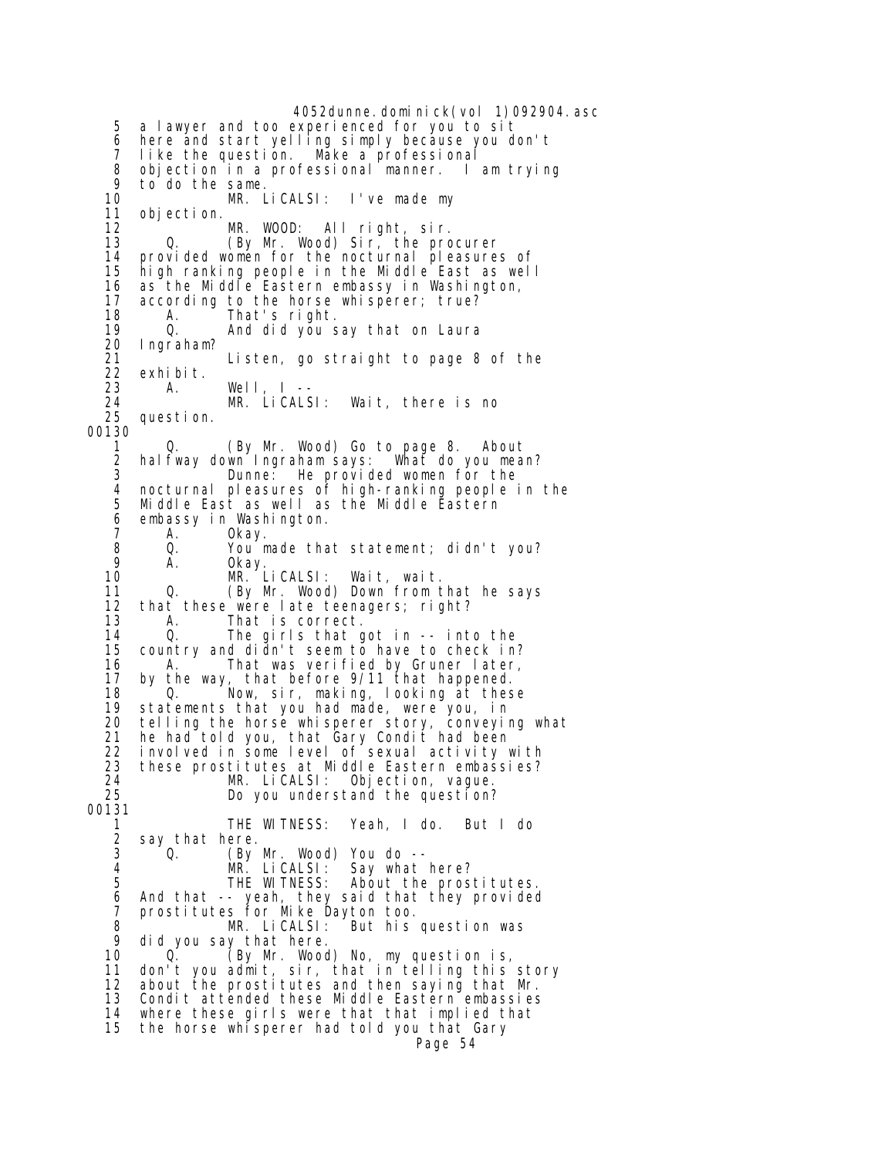4052dunne.dominick(vol 1)092904.asc 5 a lawyer and too experienced for you to sit 6 here and start yelling simply because you don't 7 like the question. Make a professional 8 objection in a professional manner. I am trying 9 to do the same. 10 MR. LiCALSI: I've made my 11 objection. 12 MR. WOOD: All right, sir.<br>13 Q. (By Mr. Wood) Sir, the pro  $13$  Mr. Wood) Sir, the procurer 14 provided women for the nocturnal pleasures of<br>15 high ranking people in the Middle East as well 15 high ranking people in the Middle East as well 16 as the Middle Eastern embassy in Washington,<br>17 according to the horse whisperer: true? 17 according to the horse whisperer; true?<br>18 A. That's right. 18 A. That's right. 19 Q. And did you say that on Laura 20 Ingraham? 21 Listen, go straight to page 8 of the 22 exhibit.<br>23 A. 23 A. Well, I -- 24 MR. LiCALSI: Wait, there is no question. 00130 1 Q. (By Mr. Wood) Go to page 8. About 2 halfway down Ingraham says: What do you mean? 3 Dunne: He provided women for the<br>4 nocturnal pleasures of high-ranking people 4 nocturnal pleasures of high-ranking people in the 5 Middle East as well as the Middle Eastern 6 embassy in Washington. 7 A. Okay.<br>8 Q. You\_m 8 Q. You made that statement; didn't you? 9 A. Okay. 10 MR. LiCALSI: Wait, wait. 11 Q. (By Mr. Wood) Down from that he says<br>12 that these were late teenagers: right? 12 that these were late teenagers; right?<br>13 A. That is correct. 13 A. That is correct.<br>14 Q. The girls that o 14 Q. The girls that got in -- into the 15 country and didn't seem to have to check in? 16 That was verified by Gruner later,<br>17 by the way, that before 9/11 that happened. 17 by the way, that before 9/11 that happened. 18 Q. Now, sir, making, looking at these 19 statements that you had made, were you, in 20 telling the horse whisperer story, conveying what 21 he had told you, that Gary Condit had been 22 involved in some level of sexual activity with 23 these prostitutes at Middle Eastern embassies? 24 MR. LiCALSI: Objection, vague. Do you understand the question? 00131 1 THE WITNESS: Yeah, I do. But I do 2 say that here.<br>3 0. (By 3 Q. (By Mr. Wood) You do -- 4 MR. LiCALSI: Say what here?<br>5 THE WITNESS: About the pros About the prostitutes. 6 And that -- yeah, they said that they provided 7 prostitutes for Mike Dayton too. 8 MR. LiCALSI: But his question was 9 did you say that here. 10 Q. (By Mr. Wood) No, my question is, 11 don't you admit, sir, that in telling this story 12 about the prostitutes and then saying that Mr. 13 Condit attended these Middle Eastern embassies 14 where these girls were that that implied that 15 the horse whisperer had told you that Gary Page 54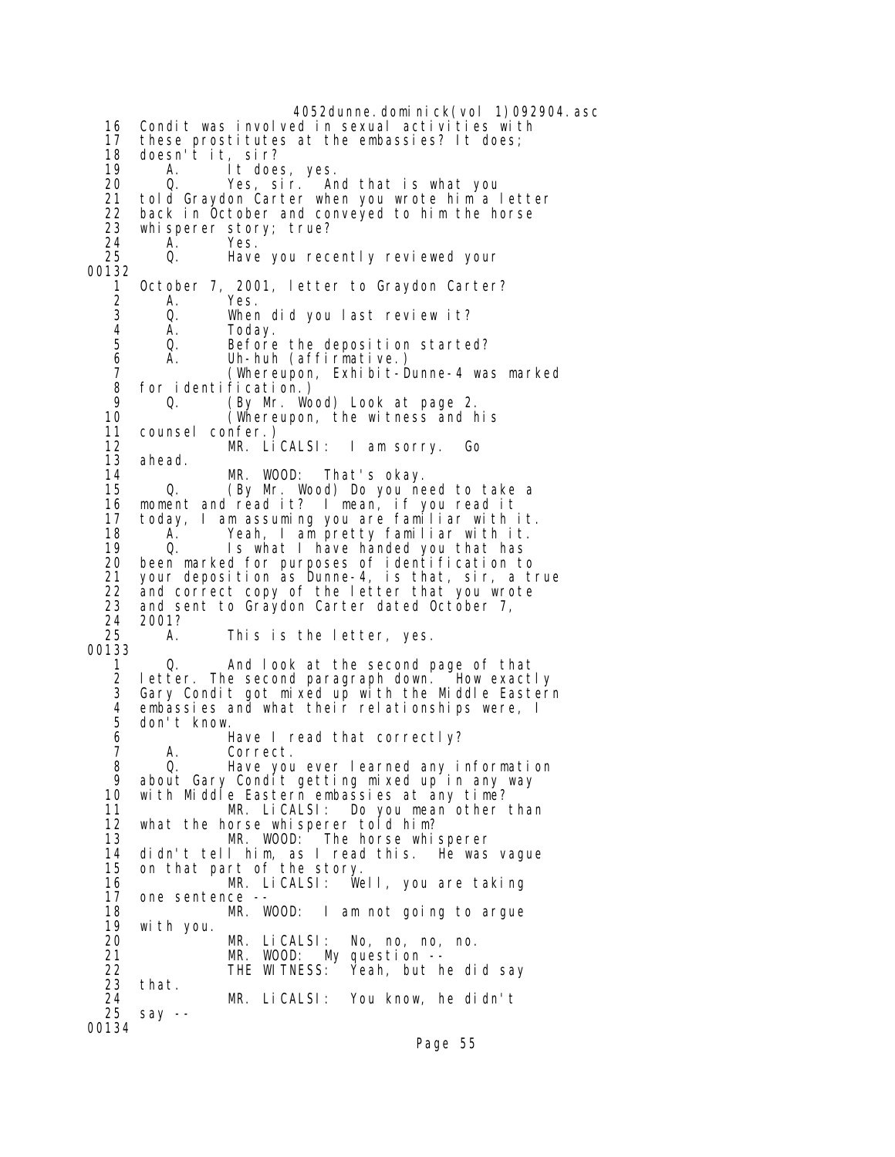4052dunne.dominick(vol 1)092904.asc 16 Condit was involved in sexual activities with 17 these prostitutes at the embassies? It does; 18 doesn't it, sir? 19 A. It does, yes. 20 Q. Yes, sir. And that is what you 21 told Graydon Carter when you wrote him a letter 22 back in October and conveyed to him the horse<br>23 whisperer story: true? whisperer story; true? 24 A. Yes. Have you recently reviewed your 00132 1 October 7, 2001, letter to Graydon Carter? 2 A. Yes. 3 Q. When did you last review it? 4 A. Today.<br>5 Q. Before 5 Q. Before the deposition started?<br>6 A. Uh-huh (affirmative.) 6 A. Uh-huh (affirmative.) 7 (Whereupon, Exhibit-Dunne-4 was marked 8 for identification.)<br>9 0. (By Mr. Wo 9 Q. (By Mr. Wood) Look at page 2. 10 (Whereupon, the witness and his counsel confer.) 12 MR. LiCALSI: I am sorry. Go 13 ahead. 14 MR. WOOD: That's okay.<br>15 Q. (By Mr. Wood) Do you ne 15 Q. (By Mr. Wood) Do you need to take a 16 moment and read it? I mean, if you read it 17 today, I am assuming you are familiar with it. 18 A. Yeah, I am pretty familiar with it. 19 Q. Is what I have handed you that has 20 been marked for purposes of identification to 21 your deposition as Dunne-4, is that, sir, a true 22 and correct copy of the letter that you wrote<br>23 and sent to Graydon Carter dated October 7. and sent to Graydon Carter dated October 7, 24 2001? A. This is the letter, yes. 00133 1 Q. And look at the second page of that 2 letter. The second paragraph down. How exactly 3 Gary Condit got mixed up with the Middle Eastern 4 embassies and what their relationships were, I 5 don't know. Have I read that correctly? 7 A. Correct. 8 Q. Have you ever learned any information 9 about Gary Condit getting mixed up in any way 10 with Middle Eastern embassies at any time? MR. LiCALSI: Do you mean other than 12 what the horse whisperer told him? 13 MR. WOOD: The horse whisperer 14 didn't tell him, as I read this. He was vague 15 on that part of the story. 16 MR. LiCALSI: Well, you are taking<br>17 one sentence -one sentence -- 18 MR. WOOD: I am not going to argue 19 with you. 20 MR. LiCALSI: No, no, no, no.<br>21 MR. WOOD: My question -- 21 MR. WOOD: My question -- 22 THE WITNESS: Yeah, but he did say 23 that. 24 MR. LiCALSI: You know, he didn't  $say -$ 00134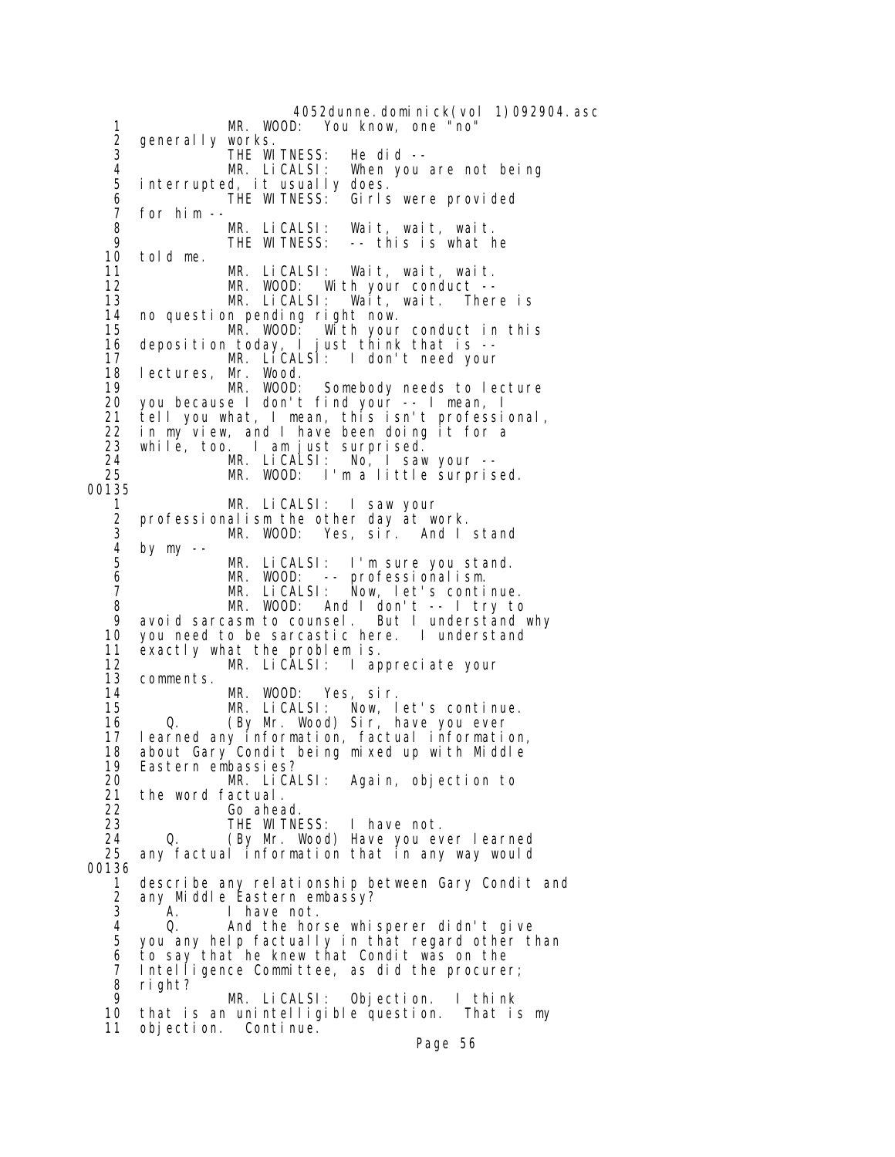4052dunne.dominick(vol 1)092904.asc<br>MR. WOOD: You know, one "no" 1 MR. WOOD: You know, one "no"<br>2 generally works.<br>3 THE WITNESS: He did -generally works. 3 THE WITNESS: He did --<br>4 MR. LiCALSI: When you 4 MR. LiCALSI: When you are not being interrupted, it usually does.<br>THE WITNESS: Girls 6 THE WITNESS: Girls were provided 7 for him -- 8 MR. LiCALSI: Wait, wait, wait. -- this is what he 10 told me. 11 MR. LiCALSI: Wait, wait, wait.<br>12 MR. WOOD: With your conduct --12 MR. WOOD: With your conduct --<br>13 MR. LiCALSI: Wait, wait. Ther Wait, wait. There is 14 no question pending right now. 15 MR. WOOD: With your conduct in this 16 deposition today, I just think that is -- MR. LICALSI: I don't need your 18 lectures, Mr. Wood.<br>19 MR. WOOD: 19 MR. WOOD: Somebody needs to lecture 20 you because I don't find your -- I mean, I 21 tell you what, I mean, this isn't professional, 22 in my view, and I have been doing it for a<br>23 while, too. I am just surprised. 23 while, too. I am just surprised. 24 MR. LiCALSI: No, I saw your --<br>25 MR. WOOD: I'm a little surpris MR. WOOD: I'm a little surprised. 00135 1 MR. LiCALSI: I saw your 2 professionalism the other day at work. 3 MR. WOOD: Yes, sir. And I stand 4 by my -- 5  $\frac{3}{2}$  MR. LiCALSI: I'm sure you stand.<br>6 MR. WOOD: -- professionalism. 6 MR. WOOD: -- professionalism. 7 MR. LiCALSI: Now, let's continue. 8 MR. WOOD: And I don't -- I try to<br>9 avoid sarcasm to counsel. But I understand why 9 avoid sarcasm to counsel.<br>10 you need to be sarcastic he you need to be sarcastic here. I understand 11 exactly what the problem is. 12 **MR. LiCALSI:** I appreciate your<br>13 comments. 13 comments. 14 MR. WOOD: Yes, sir.<br>15 MR. LiCALSI: Now, I 15 MR. LiCALSI: Now, let's continue. 16 Q. (By Mr. Wood) Sir, have you ever 17 learned any information, factual information, 18 about Gary Condit being mixed up with Middle 19 Eastern embassies? 20 MR. LiCALSI: Again, objection to 21 the word factual.<br>22 Go ahea 22 Go ahead. 23 THE WITNESS: I have not.<br>24 0. (By Mr. Wood) Have you ey 24 Q. (By Mr. Wood) Have you ever learned<br>25 any factual information that in any way would any factual information that in any way would 00136 1 describe any relationship between Gary Condit and<br>2 any Middle Eastern embassy? 2 any Middle Eastern embassy? 3 A. I have not.<br>4 Q. And the hor 4 Q. And the horse whisperer didn't give you any help factually in that regard other than 6 to say that he knew that Condit was on the 7 Intelligence Committee, as did the procurer; 8 right? MR. LiCALSI: Objection. I think 10 that is an unintelligible question. That is my 11 objection. Continue.

Page 56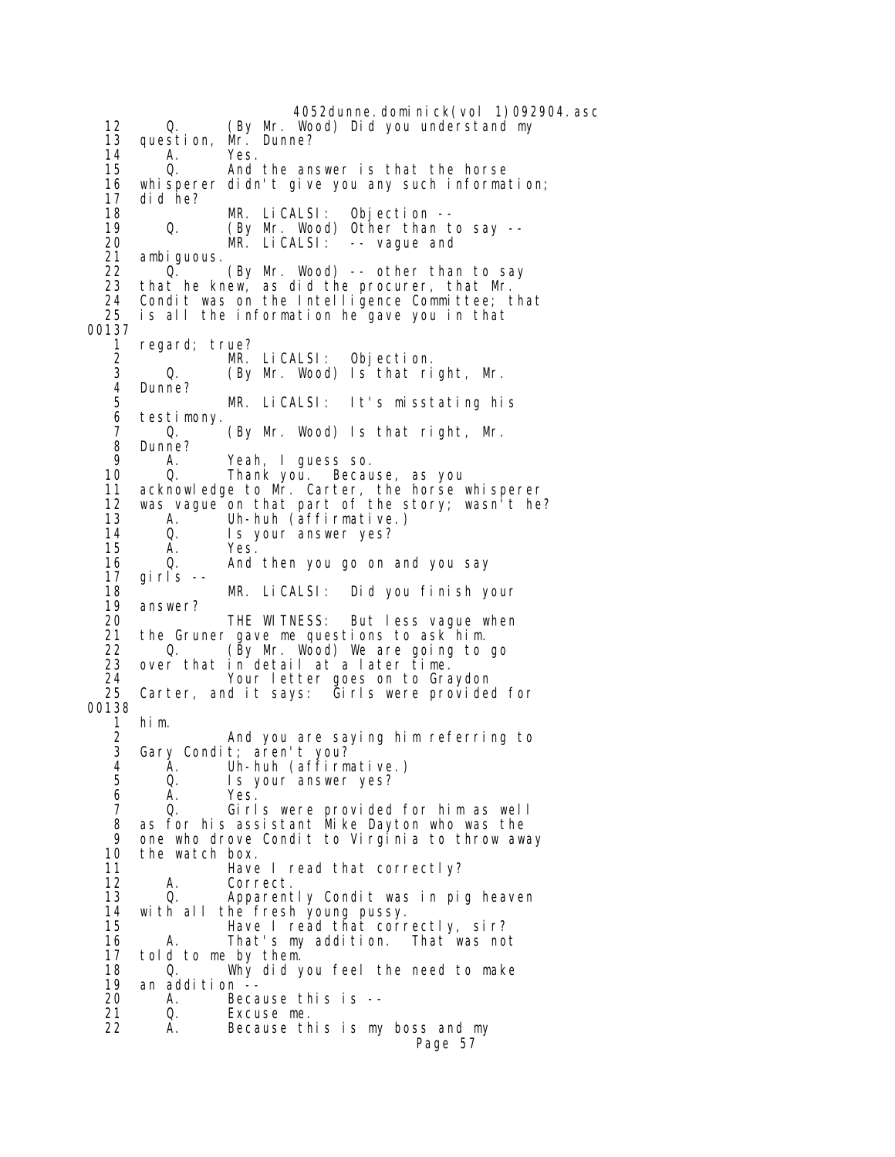4052dunne.dominick(vol 1)092904.asc 12 Q. (By Mr. Wood) Did you understand my 13 question, Mr. Dunne? 14 A. Yes. And the answer is that the horse 16 whisperer didn't give you any such information; 17 did he? 18 MR. LiCALSI: Objection -- 19 Q. (By Mr. Wood) Other than to say -- 20 MR. LiCALSI: -- vague and 21 ambiguous. 22 (By Mr. Wood) -- other than to say<br>23 that he knew. as di d the procurer, that Mr. that he knew, as did the procurer, that Mr. 24 Condit was on the Intelligence Committee; that 25 is all the information he gave you in that is all the information he gave you in that 00137<br>1 1 regard; true?<br>2 MR. MR. LiCALSI: Objection. 3 Q. (By Mr. Wood) Is that right, Mr. 4 Dunne?<br>5 5 MR. LiCALSI: It's misstating his 6 testimony. (By Mr. Wood) Is that right, Mr. 8 Dunne?<br>9 A 9 A. Yeah, I guess so. 10 Q. Thank you. Because, as you 11 acknowledge to Mr. Carter, the horse whisperer 12 was vague on that part of the story; wasn't he? 13 A. Uh-huh (affirmative.)<br>14 Q. Is your answer yes? 14 Q. Is your answer yes? 15 A. Yes. 16 Q. And then you go on and you say 17 girls -- 18 MR. LiCALSI: Did you finish your answer? 20 THE WITNESS: But less vague when<br>21 the Gruner gave me questions to ask him. 21 the Gruner gave me questions to ask him. 22 Q. (By Mr. Wood) We are going to go 23 over that in detail at a later time. 24 Your letter goes on to Graydon Carter, and it says: Girls were provided for 00138<br>1 1 him. 2 And you are saying him referring to Gary Condit; aren't you? 4 A. Uh-huh (affirmative.) 5 Q. Is your answer yes? 6 A. Yes. 7 Q. Girls were provided for him as well 8 as for his assistant Mike Dayton who was the 9 one who drove Condit to Virginia to throw away<br>10 the watch box. 10 the watch box.<br>11 Have 11 Have I read that correctly?<br>12 A. Correct. 12 A. Correct.<br>13 Q. Apparent Apparently Condit was in pig heaven 14 with all the fresh young pussy. 15 Have I read that correctly, sir? 16 A. That's my addition. That was not 17 told to me by them. 18 Q. Why did you feel the need to make 19 an addition<br>20 A. Be A. Because this is --<br>Q. Excuse me. 21 Q. Excuse me. A. Because this is my boss and my Page 57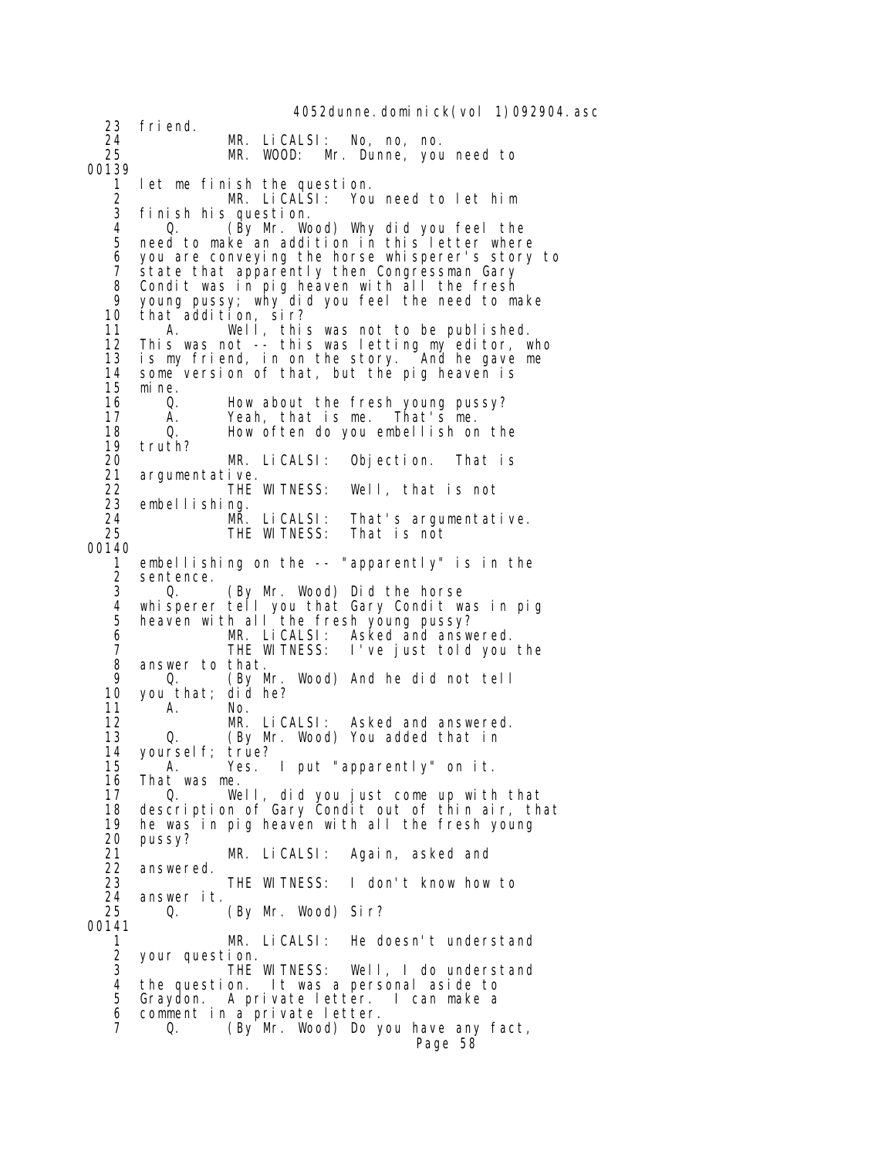4052dunne.dominick(vol 1)092904.asc 23 friend. 24 MR. LiCALSI: No, no, no. MR. WOOD: Mr. Dunne, you need to 00139 1 let me finish the question. 2 MR. LiCALSI: You need to let him<br>3 finish his question finish his question.<br>0. (By Mr. Wo 4 Q. (By Mr. Wood) Why did you feel the need to make an addition in this letter where 6 you are conveying the horse whisperer's story to 7 state that apparently then Congressman Gary 8 Condit was in pig heaven with all the fresh<br>9 young pussy: why did you feel the need to m 9 young pussy; why did you feel the need to make 10 that addition, sir? 11 A. Well, this was not to be published. 12 This was not -- this was letting my editor, who 13 is my friend, in on the story. And he gave me 14 some version of that, but the pig heaven is 15 mine. 16 Q. How about the fresh young pussy?<br>17 A. Yeah. that is me. That's me. 17 A. Yeah, that is me. That's me. How often do you embellish on the 19 truth? 20 MR. LiCALSI: Objection. That is 21 argumentative.<br>22 THE WITNESS: 22 THE WITNESS: Well, that is not<br>23 embellishing. embellishing. 24 MR. LiCALSI: That's argumentative.<br>25 THE WITNESS: That is not THE WITNESS: 00140 1 embellishing on the -- "apparently" is in the 2 sentence.<br>3 Q. 3 Q. (By Mr. Wood) Did the horse 4 whisperer tell you that Gary Condit was in pig 5 heaven with all the fresh young pussy? 6 MR. LiCALSI: Asked and answered. 7 THE WITNESS: I've just told you the 8 answer to that. 9 Q. (By Mr. Wood) And he did not tell 10 you that;<br>11 A. 11 A. No.<br>12 MR. Li CALSI : 12 MR. LiCALSI: Asked and answered. 0. (By Mr. Wood) You added that in 14 yourself; true? 15 A. Yes. I put "apparently" on it. 16 That was me.<br>17 0. We 17 Q. Well, did you just come up with that 18 description of Gary Condit out of thin air, that 19 he was in pig heaven with all the fresh young 20 pussy? 21 MR. LiCALSI: Again, asked and 22 answered. 23 THE WITNESS: I don't know how to<br>24 answer it. 24 answer it. Q. (By Mr. Wood) Sir? 00141 1 MR. LiCALSI: He doesn't understand 2 your question.<br>3 THE THE WITNESS: Well, I do understand 4 the question. It was a personal aside to 5 Graydon. A private letter. I can make a 6 comment in a private letter. 7 Q. (By Mr. Wood) Do you have any fact, Page 58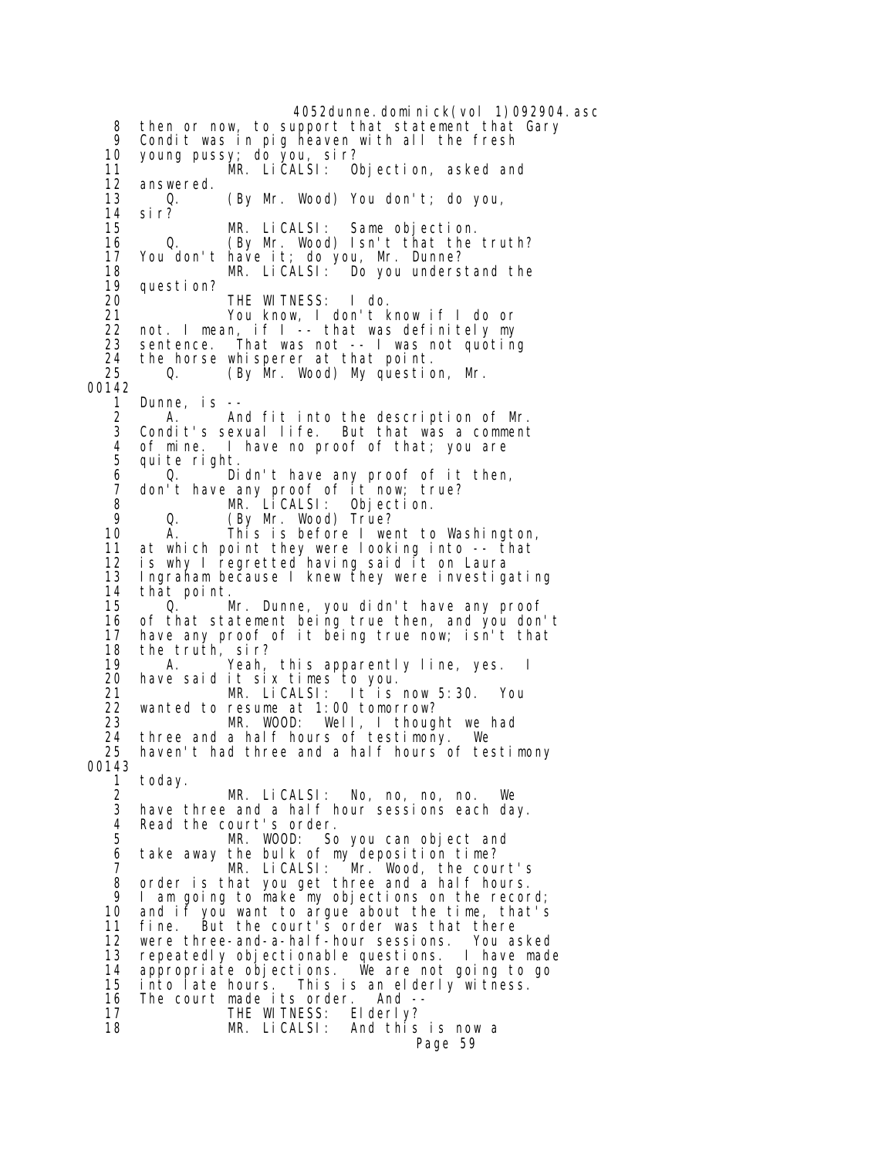4052dunne.dominick(vol 1)092904.asc 8 then or now, to support that statement that Gary<br>9 Condit was in pig beaven with all the fresh 9 Condit was in pig heaven with all the fresh 10 young pussy; do you, sir? 11 MR. LiCALSI: Objection, asked and<br>12 answered. 12 answered.<br>13 0. 13 Q. (By Mr. Wood) You don't; do you, 14 sir? MR. LiCALSI: Same objection. 16 Q. (By Mr. Wood) Isn't that the truth? 17 You don't have it; do you, Mr. Dunne? 18 MR. LiCALSI: Do you understand the 19 question? 20 THE WITNESS: I do. en and the set on the set of the set of the set of the set of the set of the set of the set of the set of the s<br>22 not. I mean, if I -- that was definitely my 22 not. I mean, if I -- that was definitely my 23 sentence. That was not -- I was not quoting<br>24 the horse whisperer at that point. 24 the horse whisperer at that point.<br>25 0. (By Mr. Wood) My questic Q. (By Mr. Wood) My question, Mr. 00142 1 Dunne, is -- 2 A. And fit into the description of Mr. Condit's sexual life. But that was a comment 4 of mine. I have no proof of that; you are quite right. 6 Q. Didn't have any proof of it then, 7 don't have any proof of it now; true?<br>8 MR. LiCALSI: Objection. 8 MR. LiCALSI: Objection. 9 Q. (By Mr. Wood) True? 10 A. This is before I went to Washington, at which point they were looking into -- that 12 is why I regretted having said it on Laura 13 Ingraham because I knew they were investigating 14 that point.<br>15 0. 0. Mr. Dunne, you didn't have any proof 16 of that statement being true then, and you don't<br>17 have any proof of it being true now; isn't that have any proof of it being true now; isn't that 18 the truth, sir? 19 A. Yeah, this apparently line, yes. I<br>20 have said it six times to you. 20 have said it six times to you. 21 MR. LiCALSI: It is now 5:30. You 22 wanted to resume at 1:00 tomorrow?<br>23 MR. WOOD: Well, I thoug 23 MR. WOOD: Well, I thought we had<br>24 three and a half hours of testimony. We three and a half hours of testimony. We 25 haven't had three and a half hours of testimony 00143 1 today. 2 MR. LiCALSI: No, no, no, no. We have three and a half hour sessions each day. 4 Read the court's order.<br>5 MR. WOOD: So MR. WOOD: So you can object and 6 take away the bulk of my deposition time? 7 MR. LiCALSI: Mr. Wood, the court's 8 order is that you get three and a half hours.<br>9 I am going to make my objections on the recor I am going to make my objections on the record; 10 and if you want to argue about the time, that's 11 fine. But the court's order was that there 12 were three-and-a-half-hour sessions. You asked<br>13 repeatedly objectionable questions. I have made repeatedly objectionable questions.<br>appropriate objections. We are not 14 appropriate objections. We are not going to go 15 into late hours. This is an elderly witness. 16 The court made its order. And --<br>17 THE WITNESS: Elderly? 17 THE WITNESS: 18 MR. LiCALSI: And this is now a Page 59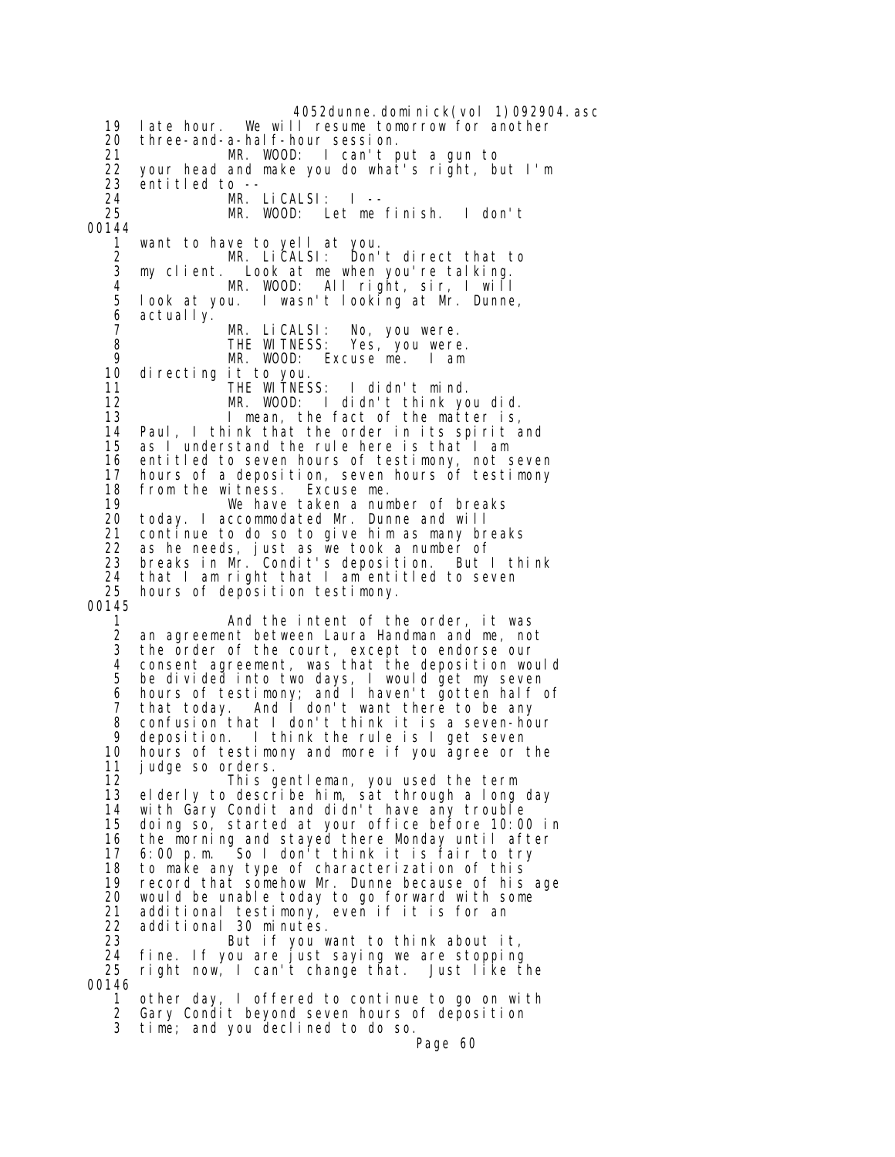4052dunne.dominick(vol 1)092904.asc 19 late hour. We will resume tomorrow for another 20 three-and-a-half-hour session. 21 MR. WOOD: I can't put a gun to<br>22 your head and make you do what's right, be 22 your head and make you do what's right, but I'm 23 entitled to -- 24 MR. LiCALSI: I -- MR. WOOD: Let me finish. I don't 00144 1 want to have to yell at you. 2 MR. LiCALSI: Don't direct that to 3 my client. Look at me when you're talking. 4 MR. WOOD: All right, sir, I will 5 look at you. I wasn't looking at Mr. Dunne, 6 actually. 7 MR. LiCALSI: No, you were. 8 THE WITNESS: Yes, you were.<br>9 MR. WOOD: Excuse me. I am 9 MR. WOOD: Excuse me. I am directing it to you. 11 THE WITNESS: I didn't mind. 12 MR. WOOD: I didn't think you did.<br>13 I mean, the fact of the matter is. 13 I mean, the fact of the matter is,<br>14 Paul, I think that the order in its spirit a Paul, I think that the order in its spirit and 15 as I understand the rule here is that I am 16 entitled to seven hours of testimony, not seven 17 hours of a deposition, seven hours of testimony 18 from the witness. Excuse me. 19 We have taken a number of breaks today. I accommodated Mr. Dunne and will 21 continue to do so to give him as many breaks 22 as he needs, just as we took a number of 23 breaks in Mr. Condit's deposition. But I think 24 that I am right that I am entitled to seven 25 hours of deposition testimony. 00145 1 and the intent of the order, it was<br>2 an agreement between Laura Handman and me, no an agreement between Laura Handman and me, not 3 the order of the court, except to endorse our 4 consent agreement, was that the deposition would 5 be divided into two days, I would get my seven 6 hours of testimony; and I haven't gotten half of 7 that today. And I don't want there to be any 8 confusion that I don't think it is a seven-hour<br>9 denosition I think the rule is I get seven deposition. I think the rule is I get seven 10 hours of testimony and more if you agree or the 11 judge so orders. 12 This gentleman, you used the term<br>13 elderly to describe him, sat through a long 13 elderly to describe him, sat through a long day with Gary Condit and didn't have any trouble 15 doing so, started at your office before 10:00 in 16 the morning and stayed there Monday until after 17 6:00 p.m. So I don't think it is fair to try 18 to make any type of characterization of this 19 record that somehow Mr. Dunne because of his age would be unable today to go forward with some 21 additional testimony, even if it is for an 22 additional 30 minutes. 23 But if you want to think about it, 24 fine. If you are just saying we are stopping 25 right now, I can't change that. Just like the 00146 1 other day, I offered to continue to go on with 2 Gary Condit beyond seven hours of deposition 3 time; and you declined to do so.

Page 60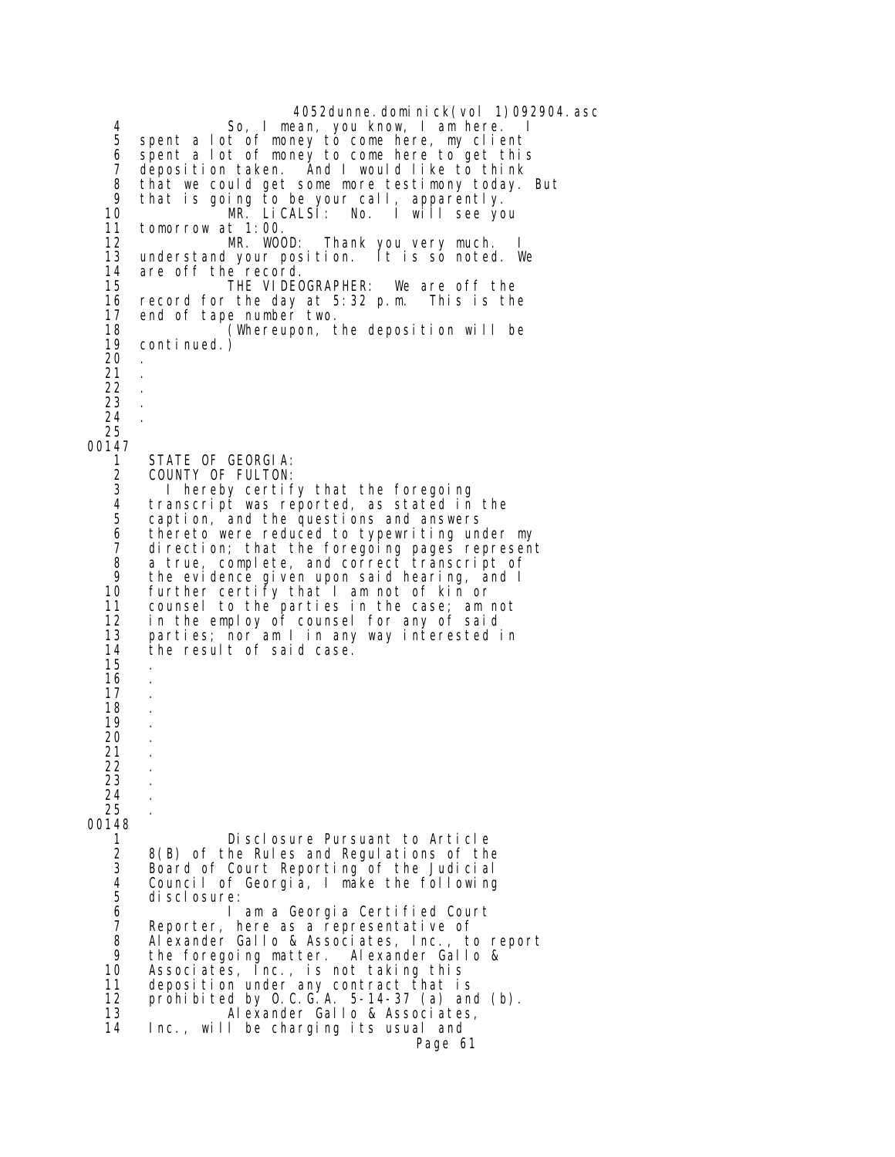4052dunne. domi ni ck(vol 1)092904. asc 4 So, I mean, you know, I am here.<br>5 spent a lot of money to come here, my cliem 5 spent a lot of money to come here, my client<br>6 spent a lot of money to come here to get this 6 spent a lot of money to come here to get this 7 deposition taken. And I would like to think 8 that we could get some more testimony today. But 9 that is going to be your call, apparently. 10 MR. LiCALSI: No. I will see you 11 tomorrow at 1:00. MR. WOOD: Thank you very much. 13 understand your position. It is so noted. We<br>14 are off the record. 14 are off the record.<br>15 THE VIDEO THE VIDEOGRAPHER: We are off the 16 record for the day at 5:32 p.m. This is the 17 end of tape number two. 18 (Whereupon, the deposition will be  $conti$  nued.) 20 . 21 . 22 . 23 . 24 . 25 00147 1 STATE OF GEORGIA:<br>2 COUNTY OF FULTON: 2 COUNTY OF FULTON:<br>3 1 hereby certif 3 I hereby certify that the foregoing 4 transcript was reported, as stated in the<br>5 caption, and the questions and answers 5 caption, and the questions and answers 6 thereto were reduced to typewriting under my 7 direction; that the foregoing pages represent 8 a true, complete, and correct transcript of 9 the evidence given upon said hearing, and I 10 further certify that I am not of kin or 11 counsel to the parties in the case; am not<br>12 in the employ of counsel for any of said 12 in the employ of counsel for any of said<br>13 parties; nor am I in any way interested i 13 parties; nor am I in any way interested in the result of said case. 15 . 16 . 17 . 18 . 19 . 20 . 21 . 22 . 23 . 24 . 25 . 00148 1 Disclosure Pursuant to Article<br>2 8(B) of the Rules and Regulations of the 2 8(B) of the Rules and Regulations of the 3 Board of Court Reporting of the Judicial 4 Council of Georgia, I make the following di sclosure: 6 I am a Georgia Certified Court 7 Reporter, here as a representative of<br>8 Alexander Gallo & Associates, Inc., to 8 Alexander Gallo & Associates, Inc., to report 9 the foregoing matter. Alexander Gallo & 10 Associates, Inc., is not taking this 11 deposition under any contract that is 12 prohibited by O.C.G.A. 5-14-37 (a) and (b).<br>13 Alexander Gallo & Associates, 13 Alexander Gallo & Associates, Inc., will be charging its usual and Page 61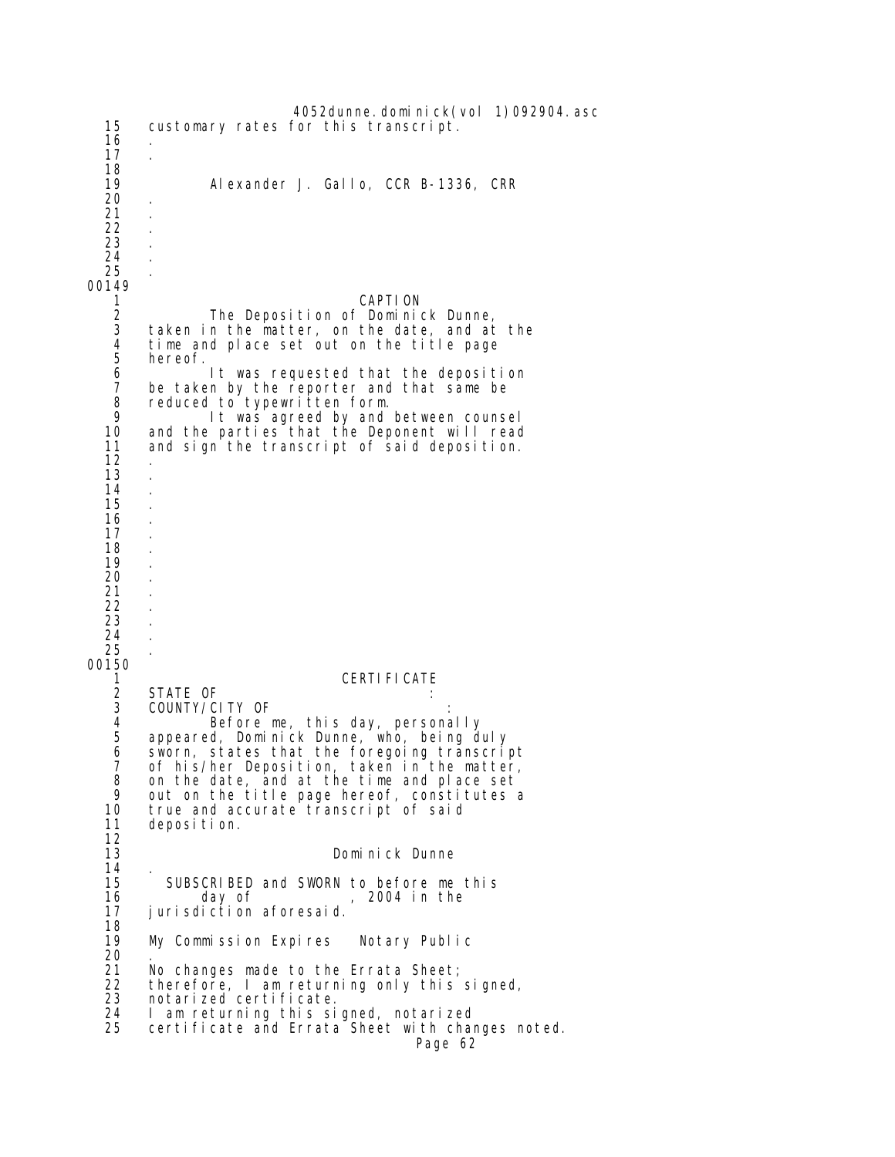4052dunne.dominick(vol 1)092904.asc 15 customary rates for this transcript. 16 . 17 . 18<br>19 Alexander J. Gallo, CCR B-1336, CRR 20 . 21 . 22 . 23 . 24 . 25 . 00149 1 CAPTION 2 The Deposition of Dominick Dunne,<br>3 taken in the matter, on the date, and at 3 taken in the matter, on the date, and at the 4 time and place set out on the title page 5 hereof.<br>6<br>7 be take It was requested that the deposition 7 be taken by the reporter and that same be<br>8 reduced to typewritten form. 8 reduced to typewritten form.<br>9 1t was agreed by and 9 It was agreed by and between counsel<br>10 and the parties that the Deponent will read and the parties that the Deponent will read 11 and sign the transcript of said deposition. 12 . 13 . 14 . 15 . 16 . 17 . 18 . 19 . 20 . 21 . 22 23 . 24 . 25 . 00150 1 CERTIFICATE 2 STATE OF<br>3 COUNTY/C 3 COUNTY/CITY OF : 4 Before me, this day, personally 5 appeared, Dominick Dunne, who, being duly<br>6 sworn, states that the foregoing transcri<br>7 of his/her Deposition, taken in the matte sworn, states that the foregoing transcript 7 of his/her Deposition, taken in the matter,<br>8 on the date, and at the time and place set 8 on the date, and at the time and place set<br>9 out on the title page hereof, constitutes a 9 out on the title page hereof, constitutes a<br>10 true and accurate transcript of said true and accurate transcript of said 11 deposition.  $12$ <br> $13$ Dominick Dunne 14<br>15 15 SUBSCRIBED and SWORN to before me this<br>16 day of , 2004 in the 2004 in the 17 jurisdiction aforesaid. 18<br>19 My Commission Expires Notary Public 20<br>21 21 No changes made to the Errata Sheet;<br>22 therefore. I am returning only this 22 therefore, I am returning only this signed, 23 notarized certificate.<br>24 I am returning this si 24 I am returning this signed, notarized certificate and Errata Sheet with changes noted. Page 62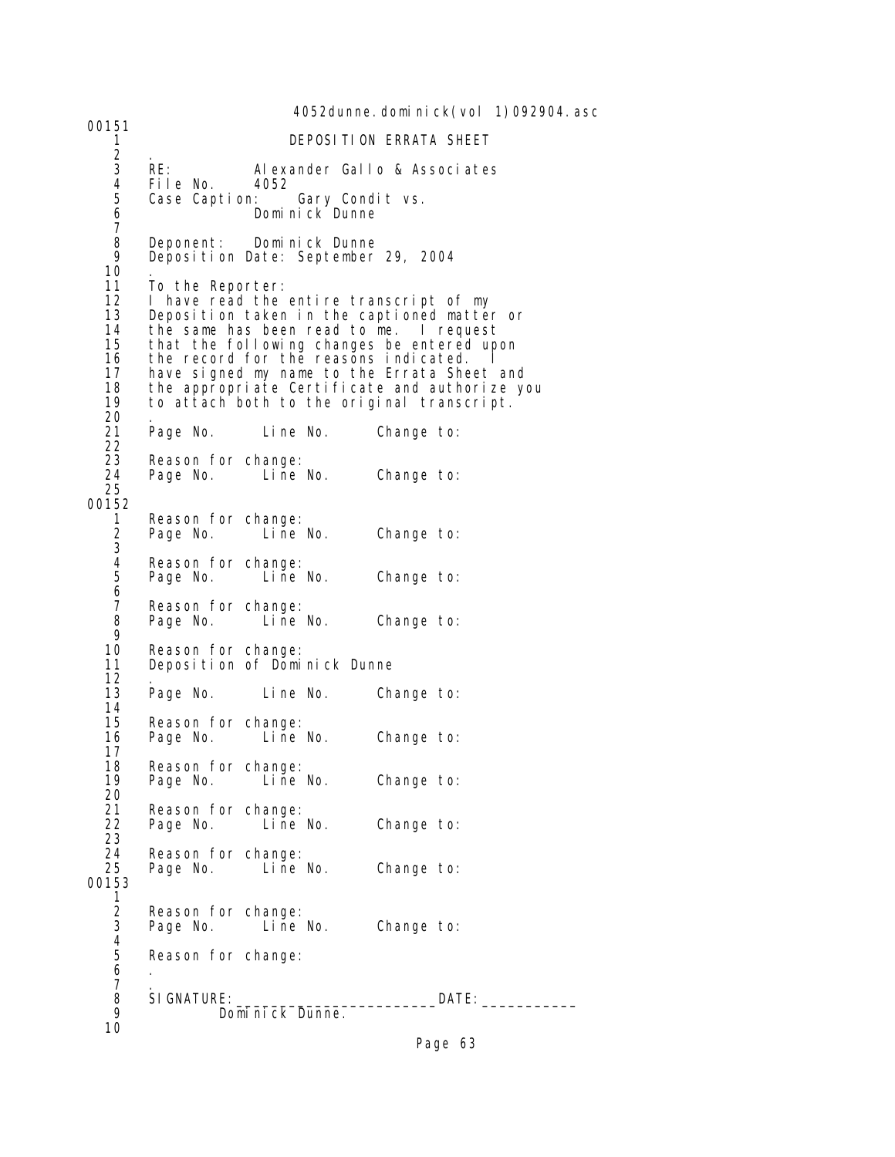4052dunne. domi ni ck(vol 1)092904. asc 00151 1 DEPOSITION ERRATA SHEET  $\begin{array}{ccc} 2 & . \\ 3 & \text{RE:} \end{array}$  3 RE: Alexander Gallo & Associates 4 File No. 4<br>5 Case Caption: 5 Case Caption: Gary Condit vs. 6 Dominick Dunne 7 8 Deponent: Dominick Dunne Deposition Date: September 29, 2004 10<br>11 11 To the Reporter:<br>12 I have read the 12 I have read the entire transcript of my<br>13 Deposition taken in the captioned matte 13 Deposition taken in the captioned matter or<br>14 the same has been read to me. I request 14 the same has been read to me. I request 15 that the following changes be entered upon 16 the record for the reasons indicated.<br>17 have signed my name to the Errata She 17 have signed my name to the Errata Sheet and 18 the appropriate Certificate and authorize you 19 to attach both to the original transcript. 20 . Line No. Change to: 21<br>22<br>23 23 Reason for change:<br>24 Page No. Line No. Change to: 25 00152 1 Reason for change:<br>2 Page No. Line No. Change to:  $\frac{2}{3}$ 4 Reason for change:<br>5 Page No. Line No. Change to: 6<br>7<br>8 Reason for change:<br>Page No. Line No. Change to:  $\frac{9}{10}$ 10 Reason for change:<br>11 Deposition of Domi Deposition of Dominick Dunne 12 . Line No. Change to:  $14$ <br> $15$ 15 Reason for change:<br>16 Page No. Line No. Change to: 17 18 Reason for change:<br>19 Page No. Line No. Change to: 20<br>21<br>22 Reason for change: Page No. Line No. Change to: 23 24 Reason for change:<br>25 Page No. Line No. Change to: 00153  $\frac{1}{2}$ Reason for change:<br>Page No. Line No. Change to:  $\frac{4}{5}$ Reason for change:  $6 \quad .$  $7 \cdot$  8 SIGNATURE:\_\_\_\_\_\_\_\_\_\_\_\_\_\_\_\_\_\_\_\_\_\_\_DATE:\_\_\_\_\_\_\_\_\_\_\_ Dominick Dunne. 10